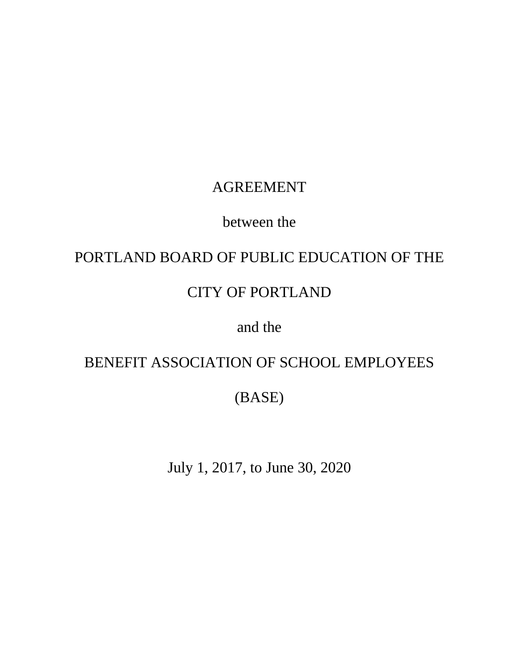# AGREEMENT

# between the

# PORTLAND BOARD OF PUBLIC EDUCATION OF THE

# CITY OF PORTLAND

# and the

# BENEFIT ASSOCIATION OF SCHOOL EMPLOYEES

(BASE)

July 1, 2017, to June 30, 2020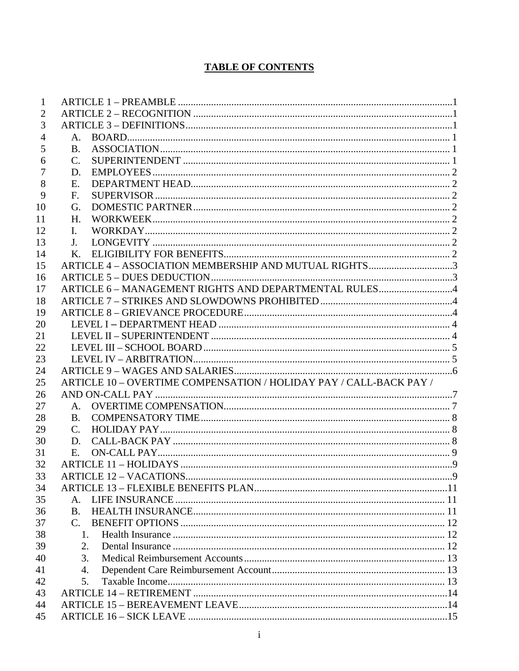## **TABLE OF CONTENTS**

| $\mathbf{1}$   |                                                                    |             |
|----------------|--------------------------------------------------------------------|-------------|
| $\overline{2}$ |                                                                    |             |
| 3              |                                                                    |             |
| $\overline{4}$ |                                                                    |             |
| 5              | <b>B.</b>                                                          |             |
| 6              | $\mathcal{C}$ .                                                    |             |
| 7              | D.                                                                 |             |
| 8              | E.                                                                 |             |
| 9              | F.                                                                 |             |
| 10             | G.                                                                 |             |
| 11             | Н.                                                                 |             |
| 12             | L.                                                                 |             |
| 13             | $J_{-}$                                                            |             |
| 14             | $\mathbf{K}_{-}$                                                   |             |
| 15             | ARTICLE 4 - ASSOCIATION MEMBERSHIP AND MUTUAL RIGHTS3              |             |
| 16             |                                                                    |             |
| 17             | ARTICLE 6 - MANAGEMENT RIGHTS AND DEPARTMENTAL RULES4              |             |
| 18             |                                                                    |             |
| 19             |                                                                    |             |
| 20             |                                                                    |             |
| 21             |                                                                    |             |
| 22             |                                                                    |             |
| 23             |                                                                    |             |
| 24             |                                                                    |             |
| 25             | ARTICLE 10 - OVERTIME COMPENSATION / HOLIDAY PAY / CALL-BACK PAY / |             |
| 26             |                                                                    |             |
| 27             | $A_{1}$                                                            |             |
| 28             | $\mathbf{B}$ .                                                     |             |
| 29             | C.                                                                 |             |
| 30             | D.                                                                 |             |
| 31             | E.                                                                 |             |
| 32             |                                                                    |             |
| 33             |                                                                    | $\mathbf Q$ |
| 34             |                                                                    |             |
| 35             | $\mathsf{A}$ .                                                     |             |
| 36             | <b>B.</b>                                                          |             |
| 37             | $C_{\cdot}$                                                        |             |
| 38             | 1                                                                  |             |
| 39             | $\overline{2}$ .                                                   |             |
| 40             | 3.                                                                 |             |
| 41             | 4.                                                                 |             |
| 42             | 5.                                                                 |             |
| 43             |                                                                    |             |
| 44             |                                                                    |             |
| 45             |                                                                    |             |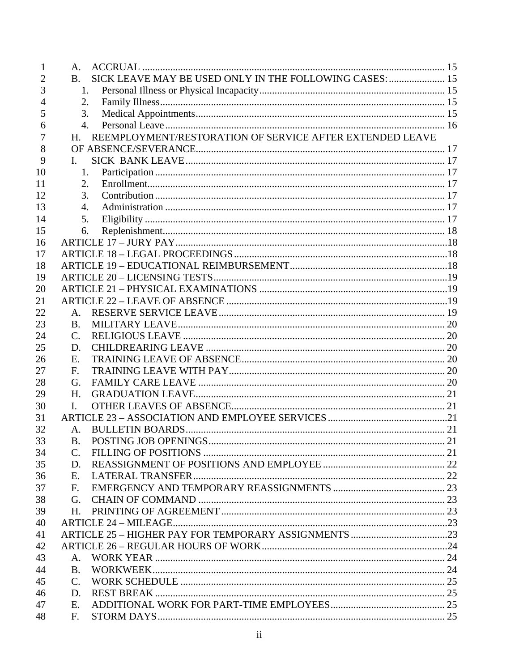| 1  | A <sub>1</sub>                                                         |  |
|----|------------------------------------------------------------------------|--|
| 2  | SICK LEAVE MAY BE USED ONLY IN THE FOLLOWING CASES:  15<br>$B_{\cdot}$ |  |
| 3  | $1_{-}$                                                                |  |
| 4  | 2.                                                                     |  |
| 5  | 3.                                                                     |  |
| 6  | $\overline{4}$ .                                                       |  |
| 7  | REEMPLOYMENT/RESTORATION OF SERVICE AFTER EXTENDED LEAVE<br>H.         |  |
| 8  |                                                                        |  |
| 9  | L                                                                      |  |
| 10 | 1.                                                                     |  |
| 11 | 2.                                                                     |  |
| 12 | 3.                                                                     |  |
| 13 | $\mathbf{4}$ .                                                         |  |
| 14 | 5.                                                                     |  |
| 15 | 6.                                                                     |  |
| 16 |                                                                        |  |
| 17 |                                                                        |  |
| 18 |                                                                        |  |
| 19 |                                                                        |  |
| 20 |                                                                        |  |
| 21 |                                                                        |  |
| 22 | $A_{\cdot}$                                                            |  |
| 23 | <b>B.</b>                                                              |  |
| 24 | $\mathcal{C}$ .                                                        |  |
| 25 | D.                                                                     |  |
| 26 | Е.                                                                     |  |
| 27 | F.                                                                     |  |
| 28 | G.                                                                     |  |
| 29 | H.                                                                     |  |
| 30 | L.                                                                     |  |
| 31 |                                                                        |  |
| 32 | A.                                                                     |  |
| 33 | <b>B.</b>                                                              |  |
| 34 | $\mathcal{C}_{\cdot}$                                                  |  |
| 35 | D.                                                                     |  |
| 36 | E.                                                                     |  |
| 37 | $F_{\cdot}$                                                            |  |
| 38 | G.                                                                     |  |
| 39 | H.                                                                     |  |
| 40 |                                                                        |  |
| 41 |                                                                        |  |
| 42 |                                                                        |  |
| 43 | A.                                                                     |  |
| 44 | B.                                                                     |  |
| 45 | $\mathcal{C}$ .                                                        |  |
| 46 | D.                                                                     |  |
| 47 | E.                                                                     |  |
| 48 | $F_{\cdot}$                                                            |  |
|    |                                                                        |  |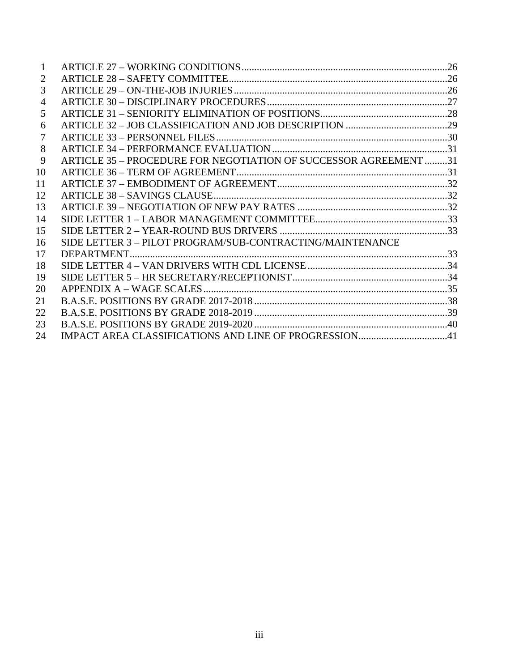| 2  |                                                                  |  |
|----|------------------------------------------------------------------|--|
| 3  |                                                                  |  |
| 4  |                                                                  |  |
| 5  |                                                                  |  |
| 6  |                                                                  |  |
| 7  |                                                                  |  |
| 8  |                                                                  |  |
| 9  | ARTICLE 35 - PROCEDURE FOR NEGOTIATION OF SUCCESSOR AGREEMENT 31 |  |
| 10 |                                                                  |  |
| 11 |                                                                  |  |
| 12 |                                                                  |  |
| 13 |                                                                  |  |
| 14 |                                                                  |  |
| 15 |                                                                  |  |
| 16 | SIDE LETTER 3-PILOT PROGRAM/SUB-CONTRACTING/MAINTENANCE          |  |
| 17 |                                                                  |  |
| 18 |                                                                  |  |
| 19 |                                                                  |  |
| 20 |                                                                  |  |
| 21 |                                                                  |  |
| 22 |                                                                  |  |
| 23 |                                                                  |  |
| 24 |                                                                  |  |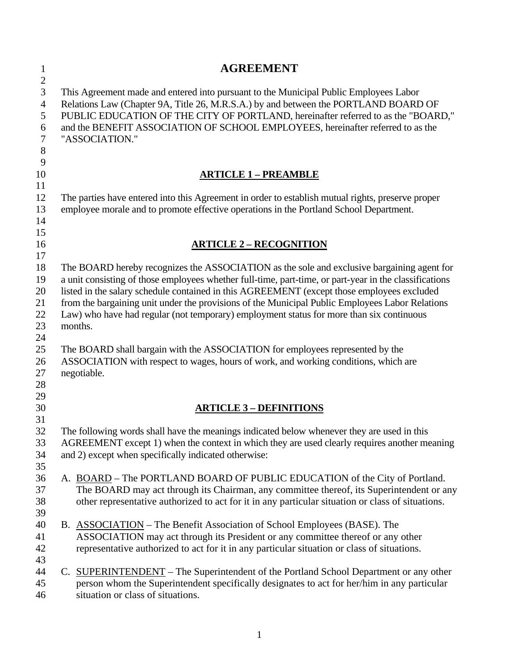| $\mathbf{1}$   | <b>AGREEMENT</b>                                                                                       |  |  |  |  |
|----------------|--------------------------------------------------------------------------------------------------------|--|--|--|--|
| $\mathbf{2}$   |                                                                                                        |  |  |  |  |
| 3              | This Agreement made and entered into pursuant to the Municipal Public Employees Labor                  |  |  |  |  |
| $\overline{4}$ | Relations Law (Chapter 9A, Title 26, M.R.S.A.) by and between the PORTLAND BOARD OF                    |  |  |  |  |
| 5              | PUBLIC EDUCATION OF THE CITY OF PORTLAND, hereinafter referred to as the "BOARD,"                      |  |  |  |  |
| 6              | and the BENEFIT ASSOCIATION OF SCHOOL EMPLOYEES, hereinafter referred to as the                        |  |  |  |  |
| $\tau$         | "ASSOCIATION."                                                                                         |  |  |  |  |
| 8              |                                                                                                        |  |  |  |  |
| 9              |                                                                                                        |  |  |  |  |
| 10             | <b>ARTICLE 1 - PREAMBLE</b>                                                                            |  |  |  |  |
| 11             |                                                                                                        |  |  |  |  |
| 12             | The parties have entered into this Agreement in order to establish mutual rights, preserve proper      |  |  |  |  |
| 13             | employee morale and to promote effective operations in the Portland School Department.                 |  |  |  |  |
| 14             |                                                                                                        |  |  |  |  |
| 15             |                                                                                                        |  |  |  |  |
| 16             | <b>ARTICLE 2 - RECOGNITION</b>                                                                         |  |  |  |  |
| 17             |                                                                                                        |  |  |  |  |
| 18             | The BOARD hereby recognizes the ASSOCIATION as the sole and exclusive bargaining agent for             |  |  |  |  |
| 19             | a unit consisting of those employees whether full-time, part-time, or part-year in the classifications |  |  |  |  |
| 20             | listed in the salary schedule contained in this AGREEMENT (except those employees excluded             |  |  |  |  |
| 21             | from the bargaining unit under the provisions of the Municipal Public Employees Labor Relations        |  |  |  |  |
| 22             | Law) who have had regular (not temporary) employment status for more than six continuous               |  |  |  |  |
| 23             | months.                                                                                                |  |  |  |  |
| 24             |                                                                                                        |  |  |  |  |
| 25             | The BOARD shall bargain with the ASSOCIATION for employees represented by the                          |  |  |  |  |
| 26             | ASSOCIATION with respect to wages, hours of work, and working conditions, which are                    |  |  |  |  |
| 27             | negotiable.                                                                                            |  |  |  |  |
| 28             |                                                                                                        |  |  |  |  |
| 29             |                                                                                                        |  |  |  |  |
| 30<br>31       | <b>ARTICLE 3 - DEFINITIONS</b>                                                                         |  |  |  |  |
| 32             | The following words shall have the meanings indicated below whenever they are used in this             |  |  |  |  |
| 33             | AGREEMENT except 1) when the context in which they are used clearly requires another meaning           |  |  |  |  |
| 34             | and 2) except when specifically indicated otherwise:                                                   |  |  |  |  |
| 35             |                                                                                                        |  |  |  |  |
| 36             | A. BOARD – The PORTLAND BOARD OF PUBLIC EDUCATION of the City of Portland.                             |  |  |  |  |
| 37             | The BOARD may act through its Chairman, any committee thereof, its Superintendent or any               |  |  |  |  |
| 38             | other representative authorized to act for it in any particular situation or class of situations.      |  |  |  |  |
| 39             |                                                                                                        |  |  |  |  |
| 40             | B. ASSOCIATION – The Benefit Association of School Employees (BASE). The                               |  |  |  |  |
| 41             | ASSOCIATION may act through its President or any committee thereof or any other                        |  |  |  |  |
| 42             | representative authorized to act for it in any particular situation or class of situations.            |  |  |  |  |
| 43             |                                                                                                        |  |  |  |  |
| 44             | C. SUPERINTENDENT – The Superintendent of the Portland School Department or any other                  |  |  |  |  |
| 45             | person whom the Superintendent specifically designates to act for her/him in any particular            |  |  |  |  |
| 46             | situation or class of situations.                                                                      |  |  |  |  |
|                |                                                                                                        |  |  |  |  |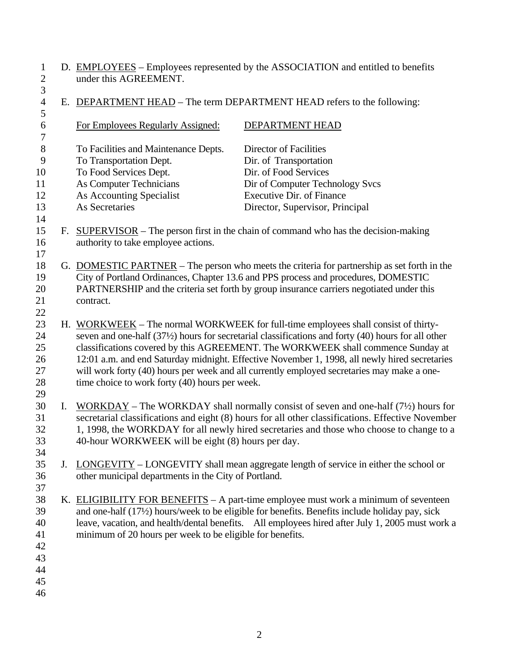1 D. EMPLOYEES – Employees represented by the ASSOCIATION and entitled to benefits 2 under this AGREEMENT.  $\begin{array}{c} 1 \\ 2 \\ 3 \end{array}$ 

| 6<br>For Employees Regularly Assigned:<br>DEPARTMENT HEAD<br>$\boldsymbol{7}$<br>$8\,$<br>Director of Facilities<br>To Facilities and Maintenance Depts.<br>9<br>To Transportation Dept.<br>Dir. of Transportation<br>To Food Services Dept.<br>Dir. of Food Services<br>10<br>11<br>As Computer Technicians<br>Dir of Computer Technology Svcs<br><b>Executive Dir. of Finance</b><br>12<br>As Accounting Specialist<br>As Secretaries<br>13<br>Director, Supervisor, Principal<br>14<br>15<br>F. SUPERVISOR – The person first in the chain of command who has the decision-making<br>16<br>authority to take employee actions.<br>17<br>18<br>G. DOMESTIC PARTNER – The person who meets the criteria for partnership as set forth in the<br>City of Portland Ordinances, Chapter 13.6 and PPS process and procedures, DOMESTIC<br>19<br>PARTNERSHIP and the criteria set forth by group insurance carriers negotiated under this<br>20<br>21<br>contract.<br>22<br>23<br>H. WORKWEEK – The normal WORKWEEK for full-time employees shall consist of thirty-<br>seven and one-half (37½) hours for secretarial classifications and forty (40) hours for all other<br>24<br>classifications covered by this AGREEMENT. The WORKWEEK shall commence Sunday at<br>25<br>12:01 a.m. and end Saturday midnight. Effective November 1, 1998, all newly hired secretaries<br>26<br>will work forty (40) hours per week and all currently employed secretaries may make a one-<br>27<br>28<br>time choice to work forty (40) hours per week.<br>29<br>30<br>I.<br>$WORKDAY$ – The WORKDAY shall normally consist of seven and one-half (7 <sup>1</sup> / <sub>2</sub> ) hours for<br>31<br>secretarial classifications and eight (8) hours for all other classifications. Effective November<br>1, 1998, the WORKDAY for all newly hired secretaries and those who choose to change to a<br>32<br>33<br>40-hour WORKWEEK will be eight (8) hours per day.<br>34<br>35<br>LONGEVITY – LONGEVITY shall mean aggregate length of service in either the school or<br>J.<br>other municipal departments in the City of Portland.<br>36<br>37<br>38<br>K. ELIGIBILITY FOR BENEFITS $- A$ part-time employee must work a minimum of seventeen<br>and one-half (17½) hours/week to be eligible for benefits. Benefits include holiday pay, sick<br>39<br>leave, vacation, and health/dental benefits. All employees hired after July 1, 2005 must work a<br>40<br>minimum of 20 hours per week to be eligible for benefits.<br>41<br>42<br>43<br>44 | $\overline{4}$<br>5 | E. DEPARTMENT HEAD – The term DEPARTMENT HEAD refers to the following: |  |  |
|----------------------------------------------------------------------------------------------------------------------------------------------------------------------------------------------------------------------------------------------------------------------------------------------------------------------------------------------------------------------------------------------------------------------------------------------------------------------------------------------------------------------------------------------------------------------------------------------------------------------------------------------------------------------------------------------------------------------------------------------------------------------------------------------------------------------------------------------------------------------------------------------------------------------------------------------------------------------------------------------------------------------------------------------------------------------------------------------------------------------------------------------------------------------------------------------------------------------------------------------------------------------------------------------------------------------------------------------------------------------------------------------------------------------------------------------------------------------------------------------------------------------------------------------------------------------------------------------------------------------------------------------------------------------------------------------------------------------------------------------------------------------------------------------------------------------------------------------------------------------------------------------------------------------------------------------------------------------------------------------------------------------------------------------------------------------------------------------------------------------------------------------------------------------------------------------------------------------------------------------------------------------------------------------------------------------------------------------------------------------------------------------------------------------------------------------------------------------------------------------------------------------------------------|---------------------|------------------------------------------------------------------------|--|--|
|                                                                                                                                                                                                                                                                                                                                                                                                                                                                                                                                                                                                                                                                                                                                                                                                                                                                                                                                                                                                                                                                                                                                                                                                                                                                                                                                                                                                                                                                                                                                                                                                                                                                                                                                                                                                                                                                                                                                                                                                                                                                                                                                                                                                                                                                                                                                                                                                                                                                                                                                        |                     |                                                                        |  |  |
|                                                                                                                                                                                                                                                                                                                                                                                                                                                                                                                                                                                                                                                                                                                                                                                                                                                                                                                                                                                                                                                                                                                                                                                                                                                                                                                                                                                                                                                                                                                                                                                                                                                                                                                                                                                                                                                                                                                                                                                                                                                                                                                                                                                                                                                                                                                                                                                                                                                                                                                                        |                     |                                                                        |  |  |
|                                                                                                                                                                                                                                                                                                                                                                                                                                                                                                                                                                                                                                                                                                                                                                                                                                                                                                                                                                                                                                                                                                                                                                                                                                                                                                                                                                                                                                                                                                                                                                                                                                                                                                                                                                                                                                                                                                                                                                                                                                                                                                                                                                                                                                                                                                                                                                                                                                                                                                                                        |                     |                                                                        |  |  |
|                                                                                                                                                                                                                                                                                                                                                                                                                                                                                                                                                                                                                                                                                                                                                                                                                                                                                                                                                                                                                                                                                                                                                                                                                                                                                                                                                                                                                                                                                                                                                                                                                                                                                                                                                                                                                                                                                                                                                                                                                                                                                                                                                                                                                                                                                                                                                                                                                                                                                                                                        |                     |                                                                        |  |  |
|                                                                                                                                                                                                                                                                                                                                                                                                                                                                                                                                                                                                                                                                                                                                                                                                                                                                                                                                                                                                                                                                                                                                                                                                                                                                                                                                                                                                                                                                                                                                                                                                                                                                                                                                                                                                                                                                                                                                                                                                                                                                                                                                                                                                                                                                                                                                                                                                                                                                                                                                        |                     |                                                                        |  |  |
|                                                                                                                                                                                                                                                                                                                                                                                                                                                                                                                                                                                                                                                                                                                                                                                                                                                                                                                                                                                                                                                                                                                                                                                                                                                                                                                                                                                                                                                                                                                                                                                                                                                                                                                                                                                                                                                                                                                                                                                                                                                                                                                                                                                                                                                                                                                                                                                                                                                                                                                                        |                     |                                                                        |  |  |
|                                                                                                                                                                                                                                                                                                                                                                                                                                                                                                                                                                                                                                                                                                                                                                                                                                                                                                                                                                                                                                                                                                                                                                                                                                                                                                                                                                                                                                                                                                                                                                                                                                                                                                                                                                                                                                                                                                                                                                                                                                                                                                                                                                                                                                                                                                                                                                                                                                                                                                                                        |                     |                                                                        |  |  |
|                                                                                                                                                                                                                                                                                                                                                                                                                                                                                                                                                                                                                                                                                                                                                                                                                                                                                                                                                                                                                                                                                                                                                                                                                                                                                                                                                                                                                                                                                                                                                                                                                                                                                                                                                                                                                                                                                                                                                                                                                                                                                                                                                                                                                                                                                                                                                                                                                                                                                                                                        |                     |                                                                        |  |  |
|                                                                                                                                                                                                                                                                                                                                                                                                                                                                                                                                                                                                                                                                                                                                                                                                                                                                                                                                                                                                                                                                                                                                                                                                                                                                                                                                                                                                                                                                                                                                                                                                                                                                                                                                                                                                                                                                                                                                                                                                                                                                                                                                                                                                                                                                                                                                                                                                                                                                                                                                        |                     |                                                                        |  |  |
|                                                                                                                                                                                                                                                                                                                                                                                                                                                                                                                                                                                                                                                                                                                                                                                                                                                                                                                                                                                                                                                                                                                                                                                                                                                                                                                                                                                                                                                                                                                                                                                                                                                                                                                                                                                                                                                                                                                                                                                                                                                                                                                                                                                                                                                                                                                                                                                                                                                                                                                                        |                     |                                                                        |  |  |
|                                                                                                                                                                                                                                                                                                                                                                                                                                                                                                                                                                                                                                                                                                                                                                                                                                                                                                                                                                                                                                                                                                                                                                                                                                                                                                                                                                                                                                                                                                                                                                                                                                                                                                                                                                                                                                                                                                                                                                                                                                                                                                                                                                                                                                                                                                                                                                                                                                                                                                                                        |                     |                                                                        |  |  |
|                                                                                                                                                                                                                                                                                                                                                                                                                                                                                                                                                                                                                                                                                                                                                                                                                                                                                                                                                                                                                                                                                                                                                                                                                                                                                                                                                                                                                                                                                                                                                                                                                                                                                                                                                                                                                                                                                                                                                                                                                                                                                                                                                                                                                                                                                                                                                                                                                                                                                                                                        |                     |                                                                        |  |  |
|                                                                                                                                                                                                                                                                                                                                                                                                                                                                                                                                                                                                                                                                                                                                                                                                                                                                                                                                                                                                                                                                                                                                                                                                                                                                                                                                                                                                                                                                                                                                                                                                                                                                                                                                                                                                                                                                                                                                                                                                                                                                                                                                                                                                                                                                                                                                                                                                                                                                                                                                        |                     |                                                                        |  |  |
|                                                                                                                                                                                                                                                                                                                                                                                                                                                                                                                                                                                                                                                                                                                                                                                                                                                                                                                                                                                                                                                                                                                                                                                                                                                                                                                                                                                                                                                                                                                                                                                                                                                                                                                                                                                                                                                                                                                                                                                                                                                                                                                                                                                                                                                                                                                                                                                                                                                                                                                                        |                     |                                                                        |  |  |
|                                                                                                                                                                                                                                                                                                                                                                                                                                                                                                                                                                                                                                                                                                                                                                                                                                                                                                                                                                                                                                                                                                                                                                                                                                                                                                                                                                                                                                                                                                                                                                                                                                                                                                                                                                                                                                                                                                                                                                                                                                                                                                                                                                                                                                                                                                                                                                                                                                                                                                                                        |                     |                                                                        |  |  |
|                                                                                                                                                                                                                                                                                                                                                                                                                                                                                                                                                                                                                                                                                                                                                                                                                                                                                                                                                                                                                                                                                                                                                                                                                                                                                                                                                                                                                                                                                                                                                                                                                                                                                                                                                                                                                                                                                                                                                                                                                                                                                                                                                                                                                                                                                                                                                                                                                                                                                                                                        |                     |                                                                        |  |  |
|                                                                                                                                                                                                                                                                                                                                                                                                                                                                                                                                                                                                                                                                                                                                                                                                                                                                                                                                                                                                                                                                                                                                                                                                                                                                                                                                                                                                                                                                                                                                                                                                                                                                                                                                                                                                                                                                                                                                                                                                                                                                                                                                                                                                                                                                                                                                                                                                                                                                                                                                        |                     |                                                                        |  |  |
|                                                                                                                                                                                                                                                                                                                                                                                                                                                                                                                                                                                                                                                                                                                                                                                                                                                                                                                                                                                                                                                                                                                                                                                                                                                                                                                                                                                                                                                                                                                                                                                                                                                                                                                                                                                                                                                                                                                                                                                                                                                                                                                                                                                                                                                                                                                                                                                                                                                                                                                                        |                     |                                                                        |  |  |
|                                                                                                                                                                                                                                                                                                                                                                                                                                                                                                                                                                                                                                                                                                                                                                                                                                                                                                                                                                                                                                                                                                                                                                                                                                                                                                                                                                                                                                                                                                                                                                                                                                                                                                                                                                                                                                                                                                                                                                                                                                                                                                                                                                                                                                                                                                                                                                                                                                                                                                                                        |                     |                                                                        |  |  |
|                                                                                                                                                                                                                                                                                                                                                                                                                                                                                                                                                                                                                                                                                                                                                                                                                                                                                                                                                                                                                                                                                                                                                                                                                                                                                                                                                                                                                                                                                                                                                                                                                                                                                                                                                                                                                                                                                                                                                                                                                                                                                                                                                                                                                                                                                                                                                                                                                                                                                                                                        |                     |                                                                        |  |  |
|                                                                                                                                                                                                                                                                                                                                                                                                                                                                                                                                                                                                                                                                                                                                                                                                                                                                                                                                                                                                                                                                                                                                                                                                                                                                                                                                                                                                                                                                                                                                                                                                                                                                                                                                                                                                                                                                                                                                                                                                                                                                                                                                                                                                                                                                                                                                                                                                                                                                                                                                        |                     |                                                                        |  |  |
|                                                                                                                                                                                                                                                                                                                                                                                                                                                                                                                                                                                                                                                                                                                                                                                                                                                                                                                                                                                                                                                                                                                                                                                                                                                                                                                                                                                                                                                                                                                                                                                                                                                                                                                                                                                                                                                                                                                                                                                                                                                                                                                                                                                                                                                                                                                                                                                                                                                                                                                                        |                     |                                                                        |  |  |
|                                                                                                                                                                                                                                                                                                                                                                                                                                                                                                                                                                                                                                                                                                                                                                                                                                                                                                                                                                                                                                                                                                                                                                                                                                                                                                                                                                                                                                                                                                                                                                                                                                                                                                                                                                                                                                                                                                                                                                                                                                                                                                                                                                                                                                                                                                                                                                                                                                                                                                                                        |                     |                                                                        |  |  |
|                                                                                                                                                                                                                                                                                                                                                                                                                                                                                                                                                                                                                                                                                                                                                                                                                                                                                                                                                                                                                                                                                                                                                                                                                                                                                                                                                                                                                                                                                                                                                                                                                                                                                                                                                                                                                                                                                                                                                                                                                                                                                                                                                                                                                                                                                                                                                                                                                                                                                                                                        |                     |                                                                        |  |  |
|                                                                                                                                                                                                                                                                                                                                                                                                                                                                                                                                                                                                                                                                                                                                                                                                                                                                                                                                                                                                                                                                                                                                                                                                                                                                                                                                                                                                                                                                                                                                                                                                                                                                                                                                                                                                                                                                                                                                                                                                                                                                                                                                                                                                                                                                                                                                                                                                                                                                                                                                        |                     |                                                                        |  |  |
|                                                                                                                                                                                                                                                                                                                                                                                                                                                                                                                                                                                                                                                                                                                                                                                                                                                                                                                                                                                                                                                                                                                                                                                                                                                                                                                                                                                                                                                                                                                                                                                                                                                                                                                                                                                                                                                                                                                                                                                                                                                                                                                                                                                                                                                                                                                                                                                                                                                                                                                                        |                     |                                                                        |  |  |
|                                                                                                                                                                                                                                                                                                                                                                                                                                                                                                                                                                                                                                                                                                                                                                                                                                                                                                                                                                                                                                                                                                                                                                                                                                                                                                                                                                                                                                                                                                                                                                                                                                                                                                                                                                                                                                                                                                                                                                                                                                                                                                                                                                                                                                                                                                                                                                                                                                                                                                                                        |                     |                                                                        |  |  |
|                                                                                                                                                                                                                                                                                                                                                                                                                                                                                                                                                                                                                                                                                                                                                                                                                                                                                                                                                                                                                                                                                                                                                                                                                                                                                                                                                                                                                                                                                                                                                                                                                                                                                                                                                                                                                                                                                                                                                                                                                                                                                                                                                                                                                                                                                                                                                                                                                                                                                                                                        |                     |                                                                        |  |  |
|                                                                                                                                                                                                                                                                                                                                                                                                                                                                                                                                                                                                                                                                                                                                                                                                                                                                                                                                                                                                                                                                                                                                                                                                                                                                                                                                                                                                                                                                                                                                                                                                                                                                                                                                                                                                                                                                                                                                                                                                                                                                                                                                                                                                                                                                                                                                                                                                                                                                                                                                        |                     |                                                                        |  |  |
|                                                                                                                                                                                                                                                                                                                                                                                                                                                                                                                                                                                                                                                                                                                                                                                                                                                                                                                                                                                                                                                                                                                                                                                                                                                                                                                                                                                                                                                                                                                                                                                                                                                                                                                                                                                                                                                                                                                                                                                                                                                                                                                                                                                                                                                                                                                                                                                                                                                                                                                                        |                     |                                                                        |  |  |
|                                                                                                                                                                                                                                                                                                                                                                                                                                                                                                                                                                                                                                                                                                                                                                                                                                                                                                                                                                                                                                                                                                                                                                                                                                                                                                                                                                                                                                                                                                                                                                                                                                                                                                                                                                                                                                                                                                                                                                                                                                                                                                                                                                                                                                                                                                                                                                                                                                                                                                                                        |                     |                                                                        |  |  |
|                                                                                                                                                                                                                                                                                                                                                                                                                                                                                                                                                                                                                                                                                                                                                                                                                                                                                                                                                                                                                                                                                                                                                                                                                                                                                                                                                                                                                                                                                                                                                                                                                                                                                                                                                                                                                                                                                                                                                                                                                                                                                                                                                                                                                                                                                                                                                                                                                                                                                                                                        |                     |                                                                        |  |  |
|                                                                                                                                                                                                                                                                                                                                                                                                                                                                                                                                                                                                                                                                                                                                                                                                                                                                                                                                                                                                                                                                                                                                                                                                                                                                                                                                                                                                                                                                                                                                                                                                                                                                                                                                                                                                                                                                                                                                                                                                                                                                                                                                                                                                                                                                                                                                                                                                                                                                                                                                        |                     |                                                                        |  |  |
|                                                                                                                                                                                                                                                                                                                                                                                                                                                                                                                                                                                                                                                                                                                                                                                                                                                                                                                                                                                                                                                                                                                                                                                                                                                                                                                                                                                                                                                                                                                                                                                                                                                                                                                                                                                                                                                                                                                                                                                                                                                                                                                                                                                                                                                                                                                                                                                                                                                                                                                                        |                     |                                                                        |  |  |
|                                                                                                                                                                                                                                                                                                                                                                                                                                                                                                                                                                                                                                                                                                                                                                                                                                                                                                                                                                                                                                                                                                                                                                                                                                                                                                                                                                                                                                                                                                                                                                                                                                                                                                                                                                                                                                                                                                                                                                                                                                                                                                                                                                                                                                                                                                                                                                                                                                                                                                                                        |                     |                                                                        |  |  |
| 45                                                                                                                                                                                                                                                                                                                                                                                                                                                                                                                                                                                                                                                                                                                                                                                                                                                                                                                                                                                                                                                                                                                                                                                                                                                                                                                                                                                                                                                                                                                                                                                                                                                                                                                                                                                                                                                                                                                                                                                                                                                                                                                                                                                                                                                                                                                                                                                                                                                                                                                                     |                     |                                                                        |  |  |
| 46                                                                                                                                                                                                                                                                                                                                                                                                                                                                                                                                                                                                                                                                                                                                                                                                                                                                                                                                                                                                                                                                                                                                                                                                                                                                                                                                                                                                                                                                                                                                                                                                                                                                                                                                                                                                                                                                                                                                                                                                                                                                                                                                                                                                                                                                                                                                                                                                                                                                                                                                     |                     |                                                                        |  |  |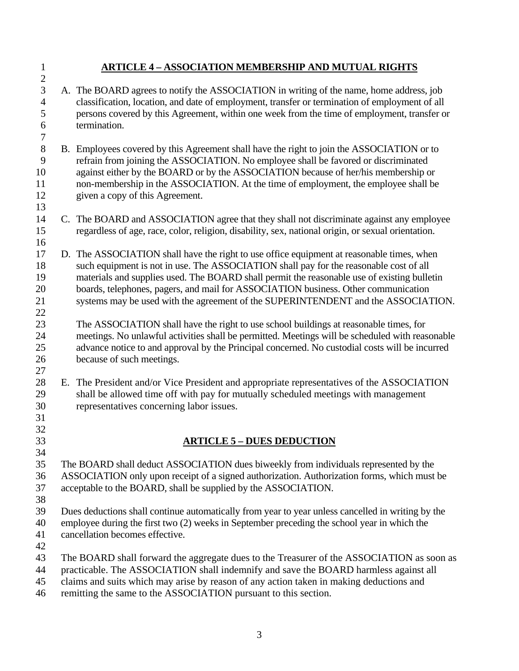#### 1 **ARTICLE 4 – ASSOCIATION MEMBERSHIP AND MUTUAL RIGHTS**  2 3 A. The BOARD agrees to notify the ASSOCIATION in writing of the name, home address, job 4 classification, location, and date of employment, transfer or termination of employment of all 5 persons covered by this Agreement, within one week from the time of employment, transfer or 6 termination. 7 8 B. Employees covered by this Agreement shall have the right to join the ASSOCIATION or to 9 refrain from joining the ASSOCIATION. No employee shall be favored or discriminated 10 against either by the BOARD or by the ASSOCIATION because of her/his membership or 11 non-membership in the ASSOCIATION. At the time of employment, the employee shall be 12 given a copy of this Agreement. 13 14 C. The BOARD and ASSOCIATION agree that they shall not discriminate against any employee 15 regardless of age, race, color, religion, disability, sex, national origin, or sexual orientation. 16 17 D. The ASSOCIATION shall have the right to use office equipment at reasonable times, when 18 such equipment is not in use. The ASSOCIATION shall pay for the reasonable cost of all 19 materials and supplies used. The BOARD shall permit the reasonable use of existing bulletin 20 boards, telephones, pagers, and mail for ASSOCIATION business. Other communication 21 systems may be used with the agreement of the SUPERINTENDENT and the ASSOCIATION. 22 23 The ASSOCIATION shall have the right to use school buildings at reasonable times, for 24 meetings. No unlawful activities shall be permitted. Meetings will be scheduled with reasonable 25 advance notice to and approval by the Principal concerned. No custodial costs will be incurred 26 because of such meetings. 27 28 E. The President and/or Vice President and appropriate representatives of the ASSOCIATION 29 shall be allowed time off with pay for mutually scheduled meetings with management 30 representatives concerning labor issues. 31 32 33 **ARTICLE 5 – DUES DEDUCTION**  34 35 The BOARD shall deduct ASSOCIATION dues biweekly from individuals represented by the 36 ASSOCIATION only upon receipt of a signed authorization. Authorization forms, which must be 37 acceptable to the BOARD, shall be supplied by the ASSOCIATION. 38 39 Dues deductions shall continue automatically from year to year unless cancelled in writing by the 40 employee during the first two (2) weeks in September preceding the school year in which the 41 cancellation becomes effective.

- 42
- 43 The BOARD shall forward the aggregate dues to the Treasurer of the ASSOCIATION as soon as
- 44 practicable. The ASSOCIATION shall indemnify and save the BOARD harmless against all
- 45 claims and suits which may arise by reason of any action taken in making deductions and
- 46 remitting the same to the ASSOCIATION pursuant to this section.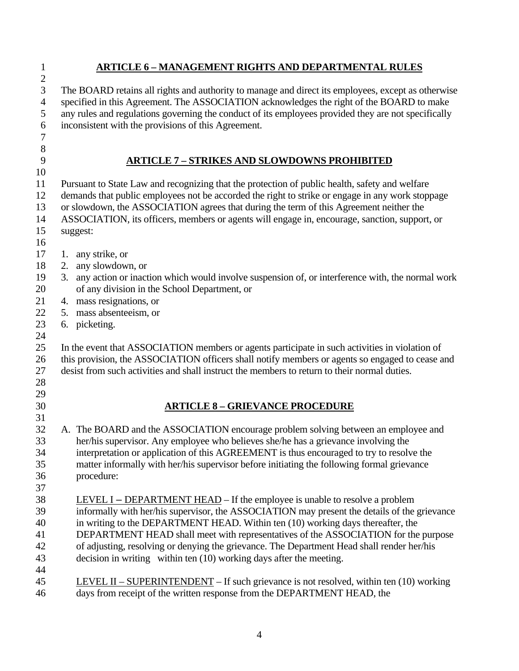| 1              | <b>ARTICLE 6 - MANAGEMENT RIGHTS AND DEPARTMENTAL RULES</b>                                                                                                           |  |  |  |  |
|----------------|-----------------------------------------------------------------------------------------------------------------------------------------------------------------------|--|--|--|--|
| $\mathfrak{2}$ |                                                                                                                                                                       |  |  |  |  |
| 3              | The BOARD retains all rights and authority to manage and direct its employees, except as otherwise                                                                    |  |  |  |  |
| $\overline{4}$ | specified in this Agreement. The ASSOCIATION acknowledges the right of the BOARD to make                                                                              |  |  |  |  |
| 5              | any rules and regulations governing the conduct of its employees provided they are not specifically                                                                   |  |  |  |  |
| 6              | inconsistent with the provisions of this Agreement.                                                                                                                   |  |  |  |  |
| 7              |                                                                                                                                                                       |  |  |  |  |
| $8\,$          |                                                                                                                                                                       |  |  |  |  |
| 9              | <b>ARTICLE 7 - STRIKES AND SLOWDOWNS PROHIBITED</b>                                                                                                                   |  |  |  |  |
| 10             |                                                                                                                                                                       |  |  |  |  |
| 11             | Pursuant to State Law and recognizing that the protection of public health, safety and welfare                                                                        |  |  |  |  |
| 12             | demands that public employees not be accorded the right to strike or engage in any work stoppage                                                                      |  |  |  |  |
| 13             | or slowdown, the ASSOCIATION agrees that during the term of this Agreement neither the                                                                                |  |  |  |  |
| 14             | ASSOCIATION, its officers, members or agents will engage in, encourage, sanction, support, or                                                                         |  |  |  |  |
| 15             | suggest:                                                                                                                                                              |  |  |  |  |
| 16             |                                                                                                                                                                       |  |  |  |  |
| 17             | 1. any strike, or                                                                                                                                                     |  |  |  |  |
| 18             | 2. any slowdown, or                                                                                                                                                   |  |  |  |  |
| 19             | 3. any action or inaction which would involve suspension of, or interference with, the normal work                                                                    |  |  |  |  |
| 20             | of any division in the School Department, or                                                                                                                          |  |  |  |  |
| 21             | 4. mass resignations, or                                                                                                                                              |  |  |  |  |
| 22             | 5. mass absenteeism, or                                                                                                                                               |  |  |  |  |
| 23             | 6. picketing.                                                                                                                                                         |  |  |  |  |
| 24             |                                                                                                                                                                       |  |  |  |  |
| 25             | In the event that ASSOCIATION members or agents participate in such activities in violation of                                                                        |  |  |  |  |
| 26             | this provision, the ASSOCIATION officers shall notify members or agents so engaged to cease and                                                                       |  |  |  |  |
| 27             | desist from such activities and shall instruct the members to return to their normal duties.                                                                          |  |  |  |  |
| 28             |                                                                                                                                                                       |  |  |  |  |
| 29             |                                                                                                                                                                       |  |  |  |  |
| 30             | <b>ARTICLE 8 - GRIEVANCE PROCEDURE</b>                                                                                                                                |  |  |  |  |
| 31             |                                                                                                                                                                       |  |  |  |  |
| 32             | A. The BOARD and the ASSOCIATION encourage problem solving between an employee and                                                                                    |  |  |  |  |
| 33             | her/his supervisor. Any employee who believes she/he has a grievance involving the                                                                                    |  |  |  |  |
| 34             | interpretation or application of this AGREEMENT is thus encouraged to try to resolve the                                                                              |  |  |  |  |
| 35             | matter informally with her/his supervisor before initiating the following formal grievance                                                                            |  |  |  |  |
| 36             | procedure:                                                                                                                                                            |  |  |  |  |
| 37             |                                                                                                                                                                       |  |  |  |  |
| 38             | <u>LEVEL I – DEPARTMENT HEAD</u> – If the employee is unable to resolve a problem                                                                                     |  |  |  |  |
| 39             | informally with her/his supervisor, the ASSOCIATION may present the details of the grievance                                                                          |  |  |  |  |
| 40             | in writing to the DEPARTMENT HEAD. Within ten (10) working days thereafter, the<br>DEPARTMENT HEAD shall meet with representatives of the ASSOCIATION for the purpose |  |  |  |  |
| 41             |                                                                                                                                                                       |  |  |  |  |
| 42             | of adjusting, resolving or denying the grievance. The Department Head shall render her/his                                                                            |  |  |  |  |
| 43<br>44       | decision in writing within ten (10) working days after the meeting.                                                                                                   |  |  |  |  |
| 45             | LEVEL II – SUPERINTENDENT – If such grievance is not resolved, within ten $(10)$ working                                                                              |  |  |  |  |
| 46             | days from receipt of the written response from the DEPARTMENT HEAD, the                                                                                               |  |  |  |  |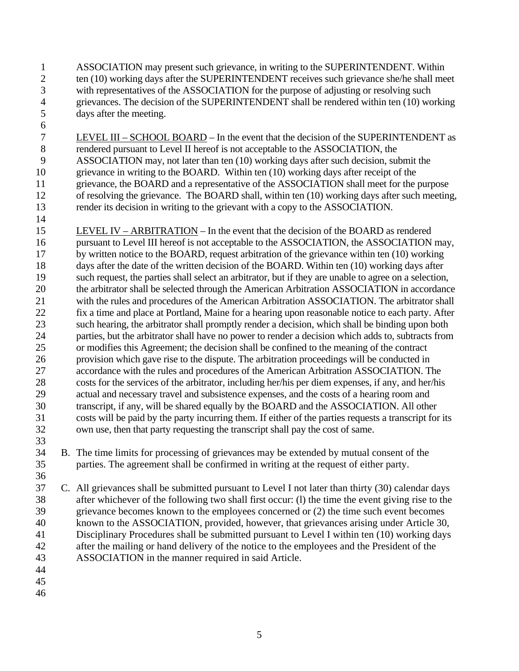- 1 ASSOCIATION may present such grievance, in writing to the SUPERINTENDENT. Within 2 ten (10) working days after the SUPERINTENDENT receives such grievance she/he shall meet 3 with representatives of the ASSOCIATION for the purpose of adjusting or resolving such 4 grievances. The decision of the SUPERINTENDENT shall be rendered within ten (10) working 5 days after the meeting.
- 7 LEVEL III SCHOOL BOARD In the event that the decision of the SUPERINTENDENT as 8 rendered pursuant to Level II hereof is not acceptable to the ASSOCIATION, the 9 ASSOCIATION may, not later than ten (10) working days after such decision, submit the 10 grievance in writing to the BOARD. Within ten (10) working days after receipt of the 11 grievance, the BOARD and a representative of the ASSOCIATION shall meet for the purpose 12 of resolving the grievance. The BOARD shall, within ten (10) working days after such meeting, 13 render its decision in writing to the grievant with a copy to the ASSOCIATION.
- 15 LEVEL IV ARBITRATION In the event that the decision of the BOARD as rendered 16 pursuant to Level III hereof is not acceptable to the ASSOCIATION, the ASSOCIATION may, 17 by written notice to the BOARD, request arbitration of the grievance within ten (10) working 18 days after the date of the written decision of the BOARD. Within ten (10) working days after 19 such request, the parties shall select an arbitrator, but if they are unable to agree on a selection, 20 the arbitrator shall be selected through the American Arbitration ASSOCIATION in accordance 21 with the rules and procedures of the American Arbitration ASSOCIATION. The arbitrator shall 22 fix a time and place at Portland, Maine for a hearing upon reasonable notice to each party. After 23 such hearing, the arbitrator shall promptly render a decision, which shall be binding upon both 24 parties, but the arbitrator shall have no power to render a decision which adds to, subtracts from 25 or modifies this Agreement; the decision shall be confined to the meaning of the contract 26 provision which gave rise to the dispute. The arbitration proceedings will be conducted in 27 accordance with the rules and procedures of the American Arbitration ASSOCIATION. The 28 costs for the services of the arbitrator, including her/his per diem expenses, if any, and her/his 29 actual and necessary travel and subsistence expenses, and the costs of a hearing room and 30 transcript, if any, will be shared equally by the BOARD and the ASSOCIATION. All other 31 costs will be paid by the party incurring them. If either of the parties requests a transcript for its 32 own use, then that party requesting the transcript shall pay the cost of same. 33
- 34 B. The time limits for processing of grievances may be extended by mutual consent of the 35 parties. The agreement shall be confirmed in writing at the request of either party. 36
- 37 C. All grievances shall be submitted pursuant to Level I not later than thirty (30) calendar days 38 after whichever of the following two shall first occur: (l) the time the event giving rise to the 39 grievance becomes known to the employees concerned or (2) the time such event becomes 40 known to the ASSOCIATION, provided, however, that grievances arising under Article 30, 41 Disciplinary Procedures shall be submitted pursuant to Level I within ten (10) working days 42 after the mailing or hand delivery of the notice to the employees and the President of the 43 ASSOCIATION in the manner required in said Article.
- 44

6

14

- 45
- 46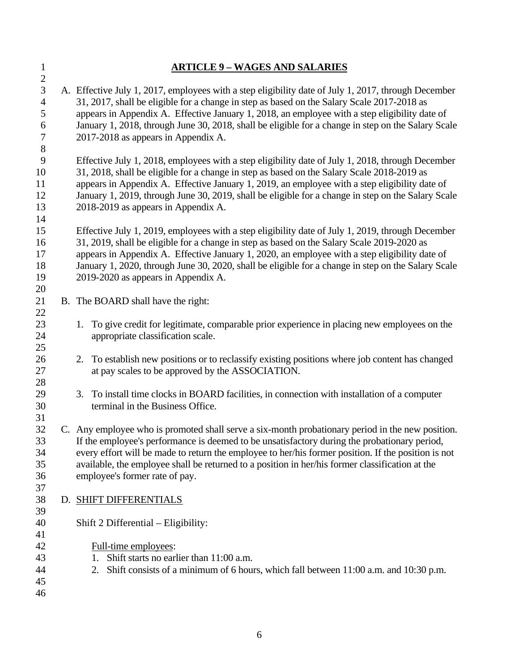| $\mathbf{1}$                                          | <b>ARTICLE 9 - WAGES AND SALARIES</b>                                                                                                                                                                                                                                                                                                                                                                                                           |
|-------------------------------------------------------|-------------------------------------------------------------------------------------------------------------------------------------------------------------------------------------------------------------------------------------------------------------------------------------------------------------------------------------------------------------------------------------------------------------------------------------------------|
| $\sqrt{2}$<br>3<br>$\overline{4}$<br>5<br>6<br>7<br>8 | A. Effective July 1, 2017, employees with a step eligibility date of July 1, 2017, through December<br>31, 2017, shall be eligible for a change in step as based on the Salary Scale 2017-2018 as<br>appears in Appendix A. Effective January 1, 2018, an employee with a step eligibility date of<br>January 1, 2018, through June 30, 2018, shall be eligible for a change in step on the Salary Scale<br>2017-2018 as appears in Appendix A. |
| 9<br>10<br>11<br>12<br>13<br>14                       | Effective July 1, 2018, employees with a step eligibility date of July 1, 2018, through December<br>31, 2018, shall be eligible for a change in step as based on the Salary Scale 2018-2019 as<br>appears in Appendix A. Effective January 1, 2019, an employee with a step eligibility date of<br>January 1, 2019, through June 30, 2019, shall be eligible for a change in step on the Salary Scale<br>2018-2019 as appears in Appendix A.    |
| 15<br>16<br>17<br>18<br>19<br>20                      | Effective July 1, 2019, employees with a step eligibility date of July 1, 2019, through December<br>31, 2019, shall be eligible for a change in step as based on the Salary Scale 2019-2020 as<br>appears in Appendix A. Effective January 1, 2020, an employee with a step eligibility date of<br>January 1, 2020, through June 30, 2020, shall be eligible for a change in step on the Salary Scale<br>2019-2020 as appears in Appendix A.    |
| 21                                                    | B. The BOARD shall have the right:                                                                                                                                                                                                                                                                                                                                                                                                              |
| 22<br>23<br>24<br>25                                  | 1. To give credit for legitimate, comparable prior experience in placing new employees on the<br>appropriate classification scale.                                                                                                                                                                                                                                                                                                              |
| 26<br>27<br>28                                        | 2. To establish new positions or to reclassify existing positions where job content has changed<br>at pay scales to be approved by the ASSOCIATION.                                                                                                                                                                                                                                                                                             |
| 29<br>30<br>31                                        | 3. To install time clocks in BOARD facilities, in connection with installation of a computer<br>terminal in the Business Office.                                                                                                                                                                                                                                                                                                                |
| 32<br>33<br>34<br>35<br>36                            | C. Any employee who is promoted shall serve a six-month probationary period in the new position.<br>If the employee's performance is deemed to be unsatisfactory during the probationary period,<br>every effort will be made to return the employee to her/his former position. If the position is not<br>available, the employee shall be returned to a position in her/his former classification at the<br>employee's former rate of pay.    |
| 37<br>38                                              | D. SHIFT DIFFERENTIALS                                                                                                                                                                                                                                                                                                                                                                                                                          |
| 39<br>40<br>41<br>42<br>43<br>44<br>45<br>46          | Shift 2 Differential - Eligibility:<br>Full-time employees:<br>Shift starts no earlier than 11:00 a.m.<br>1.<br>Shift consists of a minimum of 6 hours, which fall between 11:00 a.m. and 10:30 p.m.<br>2.                                                                                                                                                                                                                                      |
|                                                       |                                                                                                                                                                                                                                                                                                                                                                                                                                                 |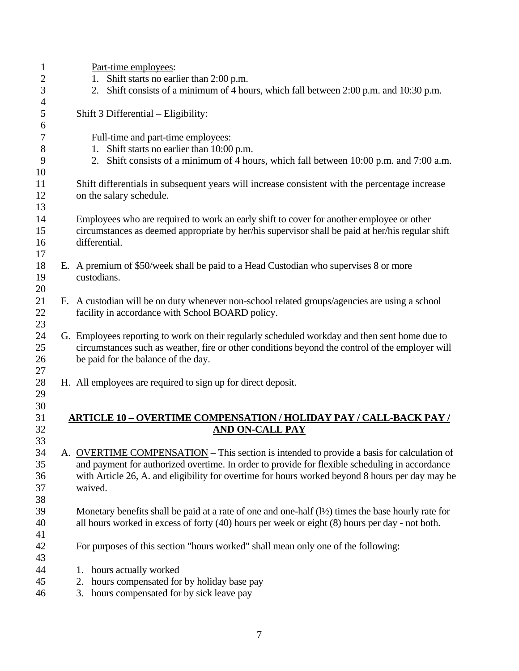| $\mathbf{1}$   |                                              | Part-time employees:                                                                                              |  |  |  |  |
|----------------|----------------------------------------------|-------------------------------------------------------------------------------------------------------------------|--|--|--|--|
| $\overline{2}$ | Shift starts no earlier than 2:00 p.m.<br>1. |                                                                                                                   |  |  |  |  |
| 3              |                                              | 2. Shift consists of a minimum of 4 hours, which fall between 2:00 p.m. and 10:30 p.m.                            |  |  |  |  |
| $\overline{4}$ |                                              |                                                                                                                   |  |  |  |  |
| 5<br>6         |                                              | Shift 3 Differential – Eligibility:                                                                               |  |  |  |  |
| 7              |                                              | Full-time and part-time employees:                                                                                |  |  |  |  |
| 8              |                                              | 1. Shift starts no earlier than 10:00 p.m.                                                                        |  |  |  |  |
| 9              |                                              | 2. Shift consists of a minimum of 4 hours, which fall between 10:00 p.m. and 7:00 a.m.                            |  |  |  |  |
| 10             |                                              |                                                                                                                   |  |  |  |  |
| 11             |                                              | Shift differentials in subsequent years will increase consistent with the percentage increase                     |  |  |  |  |
| 12             |                                              |                                                                                                                   |  |  |  |  |
| 13             |                                              | on the salary schedule.                                                                                           |  |  |  |  |
|                |                                              |                                                                                                                   |  |  |  |  |
| 14             |                                              | Employees who are required to work an early shift to cover for another employee or other                          |  |  |  |  |
| 15             |                                              | circumstances as deemed appropriate by her/his supervisor shall be paid at her/his regular shift<br>differential. |  |  |  |  |
| 16             |                                              |                                                                                                                   |  |  |  |  |
| 17             |                                              |                                                                                                                   |  |  |  |  |
| 18             |                                              | E. A premium of \$50/week shall be paid to a Head Custodian who supervises 8 or more<br>custodians.               |  |  |  |  |
| 19             |                                              |                                                                                                                   |  |  |  |  |
| 20             |                                              |                                                                                                                   |  |  |  |  |
| 21<br>22       |                                              | F. A custodian will be on duty whenever non-school related groups/agencies are using a school                     |  |  |  |  |
|                |                                              | facility in accordance with School BOARD policy.                                                                  |  |  |  |  |
| 23             |                                              |                                                                                                                   |  |  |  |  |
| 24             |                                              | G. Employees reporting to work on their regularly scheduled workday and then sent home due to                     |  |  |  |  |
| 25             |                                              | circumstances such as weather, fire or other conditions beyond the control of the employer will                   |  |  |  |  |
| 26<br>27       |                                              | be paid for the balance of the day.                                                                               |  |  |  |  |
| 28             |                                              | H. All employees are required to sign up for direct deposit.                                                      |  |  |  |  |
| 29             |                                              |                                                                                                                   |  |  |  |  |
| 30             |                                              |                                                                                                                   |  |  |  |  |
| 31             |                                              | <b>ARTICLE 10 – OVERTIME COMPENSATION / HOLIDAY PAY / CALL-BACK PAY /</b>                                         |  |  |  |  |
| 32             |                                              | <b>AND ON-CALL PAY</b>                                                                                            |  |  |  |  |
| 33             |                                              |                                                                                                                   |  |  |  |  |
| 34             |                                              | A. OVERTIME COMPENSATION – This section is intended to provide a basis for calculation of                         |  |  |  |  |
| 35             |                                              | and payment for authorized overtime. In order to provide for flexible scheduling in accordance                    |  |  |  |  |
| 36             |                                              | with Article 26, A. and eligibility for overtime for hours worked beyond 8 hours per day may be                   |  |  |  |  |
| 37             |                                              | waived.                                                                                                           |  |  |  |  |
| 38             |                                              |                                                                                                                   |  |  |  |  |
| 39             |                                              | Monetary benefits shall be paid at a rate of one and one-half $(1/2)$ times the base hourly rate for              |  |  |  |  |
| 40             |                                              | all hours worked in excess of forty (40) hours per week or eight (8) hours per day - not both.                    |  |  |  |  |
| 41             |                                              |                                                                                                                   |  |  |  |  |
| 42             |                                              | For purposes of this section "hours worked" shall mean only one of the following:                                 |  |  |  |  |
| 43             |                                              |                                                                                                                   |  |  |  |  |
| 44             |                                              | hours actually worked<br>1.                                                                                       |  |  |  |  |
| 45             |                                              | hours compensated for by holiday base pay<br>2.                                                                   |  |  |  |  |
| 46             |                                              | hours compensated for by sick leave pay<br>3.                                                                     |  |  |  |  |
|                |                                              |                                                                                                                   |  |  |  |  |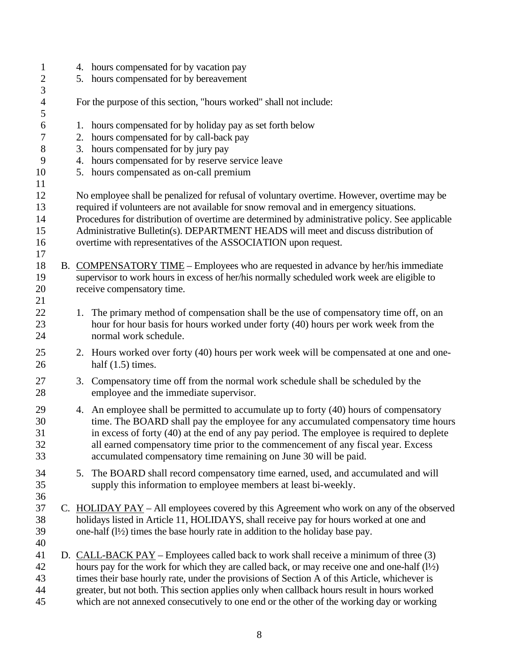1 4. hours compensated for by vacation pay 2 5. hours compensated for by bereavement 3 4 For the purpose of this section, "hours worked" shall not include: 5 6 1. hours compensated for by holiday pay as set forth below 7 2. hours compensated for by call-back pay 8 3. hours compensated for by jury pay 9 4. hours compensated for by reserve service leave 10 5. hours compensated as on-call premium 11 12 No employee shall be penalized for refusal of voluntary overtime. However, overtime may be 13 required if volunteers are not available for snow removal and in emergency situations. 14 Procedures for distribution of overtime are determined by administrative policy. See applicable 15 Administrative Bulletin(s). DEPARTMENT HEADS will meet and discuss distribution of 16 overtime with representatives of the ASSOCIATION upon request. 17 18 B. COMPENSATORY TIME – Employees who are requested in advance by her/his immediate 19 supervisor to work hours in excess of her/his normally scheduled work week are eligible to 20 receive compensatory time. 21 22 1. The primary method of compensation shall be the use of compensatory time off, on an 23 hour for hour basis for hours worked under forty (40) hours per work week from the 24 normal work schedule. 25 2. Hours worked over forty (40) hours per work week will be compensated at one and one-26 half (1.5) times. 27 3. Compensatory time off from the normal work schedule shall be scheduled by the 28 employee and the immediate supervisor. 29 4. An employee shall be permitted to accumulate up to forty (40) hours of compensatory 30 time. The BOARD shall pay the employee for any accumulated compensatory time hours 31 in excess of forty (40) at the end of any pay period. The employee is required to deplete 32 all earned compensatory time prior to the commencement of any fiscal year. Excess 33 accumulated compensatory time remaining on June 30 will be paid. 34 5. The BOARD shall record compensatory time earned, used, and accumulated and will 35 supply this information to employee members at least bi-weekly. 36 37 C. HOLIDAY PAY – All employees covered by this Agreement who work on any of the observed 38 holidays listed in Article 11, HOLIDAYS, shall receive pay for hours worked at one and 39 one-half (l½) times the base hourly rate in addition to the holiday base pay. 40 41 D. CALL-BACK PAY – Employees called back to work shall receive a minimum of three (3) 42 hours pay for the work for which they are called back, or may receive one and one-half (l½) 43 times their base hourly rate, under the provisions of Section A of this Article, whichever is 44 greater, but not both. This section applies only when callback hours result in hours worked 45 which are not annexed consecutively to one end or the other of the working day or working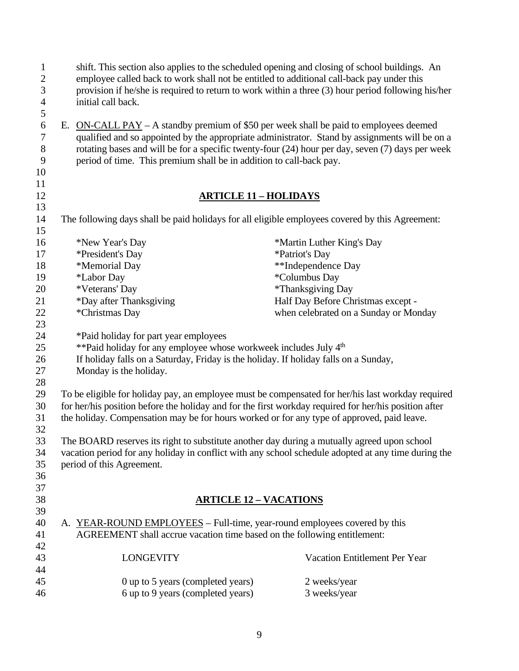| $\mathbf{1}$<br>$\overline{2}$ | shift. This section also applies to the scheduled opening and closing of school buildings. An<br>employee called back to work shall not be entitled to additional call-back pay under this |                                       |
|--------------------------------|--------------------------------------------------------------------------------------------------------------------------------------------------------------------------------------------|---------------------------------------|
| $\mathfrak{Z}$                 | provision if he/she is required to return to work within a three (3) hour period following his/her                                                                                         |                                       |
| $\overline{4}$                 | initial call back.                                                                                                                                                                         |                                       |
| 5                              |                                                                                                                                                                                            |                                       |
| $\sqrt{6}$                     | E. ON-CALL PAY – A standby premium of \$50 per week shall be paid to employees deemed                                                                                                      |                                       |
| $\boldsymbol{7}$               | qualified and so appointed by the appropriate administrator. Stand by assignments will be on a                                                                                             |                                       |
| $8\,$                          | rotating bases and will be for a specific twenty-four (24) hour per day, seven (7) days per week                                                                                           |                                       |
| $\overline{9}$                 | period of time. This premium shall be in addition to call-back pay.                                                                                                                        |                                       |
| 10                             |                                                                                                                                                                                            |                                       |
| 11                             |                                                                                                                                                                                            |                                       |
| 12                             | <b>ARTICLE 11 - HOLIDAYS</b>                                                                                                                                                               |                                       |
| 13<br>14                       | The following days shall be paid holidays for all eligible employees covered by this Agreement:                                                                                            |                                       |
| 15                             |                                                                                                                                                                                            |                                       |
| 16                             | *New Year's Day                                                                                                                                                                            | *Martin Luther King's Day             |
| 17                             | *President's Day                                                                                                                                                                           | *Patriot's Day                        |
| 18                             | *Memorial Day                                                                                                                                                                              | **Independence Day                    |
| 19                             | *Labor Day                                                                                                                                                                                 | *Columbus Day                         |
| 20                             | *Veterans' Day                                                                                                                                                                             | *Thanksgiving Day                     |
| 21                             | *Day after Thanksgiving                                                                                                                                                                    | Half Day Before Christmas except -    |
| 22                             | *Christmas Day                                                                                                                                                                             | when celebrated on a Sunday or Monday |
| 23                             |                                                                                                                                                                                            |                                       |
| 24                             | *Paid holiday for part year employees                                                                                                                                                      |                                       |
| 25                             | **Paid holiday for any employee whose workweek includes July 4 <sup>th</sup>                                                                                                               |                                       |
| 26                             | If holiday falls on a Saturday, Friday is the holiday. If holiday falls on a Sunday,                                                                                                       |                                       |
| 27                             | Monday is the holiday.                                                                                                                                                                     |                                       |
| 28                             |                                                                                                                                                                                            |                                       |
| 29                             | To be eligible for holiday pay, an employee must be compensated for her/his last workday required                                                                                          |                                       |
| 30                             | for her/his position before the holiday and for the first workday required for her/his position after                                                                                      |                                       |
| 31                             | the holiday. Compensation may be for hours worked or for any type of approved, paid leave.                                                                                                 |                                       |
| 32                             |                                                                                                                                                                                            |                                       |
| 33                             | The BOARD reserves its right to substitute another day during a mutually agreed upon school                                                                                                |                                       |
| 34                             | vacation period for any holiday in conflict with any school schedule adopted at any time during the                                                                                        |                                       |
| 35                             | period of this Agreement.                                                                                                                                                                  |                                       |
| 36                             |                                                                                                                                                                                            |                                       |
| 37                             |                                                                                                                                                                                            |                                       |
| 38                             | <b>ARTICLE 12 - VACATIONS</b>                                                                                                                                                              |                                       |
| 39                             |                                                                                                                                                                                            |                                       |
| 40                             | A. YEAR-ROUND EMPLOYEES – Full-time, year-round employees covered by this                                                                                                                  |                                       |
| 41                             | AGREEMENT shall accrue vacation time based on the following entitlement:                                                                                                                   |                                       |
| 42                             |                                                                                                                                                                                            |                                       |
| 43                             | <b>LONGEVITY</b>                                                                                                                                                                           | Vacation Entitlement Per Year         |
| 44                             |                                                                                                                                                                                            |                                       |
| 45                             | 0 up to 5 years (completed years)                                                                                                                                                          | 2 weeks/year                          |
| 46                             | 6 up to 9 years (completed years)                                                                                                                                                          | 3 weeks/year                          |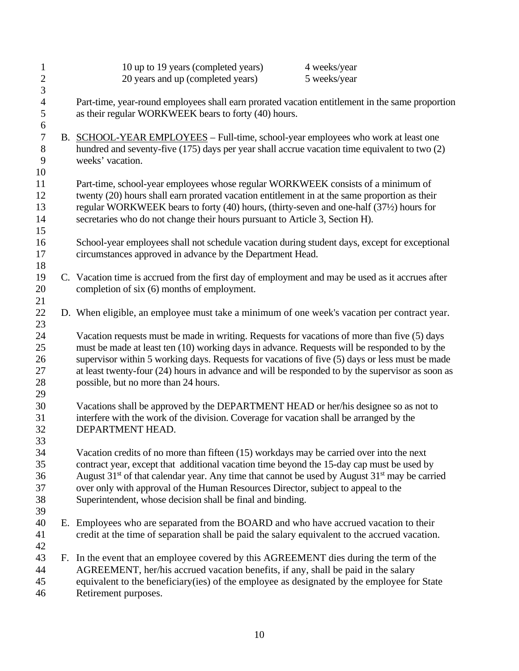| $\mathbf{1}$     | 10 up to 19 years (completed years)<br>4 weeks/year                                                                                                                                   |                                                                              |  |  |  |
|------------------|---------------------------------------------------------------------------------------------------------------------------------------------------------------------------------------|------------------------------------------------------------------------------|--|--|--|
| $\overline{2}$   | 20 years and up (completed years)<br>5 weeks/year                                                                                                                                     |                                                                              |  |  |  |
| 3                |                                                                                                                                                                                       |                                                                              |  |  |  |
| $\overline{4}$   | Part-time, year-round employees shall earn prorated vacation entitlement in the same proportion                                                                                       |                                                                              |  |  |  |
| 5                | as their regular WORKWEEK bears to forty (40) hours.                                                                                                                                  |                                                                              |  |  |  |
| 6                |                                                                                                                                                                                       |                                                                              |  |  |  |
| $\boldsymbol{7}$ | B. SCHOOL-YEAR EMPLOYEES - Full-time, school-year employees who work at least one                                                                                                     |                                                                              |  |  |  |
| $8\,$            | hundred and seventy-five (175) days per year shall accrue vacation time equivalent to two (2)                                                                                         |                                                                              |  |  |  |
| 9                | weeks' vacation.                                                                                                                                                                      |                                                                              |  |  |  |
| 10               |                                                                                                                                                                                       |                                                                              |  |  |  |
| 11               | Part-time, school-year employees whose regular WORKWEEK consists of a minimum of                                                                                                      |                                                                              |  |  |  |
| 12               | twenty (20) hours shall earn prorated vacation entitlement in at the same proportion as their                                                                                         |                                                                              |  |  |  |
| 13               | regular WORKWEEK bears to forty (40) hours, (thirty-seven and one-half (371/2) hours for                                                                                              |                                                                              |  |  |  |
| 14               |                                                                                                                                                                                       | secretaries who do not change their hours pursuant to Article 3, Section H). |  |  |  |
| 15               |                                                                                                                                                                                       |                                                                              |  |  |  |
| 16               | School-year employees shall not schedule vacation during student days, except for exceptional                                                                                         |                                                                              |  |  |  |
| 17               | circumstances approved in advance by the Department Head.                                                                                                                             |                                                                              |  |  |  |
| 18               |                                                                                                                                                                                       |                                                                              |  |  |  |
| 19               | C. Vacation time is accrued from the first day of employment and may be used as it accrues after                                                                                      |                                                                              |  |  |  |
| 20               | completion of six (6) months of employment.                                                                                                                                           |                                                                              |  |  |  |
| 21               |                                                                                                                                                                                       |                                                                              |  |  |  |
| 22               | D. When eligible, an employee must take a minimum of one week's vacation per contract year.                                                                                           |                                                                              |  |  |  |
| 23               |                                                                                                                                                                                       |                                                                              |  |  |  |
| 24               | Vacation requests must be made in writing. Requests for vacations of more than five (5) days                                                                                          |                                                                              |  |  |  |
| 25               | must be made at least ten (10) working days in advance. Requests will be responded to by the                                                                                          |                                                                              |  |  |  |
| 26               | supervisor within 5 working days. Requests for vacations of five (5) days or less must be made                                                                                        |                                                                              |  |  |  |
| 27               | at least twenty-four (24) hours in advance and will be responded to by the supervisor as soon as                                                                                      |                                                                              |  |  |  |
| 28               | possible, but no more than 24 hours.                                                                                                                                                  |                                                                              |  |  |  |
| 29               |                                                                                                                                                                                       |                                                                              |  |  |  |
| 30               | Vacations shall be approved by the DEPARTMENT HEAD or her/his designee so as not to                                                                                                   |                                                                              |  |  |  |
| 31               | interfere with the work of the division. Coverage for vacation shall be arranged by the                                                                                               |                                                                              |  |  |  |
| 32               | DEPARTMENT HEAD.                                                                                                                                                                      |                                                                              |  |  |  |
| 33               |                                                                                                                                                                                       |                                                                              |  |  |  |
| 34<br>35         | Vacation credits of no more than fifteen (15) workdays may be carried over into the next<br>contract year, except that additional vacation time beyond the 15-day cap must be used by |                                                                              |  |  |  |
| 36               | August $31st$ of that calendar year. Any time that cannot be used by August $31st$ may be carried                                                                                     |                                                                              |  |  |  |
| 37               | over only with approval of the Human Resources Director, subject to appeal to the                                                                                                     |                                                                              |  |  |  |
| 38               | Superintendent, whose decision shall be final and binding.                                                                                                                            |                                                                              |  |  |  |
| 39               |                                                                                                                                                                                       |                                                                              |  |  |  |
| 40               | E. Employees who are separated from the BOARD and who have accrued vacation to their                                                                                                  |                                                                              |  |  |  |
| 41               | credit at the time of separation shall be paid the salary equivalent to the accrued vacation.                                                                                         |                                                                              |  |  |  |
| 42               |                                                                                                                                                                                       |                                                                              |  |  |  |
| 43               | F. In the event that an employee covered by this AGREEMENT dies during the term of the                                                                                                |                                                                              |  |  |  |
| 44               | AGREEMENT, her/his accrued vacation benefits, if any, shall be paid in the salary                                                                                                     |                                                                              |  |  |  |
|                  |                                                                                                                                                                                       |                                                                              |  |  |  |
| 46               |                                                                                                                                                                                       |                                                                              |  |  |  |
| 45               | equivalent to the beneficiary(ies) of the employee as designated by the employee for State<br>Retirement purposes.                                                                    |                                                                              |  |  |  |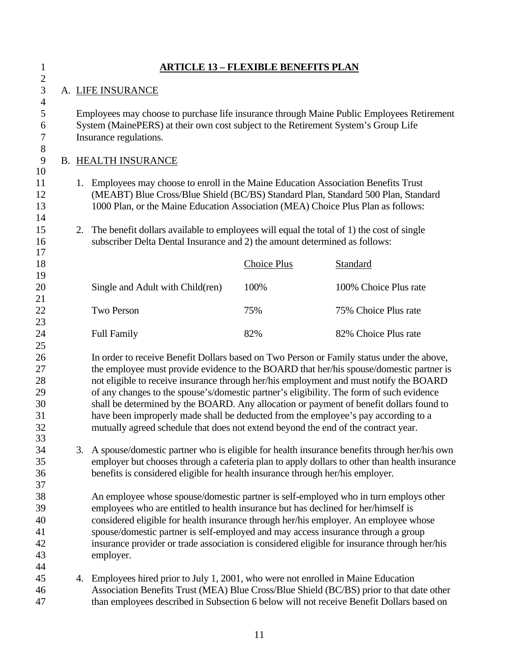| $\mathbf{1}$                                       | <u> ARTICLE 13 – FLEXIBLE BENEFITS PLAN</u>                                                                                                                                                                                                                     |                                                                                                                                                                                                           |                                                                                                                                                                                                                                                                                                                                                                                                                                                                                                                                                                                                                                                   |                    |                       |
|----------------------------------------------------|-----------------------------------------------------------------------------------------------------------------------------------------------------------------------------------------------------------------------------------------------------------------|-----------------------------------------------------------------------------------------------------------------------------------------------------------------------------------------------------------|---------------------------------------------------------------------------------------------------------------------------------------------------------------------------------------------------------------------------------------------------------------------------------------------------------------------------------------------------------------------------------------------------------------------------------------------------------------------------------------------------------------------------------------------------------------------------------------------------------------------------------------------------|--------------------|-----------------------|
| $\sqrt{2}$<br>3                                    |                                                                                                                                                                                                                                                                 |                                                                                                                                                                                                           | A. LIFE INSURANCE                                                                                                                                                                                                                                                                                                                                                                                                                                                                                                                                                                                                                                 |                    |                       |
| $\overline{4}$<br>5<br>6<br>7                      |                                                                                                                                                                                                                                                                 | Employees may choose to purchase life insurance through Maine Public Employees Retirement<br>System (MainePERS) at their own cost subject to the Retirement System's Group Life<br>Insurance regulations. |                                                                                                                                                                                                                                                                                                                                                                                                                                                                                                                                                                                                                                                   |                    |                       |
| 8<br>9                                             |                                                                                                                                                                                                                                                                 |                                                                                                                                                                                                           | <b>B. HEALTH INSURANCE</b>                                                                                                                                                                                                                                                                                                                                                                                                                                                                                                                                                                                                                        |                    |                       |
| 10<br>11<br>12<br>13<br>14                         | 1.<br>Employees may choose to enroll in the Maine Education Association Benefits Trust<br>(MEABT) Blue Cross/Blue Shield (BC/BS) Standard Plan, Standard 500 Plan, Standard<br>1000 Plan, or the Maine Education Association (MEA) Choice Plus Plan as follows: |                                                                                                                                                                                                           |                                                                                                                                                                                                                                                                                                                                                                                                                                                                                                                                                                                                                                                   |                    |                       |
| 15<br>16                                           |                                                                                                                                                                                                                                                                 | 2.                                                                                                                                                                                                        | The benefit dollars available to employees will equal the total of 1) the cost of single<br>subscriber Delta Dental Insurance and 2) the amount determined as follows:                                                                                                                                                                                                                                                                                                                                                                                                                                                                            |                    |                       |
| 17<br>18                                           |                                                                                                                                                                                                                                                                 |                                                                                                                                                                                                           |                                                                                                                                                                                                                                                                                                                                                                                                                                                                                                                                                                                                                                                   | <b>Choice Plus</b> | <b>Standard</b>       |
| 19<br>20                                           |                                                                                                                                                                                                                                                                 |                                                                                                                                                                                                           | Single and Adult with Child(ren)                                                                                                                                                                                                                                                                                                                                                                                                                                                                                                                                                                                                                  | 100%               | 100% Choice Plus rate |
| 21<br>22                                           |                                                                                                                                                                                                                                                                 |                                                                                                                                                                                                           | <b>Two Person</b>                                                                                                                                                                                                                                                                                                                                                                                                                                                                                                                                                                                                                                 | 75%                | 75% Choice Plus rate  |
| 23<br>24                                           |                                                                                                                                                                                                                                                                 |                                                                                                                                                                                                           | <b>Full Family</b>                                                                                                                                                                                                                                                                                                                                                                                                                                                                                                                                                                                                                                | 82%                | 82% Choice Plus rate  |
| 25<br>26<br>27<br>28<br>29<br>30<br>31<br>32<br>33 |                                                                                                                                                                                                                                                                 |                                                                                                                                                                                                           | In order to receive Benefit Dollars based on Two Person or Family status under the above,<br>the employee must provide evidence to the BOARD that her/his spouse/domestic partner is<br>not eligible to receive insurance through her/his employment and must notify the BOARD<br>of any changes to the spouse's/domestic partner's eligibility. The form of such evidence<br>shall be determined by the BOARD. Any allocation or payment of benefit dollars found to<br>have been improperly made shall be deducted from the employee's pay according to a<br>mutually agreed schedule that does not extend beyond the end of the contract year. |                    |                       |
| 34<br>35<br>36<br>37                               |                                                                                                                                                                                                                                                                 | 3.                                                                                                                                                                                                        | A spouse/domestic partner who is eligible for health insurance benefits through her/his own<br>employer but chooses through a cafeteria plan to apply dollars to other than health insurance<br>benefits is considered eligible for health insurance through her/his employer.                                                                                                                                                                                                                                                                                                                                                                    |                    |                       |
| 38<br>39<br>40<br>41<br>42<br>43<br>44             |                                                                                                                                                                                                                                                                 |                                                                                                                                                                                                           | An employee whose spouse/domestic partner is self-employed who in turn employs other<br>employees who are entitled to health insurance but has declined for her/himself is<br>considered eligible for health insurance through her/his employer. An employee whose<br>spouse/domestic partner is self-employed and may access insurance through a group<br>insurance provider or trade association is considered eligible for insurance through her/his<br>employer.                                                                                                                                                                              |                    |                       |
| 45<br>46<br>47                                     |                                                                                                                                                                                                                                                                 | 4.                                                                                                                                                                                                        | Employees hired prior to July 1, 2001, who were not enrolled in Maine Education<br>Association Benefits Trust (MEA) Blue Cross/Blue Shield (BC/BS) prior to that date other<br>than employees described in Subsection 6 below will not receive Benefit Dollars based on                                                                                                                                                                                                                                                                                                                                                                           |                    |                       |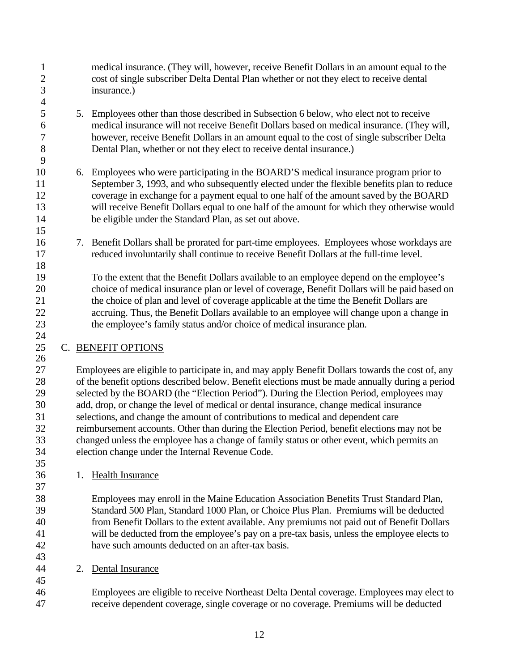1 medical insurance. (They will, however, receive Benefit Dollars in an amount equal to the 2 cost of single subscriber Delta Dental Plan whether or not they elect to receive dental 3 insurance.) 4 5 5. Employees other than those described in Subsection 6 below, who elect not to receive 6 medical insurance will not receive Benefit Dollars based on medical insurance. (They will, 7 however, receive Benefit Dollars in an amount equal to the cost of single subscriber Delta 8 Dental Plan, whether or not they elect to receive dental insurance.) 9 10 6. Employees who were participating in the BOARD'S medical insurance program prior to 11 September 3, 1993, and who subsequently elected under the flexible benefits plan to reduce 12 coverage in exchange for a payment equal to one half of the amount saved by the BOARD 13 will receive Benefit Dollars equal to one half of the amount for which they otherwise would 14 be eligible under the Standard Plan, as set out above. 15 16 7. Benefit Dollars shall be prorated for part-time employees. Employees whose workdays are 17 reduced involuntarily shall continue to receive Benefit Dollars at the full-time level. 18 19 To the extent that the Benefit Dollars available to an employee depend on the employee's 20 choice of medical insurance plan or level of coverage, Benefit Dollars will be paid based on 21 the choice of plan and level of coverage applicable at the time the Benefit Dollars are 22 accruing. Thus, the Benefit Dollars available to an employee will change upon a change in 23 the employee's family status and/or choice of medical insurance plan. 24 25 C. BENEFIT OPTIONS 26 27 Employees are eligible to participate in, and may apply Benefit Dollars towards the cost of, any 28 of the benefit options described below. Benefit elections must be made annually during a period 29 selected by the BOARD (the "Election Period"). During the Election Period, employees may 30 add, drop, or change the level of medical or dental insurance, change medical insurance 31 selections, and change the amount of contributions to medical and dependent care 32 reimbursement accounts. Other than during the Election Period, benefit elections may not be 33 changed unless the employee has a change of family status or other event, which permits an 34 election change under the Internal Revenue Code. 35 36 1. Health Insurance 37 38 Employees may enroll in the Maine Education Association Benefits Trust Standard Plan,

39 Standard 500 Plan, Standard 1000 Plan, or Choice Plus Plan. Premiums will be deducted 40 from Benefit Dollars to the extent available. Any premiums not paid out of Benefit Dollars 41 will be deducted from the employee's pay on a pre-tax basis, unless the employee elects to 42 have such amounts deducted on an after-tax basis.

44 2. Dental Insurance

43

45

46 Employees are eligible to receive Northeast Delta Dental coverage. Employees may elect to 47 receive dependent coverage, single coverage or no coverage. Premiums will be deducted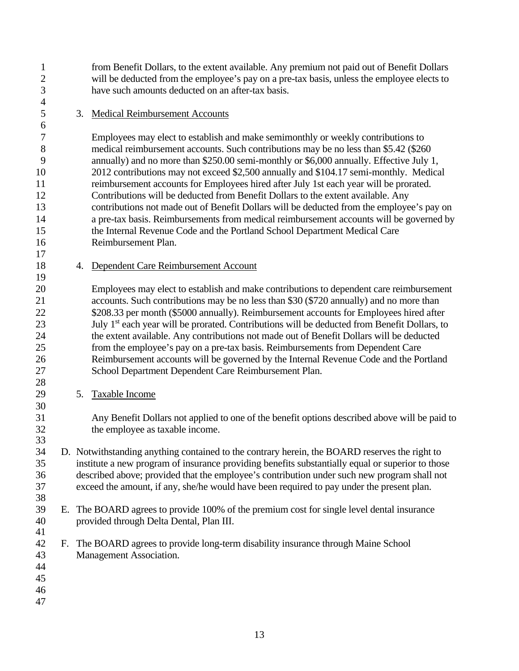1 from Benefit Dollars, to the extent available. Any premium not paid out of Benefit Dollars 2 will be deducted from the employee's pay on a pre-tax basis, unless the employee elects to 3 have such amounts deducted on an after-tax basis.

#### 5 3. Medical Reimbursement Accounts

7 Employees may elect to establish and make semimonthly or weekly contributions to 8 medical reimbursement accounts. Such contributions may be no less than \$5.42 (\$260) 9 annually) and no more than \$250.00 semi-monthly or \$6,000 annually. Effective July 1, 10 2012 contributions may not exceed \$2,500 annually and \$104.17 semi-monthly. Medical 11 reimbursement accounts for Employees hired after July 1st each year will be prorated. 12 Contributions will be deducted from Benefit Dollars to the extent available. Any 13 contributions not made out of Benefit Dollars will be deducted from the employee's pay on 14 a pre-tax basis. Reimbursements from medical reimbursement accounts will be governed by 15 the Internal Revenue Code and the Portland School Department Medical Care 16 Reimbursement Plan.

18 4. Dependent Care Reimbursement Account

20 Employees may elect to establish and make contributions to dependent care reimbursement 21 accounts. Such contributions may be no less than \$30 (\$720 annually) and no more than 22 \$208.33 per month (\$5000 annually). Reimbursement accounts for Employees hired after 23  $\mu$  July 1<sup>st</sup> each year will be prorated. Contributions will be deducted from Benefit Dollars, to 24 the extent available. Any contributions not made out of Benefit Dollars will be deducted 25 from the employee's pay on a pre-tax basis. Reimbursements from Dependent Care 26 Reimbursement accounts will be governed by the Internal Revenue Code and the Portland 27 School Department Dependent Care Reimbursement Plan.

29 5. Taxable Income

31 Any Benefit Dollars not applied to one of the benefit options described above will be paid to 32 the employee as taxable income.

- 34 D. Notwithstanding anything contained to the contrary herein, the BOARD reserves the right to 35 institute a new program of insurance providing benefits substantially equal or superior to those 36 described above; provided that the employee's contribution under such new program shall not 37 exceed the amount, if any, she/he would have been required to pay under the present plan.
- 39 E. The BOARD agrees to provide 100% of the premium cost for single level dental insurance 40 provided through Delta Dental, Plan III. 41
- 42 F. The BOARD agrees to provide long-term disability insurance through Maine School 43 Management Association.
- 44

4

6

17

19

28

30

33

38

- 45
- 46
- 47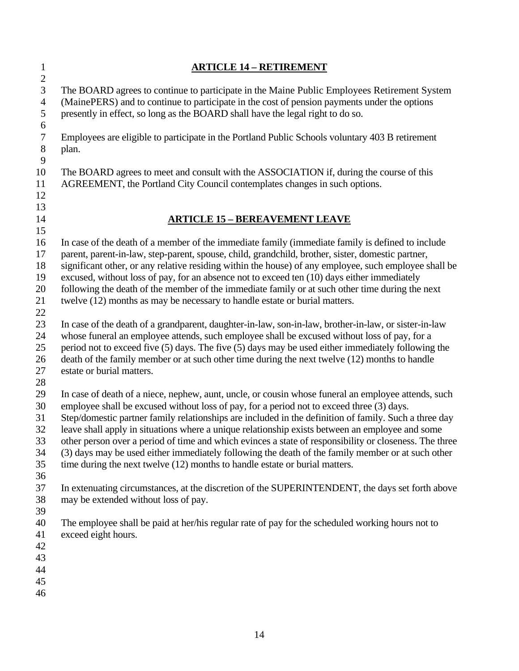| $\mathbf{1}$<br>$\mathbf{2}$                 | <b>ARTICLE 14 - RETIREMENT</b>                                                                                                                                                                                                                                                                                                                                                                                                                                                                                                                                                                                                                                                                             |
|----------------------------------------------|------------------------------------------------------------------------------------------------------------------------------------------------------------------------------------------------------------------------------------------------------------------------------------------------------------------------------------------------------------------------------------------------------------------------------------------------------------------------------------------------------------------------------------------------------------------------------------------------------------------------------------------------------------------------------------------------------------|
| 3<br>$\overline{4}$<br>$\mathfrak{S}$<br>6   | The BOARD agrees to continue to participate in the Maine Public Employees Retirement System<br>(MainePERS) and to continue to participate in the cost of pension payments under the options<br>presently in effect, so long as the BOARD shall have the legal right to do so.                                                                                                                                                                                                                                                                                                                                                                                                                              |
| $\tau$<br>$8\,$<br>9                         | Employees are eligible to participate in the Portland Public Schools voluntary 403 B retirement<br>plan.                                                                                                                                                                                                                                                                                                                                                                                                                                                                                                                                                                                                   |
| 10<br>11<br>12<br>13                         | The BOARD agrees to meet and consult with the ASSOCIATION if, during the course of this<br>AGREEMENT, the Portland City Council contemplates changes in such options.                                                                                                                                                                                                                                                                                                                                                                                                                                                                                                                                      |
| 14                                           | <b>ARTICLE 15 - BEREAVEMENT LEAVE</b>                                                                                                                                                                                                                                                                                                                                                                                                                                                                                                                                                                                                                                                                      |
| 15<br>16<br>17<br>18<br>19<br>20<br>21<br>22 | In case of the death of a member of the immediate family (immediate family is defined to include<br>parent, parent-in-law, step-parent, spouse, child, grandchild, brother, sister, domestic partner,<br>significant other, or any relative residing within the house) of any employee, such employee shall be<br>excused, without loss of pay, for an absence not to exceed ten (10) days either immediately<br>following the death of the member of the immediate family or at such other time during the next<br>twelve (12) months as may be necessary to handle estate or burial matters.                                                                                                             |
| 23<br>24<br>25<br>26<br>27<br>28             | In case of the death of a grandparent, daughter-in-law, son-in-law, brother-in-law, or sister-in-law<br>whose funeral an employee attends, such employee shall be excused without loss of pay, for a<br>period not to exceed five (5) days. The five (5) days may be used either immediately following the<br>death of the family member or at such other time during the next twelve (12) months to handle<br>estate or burial matters.                                                                                                                                                                                                                                                                   |
| 29<br>30<br>31<br>32<br>33<br>34<br>35<br>36 | In case of death of a niece, nephew, aunt, uncle, or cousin whose funeral an employee attends, such<br>employee shall be excused without loss of pay, for a period not to exceed three (3) days.<br>Step/domestic partner family relationships are included in the definition of family. Such a three day<br>leave shall apply in situations where a unique relationship exists between an employee and some<br>other person over a period of time and which evinces a state of responsibility or closeness. The three<br>(3) days may be used either immediately following the death of the family member or at such other<br>time during the next twelve (12) months to handle estate or burial matters. |
| 37<br>38<br>39                               | In extenuating circumstances, at the discretion of the SUPERINTENDENT, the days set forth above<br>may be extended without loss of pay.                                                                                                                                                                                                                                                                                                                                                                                                                                                                                                                                                                    |
| 40<br>41<br>42<br>43<br>44<br>45<br>46       | The employee shall be paid at her/his regular rate of pay for the scheduled working hours not to<br>exceed eight hours.                                                                                                                                                                                                                                                                                                                                                                                                                                                                                                                                                                                    |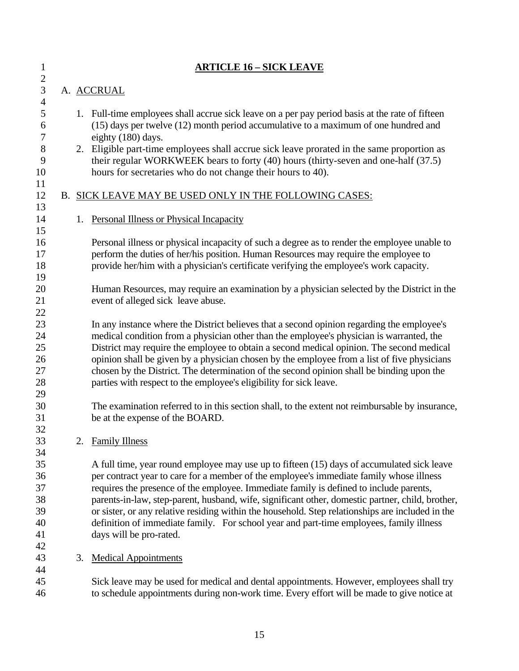| $\mathbf{1}$                                                 |    | <b>ARTICLE 16 – SICK LEAVE</b>                                                                                                                                                                                                                                                                                                                                                                                                                                                                                                                                                                                |
|--------------------------------------------------------------|----|---------------------------------------------------------------------------------------------------------------------------------------------------------------------------------------------------------------------------------------------------------------------------------------------------------------------------------------------------------------------------------------------------------------------------------------------------------------------------------------------------------------------------------------------------------------------------------------------------------------|
| $\overline{c}$<br>3                                          |    | A. ACCRUAL                                                                                                                                                                                                                                                                                                                                                                                                                                                                                                                                                                                                    |
| $\overline{4}$<br>5<br>6<br>$\boldsymbol{7}$<br>8<br>9<br>10 |    | 1. Full-time employees shall accrue sick leave on a per pay period basis at the rate of fifteen<br>(15) days per twelve (12) month period accumulative to a maximum of one hundred and<br>eighty (180) days.<br>2. Eligible part-time employees shall accrue sick leave prorated in the same proportion as<br>their regular WORKWEEK bears to forty (40) hours (thirty-seven and one-half (37.5)<br>hours for secretaries who do not change their hours to 40).                                                                                                                                               |
| 11<br>12                                                     |    | B. SICK LEAVE MAY BE USED ONLY IN THE FOLLOWING CASES:                                                                                                                                                                                                                                                                                                                                                                                                                                                                                                                                                        |
| 13<br>14<br>15                                               | 1. | <b>Personal Illness or Physical Incapacity</b>                                                                                                                                                                                                                                                                                                                                                                                                                                                                                                                                                                |
| 16<br>17<br>18<br>19                                         |    | Personal illness or physical incapacity of such a degree as to render the employee unable to<br>perform the duties of her/his position. Human Resources may require the employee to<br>provide her/him with a physician's certificate verifying the employee's work capacity.                                                                                                                                                                                                                                                                                                                                 |
| 20<br>21<br>22                                               |    | Human Resources, may require an examination by a physician selected by the District in the<br>event of alleged sick leave abuse.                                                                                                                                                                                                                                                                                                                                                                                                                                                                              |
| 23<br>24<br>25<br>26<br>27<br>28                             |    | In any instance where the District believes that a second opinion regarding the employee's<br>medical condition from a physician other than the employee's physician is warranted, the<br>District may require the employee to obtain a second medical opinion. The second medical<br>opinion shall be given by a physician chosen by the employee from a list of five physicians<br>chosen by the District. The determination of the second opinion shall be binding upon the<br>parties with respect to the employee's eligibility for sick leave.                                                          |
| 29<br>30<br>31<br>32                                         |    | The examination referred to in this section shall, to the extent not reimbursable by insurance,<br>be at the expense of the BOARD.                                                                                                                                                                                                                                                                                                                                                                                                                                                                            |
| 33                                                           | 2. | <b>Family Illness</b>                                                                                                                                                                                                                                                                                                                                                                                                                                                                                                                                                                                         |
| 34<br>35<br>36<br>37<br>38<br>39<br>40<br>41<br>42           |    | A full time, year round employee may use up to fifteen (15) days of accumulated sick leave<br>per contract year to care for a member of the employee's immediate family whose illness<br>requires the presence of the employee. Immediate family is defined to include parents,<br>parents-in-law, step-parent, husband, wife, significant other, domestic partner, child, brother,<br>or sister, or any relative residing within the household. Step relationships are included in the<br>definition of immediate family. For school year and part-time employees, family illness<br>days will be pro-rated. |
| 43<br>44                                                     | 3. | <b>Medical Appointments</b>                                                                                                                                                                                                                                                                                                                                                                                                                                                                                                                                                                                   |
| 45<br>46                                                     |    | Sick leave may be used for medical and dental appointments. However, employees shall try<br>to schedule appointments during non-work time. Every effort will be made to give notice at                                                                                                                                                                                                                                                                                                                                                                                                                        |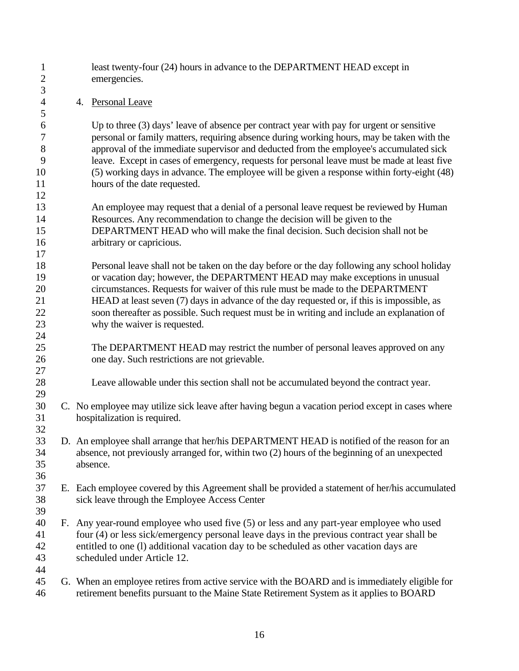| $\mathbf{1}$<br>$\mathbf{2}$ |    | least twenty-four (24) hours in advance to the DEPARTMENT HEAD except in<br>emergencies.                                                                                                   |
|------------------------------|----|--------------------------------------------------------------------------------------------------------------------------------------------------------------------------------------------|
| $\mathfrak{Z}$               |    |                                                                                                                                                                                            |
| $\overline{4}$               |    | 4. Personal Leave                                                                                                                                                                          |
| 5                            |    |                                                                                                                                                                                            |
| 6                            |    | Up to three (3) days' leave of absence per contract year with pay for urgent or sensitive                                                                                                  |
| $\tau$                       |    | personal or family matters, requiring absence during working hours, may be taken with the                                                                                                  |
| 8                            |    | approval of the immediate supervisor and deducted from the employee's accumulated sick                                                                                                     |
| 9                            |    | leave. Except in cases of emergency, requests for personal leave must be made at least five                                                                                                |
| 10                           |    | (5) working days in advance. The employee will be given a response within forty-eight (48)                                                                                                 |
| 11                           |    | hours of the date requested.                                                                                                                                                               |
| 12                           |    |                                                                                                                                                                                            |
| 13                           |    | An employee may request that a denial of a personal leave request be reviewed by Human                                                                                                     |
| 14                           |    | Resources. Any recommendation to change the decision will be given to the                                                                                                                  |
| 15                           |    | DEPARTMENT HEAD who will make the final decision. Such decision shall not be                                                                                                               |
| 16                           |    | arbitrary or capricious.                                                                                                                                                                   |
| 17                           |    |                                                                                                                                                                                            |
| 18                           |    | Personal leave shall not be taken on the day before or the day following any school holiday                                                                                                |
| 19                           |    | or vacation day; however, the DEPARTMENT HEAD may make exceptions in unusual                                                                                                               |
| 20                           |    | circumstances. Requests for waiver of this rule must be made to the DEPARTMENT                                                                                                             |
| 21                           |    | HEAD at least seven (7) days in advance of the day requested or, if this is impossible, as                                                                                                 |
| 22                           |    | soon thereafter as possible. Such request must be in writing and include an explanation of                                                                                                 |
| 23                           |    | why the waiver is requested.                                                                                                                                                               |
| 24                           |    |                                                                                                                                                                                            |
| 25                           |    | The DEPARTMENT HEAD may restrict the number of personal leaves approved on any                                                                                                             |
| 26<br>27                     |    | one day. Such restrictions are not grievable.                                                                                                                                              |
| 28                           |    | Leave allowable under this section shall not be accumulated beyond the contract year.                                                                                                      |
| 29                           |    |                                                                                                                                                                                            |
| 30                           |    | C. No employee may utilize sick leave after having begun a vacation period except in cases where                                                                                           |
| 31                           |    | hospitalization is required.                                                                                                                                                               |
| 32                           |    |                                                                                                                                                                                            |
| 33                           |    | D. An employee shall arrange that her/his DEPARTMENT HEAD is notified of the reason for an                                                                                                 |
| 34                           |    | absence, not previously arranged for, within two (2) hours of the beginning of an unexpected                                                                                               |
| 35                           |    | absence.                                                                                                                                                                                   |
| 36                           |    |                                                                                                                                                                                            |
| 37                           |    | E. Each employee covered by this Agreement shall be provided a statement of her/his accumulated                                                                                            |
| 38                           |    | sick leave through the Employee Access Center                                                                                                                                              |
| 39                           |    |                                                                                                                                                                                            |
| 40                           | F. | Any year-round employee who used five (5) or less and any part-year employee who used                                                                                                      |
| 41                           |    | four (4) or less sick/emergency personal leave days in the previous contract year shall be                                                                                                 |
| 42                           |    | entitled to one (I) additional vacation day to be scheduled as other vacation days are                                                                                                     |
| 43                           |    | scheduled under Article 12.                                                                                                                                                                |
| 44                           |    |                                                                                                                                                                                            |
| 45<br>46                     |    | G. When an employee retires from active service with the BOARD and is immediately eligible for<br>retirement benefits pursuant to the Maine State Retirement System as it applies to BOARD |
|                              |    |                                                                                                                                                                                            |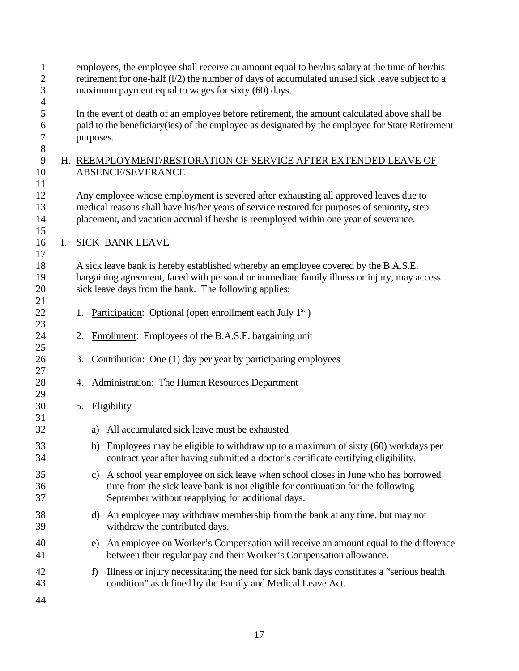| $\mathbf{1}$<br>$\boldsymbol{2}$<br>3  |    |    |                                                                                                                                                                                                                                                                               | employees, the employee shall receive an amount equal to her/his salary at the time of her/his<br>retirement for one-half $(1/2)$ the number of days of accumulated unused sick leave subject to a<br>maximum payment equal to wages for sixty (60) days. |  |  |  |  |  |  |  |  |  |
|----------------------------------------|----|----|-------------------------------------------------------------------------------------------------------------------------------------------------------------------------------------------------------------------------------------------------------------------------------|-----------------------------------------------------------------------------------------------------------------------------------------------------------------------------------------------------------------------------------------------------------|--|--|--|--|--|--|--|--|--|
| $\overline{4}$<br>5<br>6<br>$\sqrt{ }$ |    |    | purposes.                                                                                                                                                                                                                                                                     | In the event of death of an employee before retirement, the amount calculated above shall be<br>paid to the beneficiary (ies) of the employee as designated by the employee for State Retirement                                                          |  |  |  |  |  |  |  |  |  |
| $8\,$<br>9<br>10<br>11                 |    |    |                                                                                                                                                                                                                                                                               | H. REEMPLOYMENT/RESTORATION OF SERVICE AFTER EXTENDED LEAVE OF<br><b>ABSENCE/SEVERANCE</b>                                                                                                                                                                |  |  |  |  |  |  |  |  |  |
| 12<br>13<br>14<br>15                   |    |    | Any employee whose employment is severed after exhausting all approved leaves due to<br>medical reasons shall have his/her years of service restored for purposes of seniority, step<br>placement, and vacation accrual if he/she is reemployed within one year of severance. |                                                                                                                                                                                                                                                           |  |  |  |  |  |  |  |  |  |
| 16                                     | I. |    |                                                                                                                                                                                                                                                                               | <b>SICK BANK LEAVE</b>                                                                                                                                                                                                                                    |  |  |  |  |  |  |  |  |  |
| 17<br>18<br>19<br>20<br>21             |    |    |                                                                                                                                                                                                                                                                               | A sick leave bank is hereby established whereby an employee covered by the B.A.S.E.<br>bargaining agreement, faced with personal or immediate family illness or injury, may access<br>sick leave days from the bank. The following applies:               |  |  |  |  |  |  |  |  |  |
| 22                                     |    | 1. |                                                                                                                                                                                                                                                                               | Participation: Optional (open enrollment each July $1st$ )                                                                                                                                                                                                |  |  |  |  |  |  |  |  |  |
| 23<br>24                               |    | 2. |                                                                                                                                                                                                                                                                               | Enrollment: Employees of the B.A.S.E. bargaining unit                                                                                                                                                                                                     |  |  |  |  |  |  |  |  |  |
| 25<br>26                               |    | 3. |                                                                                                                                                                                                                                                                               | Contribution: One (1) day per year by participating employees                                                                                                                                                                                             |  |  |  |  |  |  |  |  |  |
| 27<br>28                               |    | 4. |                                                                                                                                                                                                                                                                               | <b>Administration:</b> The Human Resources Department                                                                                                                                                                                                     |  |  |  |  |  |  |  |  |  |
| 29<br>30                               |    | 5. |                                                                                                                                                                                                                                                                               | Eligibility                                                                                                                                                                                                                                               |  |  |  |  |  |  |  |  |  |
| 31<br>32                               |    |    | a)                                                                                                                                                                                                                                                                            | All accumulated sick leave must be exhausted                                                                                                                                                                                                              |  |  |  |  |  |  |  |  |  |
| 33<br>34                               |    |    |                                                                                                                                                                                                                                                                               | b) Employees may be eligible to withdraw up to a maximum of sixty (60) workdays per<br>contract year after having submitted a doctor's certificate certifying eligibility.                                                                                |  |  |  |  |  |  |  |  |  |
| 35<br>36<br>37                         |    |    |                                                                                                                                                                                                                                                                               | c) A school year employee on sick leave when school closes in June who has borrowed<br>time from the sick leave bank is not eligible for continuation for the following<br>September without reapplying for additional days.                              |  |  |  |  |  |  |  |  |  |
| 38<br>39                               |    |    |                                                                                                                                                                                                                                                                               | d) An employee may withdraw membership from the bank at any time, but may not<br>withdraw the contributed days.                                                                                                                                           |  |  |  |  |  |  |  |  |  |
| 40<br>41                               |    |    |                                                                                                                                                                                                                                                                               | e) An employee on Worker's Compensation will receive an amount equal to the difference<br>between their regular pay and their Worker's Compensation allowance.                                                                                            |  |  |  |  |  |  |  |  |  |
| 42<br>43                               |    |    | f)                                                                                                                                                                                                                                                                            | Illness or injury necessitating the need for sick bank days constitutes a "serious health"<br>condition" as defined by the Family and Medical Leave Act.                                                                                                  |  |  |  |  |  |  |  |  |  |
| 44                                     |    |    |                                                                                                                                                                                                                                                                               |                                                                                                                                                                                                                                                           |  |  |  |  |  |  |  |  |  |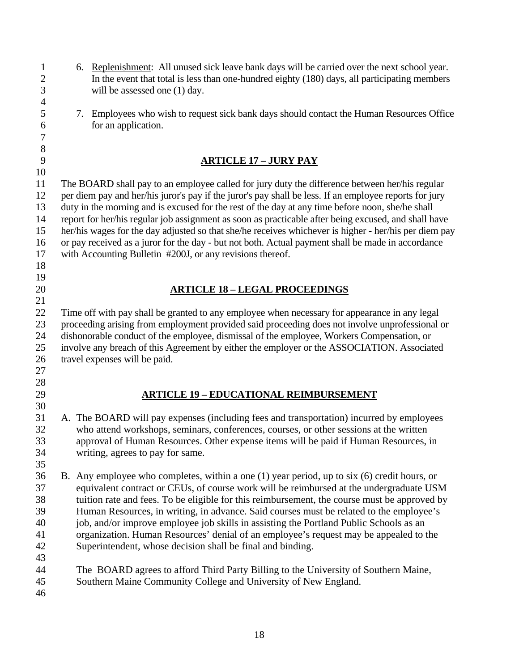1 6. Replenishment: All unused sick leave bank days will be carried over the next school year. 2 In the event that total is less than one-hundred eighty (180) days, all participating members 3 will be assessed one (1) day. 4 5 7. Employees who wish to request sick bank days should contact the Human Resources Office 6 for an application. 7 8 9 **ARTICLE 17 – JURY PAY**  10 11 The BOARD shall pay to an employee called for jury duty the difference between her/his regular 12 per diem pay and her/his juror's pay if the juror's pay shall be less. If an employee reports for jury 13 duty in the morning and is excused for the rest of the day at any time before noon, she/he shall 14 report for her/his regular job assignment as soon as practicable after being excused, and shall have 15 her/his wages for the day adjusted so that she/he receives whichever is higher - her/his per diem pay 16 or pay received as a juror for the day - but not both. Actual payment shall be made in accordance 17 with Accounting Bulletin #200J, or any revisions thereof. 18 19 20 **ARTICLE 18 – LEGAL PROCEEDINGS**  21 22 Time off with pay shall be granted to any employee when necessary for appearance in any legal 23 proceeding arising from employment provided said proceeding does not involve unprofessional or 24 dishonorable conduct of the employee, dismissal of the employee, Workers Compensation, or 25 involve any breach of this Agreement by either the employer or the ASSOCIATION. Associated 26 travel expenses will be paid. 27 28 29 **ARTICLE 19 – EDUCATIONAL REIMBURSEMENT**  30 31 A. The BOARD will pay expenses (including fees and transportation) incurred by employees 32 who attend workshops, seminars, conferences, courses, or other sessions at the written 33 approval of Human Resources. Other expense items will be paid if Human Resources, in 34 writing, agrees to pay for same. 35 36 B. Any employee who completes, within a one (1) year period, up to six (6) credit hours, or 37 equivalent contract or CEUs, of course work will be reimbursed at the undergraduate USM 38 tuition rate and fees. To be eligible for this reimbursement, the course must be approved by 39 Human Resources, in writing, in advance. Said courses must be related to the employee's 40 job, and/or improve employee job skills in assisting the Portland Public Schools as an 41 organization. Human Resources' denial of an employee's request may be appealed to the 42 Superintendent, whose decision shall be final and binding. 43 44 The BOARD agrees to afford Third Party Billing to the University of Southern Maine, 45 Southern Maine Community College and University of New England. 46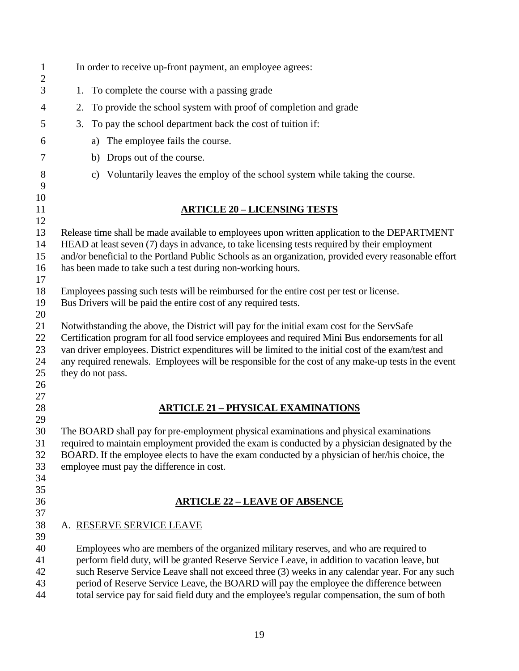| $\mathbf{1}$<br>$\overline{c}$ | In order to receive up-front payment, an employee agrees:                                                                                                                                               |  |
|--------------------------------|---------------------------------------------------------------------------------------------------------------------------------------------------------------------------------------------------------|--|
| 3                              | 1. To complete the course with a passing grade                                                                                                                                                          |  |
| 4                              | To provide the school system with proof of completion and grade<br>2.                                                                                                                                   |  |
| 5                              | To pay the school department back the cost of tuition if:<br>3.                                                                                                                                         |  |
| 6                              | The employee fails the course.<br>a)                                                                                                                                                                    |  |
|                                |                                                                                                                                                                                                         |  |
| 7                              | Drops out of the course.<br>b)                                                                                                                                                                          |  |
| 8<br>9                         | Voluntarily leaves the employ of the school system while taking the course.<br>c)                                                                                                                       |  |
| 10                             |                                                                                                                                                                                                         |  |
| 11<br>12                       | <u> ARTICLE 20 – LICENSING TESTS</u>                                                                                                                                                                    |  |
| 13                             | Release time shall be made available to employees upon written application to the DEPARTMENT                                                                                                            |  |
| 14                             | HEAD at least seven (7) days in advance, to take licensing tests required by their employment                                                                                                           |  |
| 15                             | and/or beneficial to the Portland Public Schools as an organization, provided every reasonable effort                                                                                                   |  |
| 16<br>17                       | has been made to take such a test during non-working hours.                                                                                                                                             |  |
| 18                             | Employees passing such tests will be reimbursed for the entire cost per test or license.                                                                                                                |  |
| 19                             | Bus Drivers will be paid the entire cost of any required tests.                                                                                                                                         |  |
| 20                             |                                                                                                                                                                                                         |  |
| 21                             | Notwithstanding the above, the District will pay for the initial exam cost for the ServSafe                                                                                                             |  |
| 22<br>23                       | Certification program for all food service employees and required Mini Bus endorsements for all<br>van driver employees. District expenditures will be limited to the initial cost of the exam/test and |  |
| 24                             | any required renewals. Employees will be responsible for the cost of any make-up tests in the event                                                                                                     |  |
| 25                             | they do not pass.                                                                                                                                                                                       |  |
| 26                             |                                                                                                                                                                                                         |  |
| 27<br>28                       |                                                                                                                                                                                                         |  |
| 29                             | <b>ARTICLE 21 - PHYSICAL EXAMINATIONS</b>                                                                                                                                                               |  |
| 30                             | The BOARD shall pay for pre-employment physical examinations and physical examinations                                                                                                                  |  |
| 31                             | required to maintain employment provided the exam is conducted by a physician designated by the                                                                                                         |  |
| 32                             | BOARD. If the employee elects to have the exam conducted by a physician of her/his choice, the                                                                                                          |  |
| 33<br>34                       | employee must pay the difference in cost.                                                                                                                                                               |  |
| 35                             |                                                                                                                                                                                                         |  |
| 36                             | <b>ARTICLE 22 - LEAVE OF ABSENCE</b>                                                                                                                                                                    |  |
| 37                             |                                                                                                                                                                                                         |  |
| 38                             | A. RESERVE SERVICE LEAVE                                                                                                                                                                                |  |
| 39<br>40                       | Employees who are members of the organized military reserves, and who are required to                                                                                                                   |  |
| 41                             | perform field duty, will be granted Reserve Service Leave, in addition to vacation leave, but                                                                                                           |  |
| 42                             | such Reserve Service Leave shall not exceed three (3) weeks in any calendar year. For any such                                                                                                          |  |
| 43                             | period of Reserve Service Leave, the BOARD will pay the employee the difference between                                                                                                                 |  |
| 44                             | total service pay for said field duty and the employee's regular compensation, the sum of both                                                                                                          |  |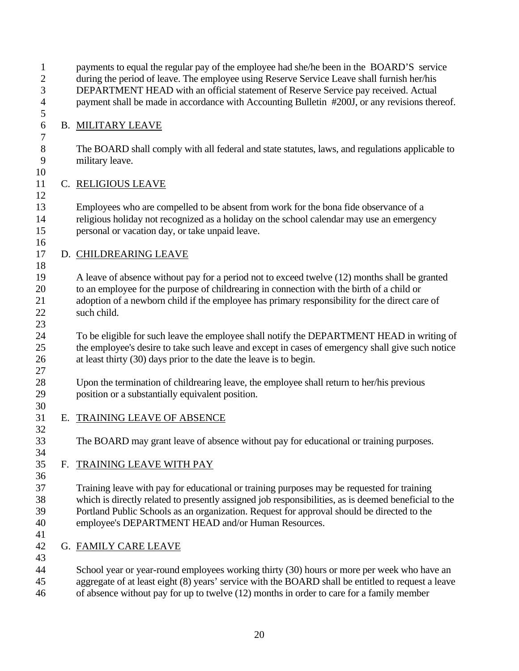1 payments to equal the regular pay of the employee had she/he been in the BOARD'S service 2 during the period of leave. The employee using Reserve Service Leave shall furnish her/his 3 DEPARTMENT HEAD with an official statement of Reserve Service pay received. Actual 4 payment shall be made in accordance with Accounting Bulletin #200J, or any revisions thereof.

### 6 B. MILITARY LEAVE

5

7

10

12

16

18

23

30

32

34

36

8 The BOARD shall comply with all federal and state statutes, laws, and regulations applicable to 9 military leave.

#### 11 C. RELIGIOUS LEAVE

13 Employees who are compelled to be absent from work for the bona fide observance of a 14 religious holiday not recognized as a holiday on the school calendar may use an emergency 15 personal or vacation day, or take unpaid leave.

## 17 D. CHILDREARING LEAVE

19 A leave of absence without pay for a period not to exceed twelve (12) months shall be granted 20 to an employee for the purpose of childrearing in connection with the birth of a child or 21 adoption of a newborn child if the employee has primary responsibility for the direct care of 22 such child.

24 To be eligible for such leave the employee shall notify the DEPARTMENT HEAD in writing of 25 the employee's desire to take such leave and except in cases of emergency shall give such notice 26 at least thirty (30) days prior to the date the leave is to begin. 27

28 Upon the termination of childrearing leave, the employee shall return to her/his previous 29 position or a substantially equivalent position.

#### 31 E. TRAINING LEAVE OF ABSENCE

33 The BOARD may grant leave of absence without pay for educational or training purposes.

## 35 F. TRAINING LEAVE WITH PAY

37 Training leave with pay for educational or training purposes may be requested for training 38 which is directly related to presently assigned job responsibilities, as is deemed beneficial to the 39 Portland Public Schools as an organization. Request for approval should be directed to the 40 employee's DEPARTMENT HEAD and/or Human Resources.

41

43

42 G. FAMILY CARE LEAVE

44 School year or year-round employees working thirty (30) hours or more per week who have an 45 aggregate of at least eight (8) years' service with the BOARD shall be entitled to request a leave 46 of absence without pay for up to twelve (12) months in order to care for a family member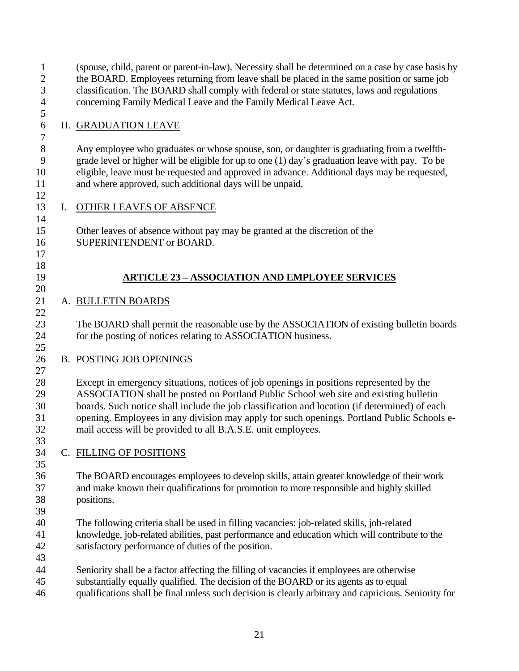| $\mathbf{1}$<br>$\mathbf{2}$<br>3 |    | (spouse, child, parent or parent-in-law). Necessity shall be determined on a case by case basis by<br>the BOARD. Employees returning from leave shall be placed in the same position or same job<br>classification. The BOARD shall comply with federal or state statutes, laws and regulations                                                                                                                                                |
|-----------------------------------|----|------------------------------------------------------------------------------------------------------------------------------------------------------------------------------------------------------------------------------------------------------------------------------------------------------------------------------------------------------------------------------------------------------------------------------------------------|
| $\overline{4}$<br>5               |    | concerning Family Medical Leave and the Family Medical Leave Act.                                                                                                                                                                                                                                                                                                                                                                              |
| 6<br>$\boldsymbol{7}$             |    | H. GRADUATION LEAVE                                                                                                                                                                                                                                                                                                                                                                                                                            |
| $8\,$<br>9<br>10<br>11<br>12      |    | Any employee who graduates or whose spouse, son, or daughter is graduating from a twelfth-<br>grade level or higher will be eligible for up to one (1) day's graduation leave with pay. To be<br>eligible, leave must be requested and approved in advance. Additional days may be requested,<br>and where approved, such additional days will be unpaid.                                                                                      |
| 13<br>14                          | I. | <b>OTHER LEAVES OF ABSENCE</b>                                                                                                                                                                                                                                                                                                                                                                                                                 |
| 15<br>16<br>17                    |    | Other leaves of absence without pay may be granted at the discretion of the<br>SUPERINTENDENT or BOARD.                                                                                                                                                                                                                                                                                                                                        |
| 18<br>19<br>20                    |    | <b>ARTICLE 23 - ASSOCIATION AND EMPLOYEE SERVICES</b>                                                                                                                                                                                                                                                                                                                                                                                          |
| 21<br>22                          |    | A. BULLETIN BOARDS                                                                                                                                                                                                                                                                                                                                                                                                                             |
| 23<br>24<br>25                    |    | The BOARD shall permit the reasonable use by the ASSOCIATION of existing bulletin boards<br>for the posting of notices relating to ASSOCIATION business.                                                                                                                                                                                                                                                                                       |
| 26<br>27                          |    | <b>B. POSTING JOB OPENINGS</b>                                                                                                                                                                                                                                                                                                                                                                                                                 |
| 28<br>29<br>30<br>31<br>32<br>33  |    | Except in emergency situations, notices of job openings in positions represented by the<br>ASSOCIATION shall be posted on Portland Public School web site and existing bulletin<br>boards. Such notice shall include the job classification and location (if determined) of each<br>opening. Employees in any division may apply for such openings. Portland Public Schools e-<br>mail access will be provided to all B.A.S.E. unit employees. |
| 34<br>35                          |    | C. FILLING OF POSITIONS                                                                                                                                                                                                                                                                                                                                                                                                                        |
| 36<br>37<br>38<br>39              |    | The BOARD encourages employees to develop skills, attain greater knowledge of their work<br>and make known their qualifications for promotion to more responsible and highly skilled<br>positions.                                                                                                                                                                                                                                             |
| 40<br>41<br>42<br>43              |    | The following criteria shall be used in filling vacancies: job-related skills, job-related<br>knowledge, job-related abilities, past performance and education which will contribute to the<br>satisfactory performance of duties of the position.                                                                                                                                                                                             |
| 44<br>45<br>46                    |    | Seniority shall be a factor affecting the filling of vacancies if employees are otherwise<br>substantially equally qualified. The decision of the BOARD or its agents as to equal<br>qualifications shall be final unless such decision is clearly arbitrary and capricious. Seniority for                                                                                                                                                     |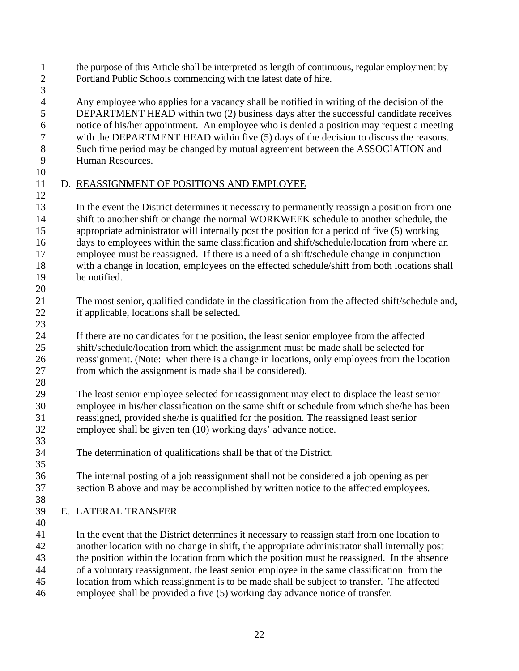- 1 the purpose of this Article shall be interpreted as length of continuous, regular employment by 2 Portland Public Schools commencing with the latest date of hire.
- 3

4 Any employee who applies for a vacancy shall be notified in writing of the decision of the<br>5 DEPARTMENT HEAD within two (2) business days after the successful candidate receive 5 DEPARTMENT HEAD within two (2) business days after the successful candidate receives 6 notice of his/her appointment. An employee who is denied a position may request a meeting 7 with the DEPARTMENT HEAD within five (5) days of the decision to discuss the reasons. 8 Such time period may be changed by mutual agreement between the ASSOCIATION and 9 Human Resources.

10

#### 11 D. REASSIGNMENT OF POSITIONS AND EMPLOYEE 12

13 In the event the District determines it necessary to permanently reassign a position from one 14 shift to another shift or change the normal WORKWEEK schedule to another schedule, the 15 appropriate administrator will internally post the position for a period of five (5) working 16 days to employees within the same classification and shift/schedule/location from where an 17 employee must be reassigned. If there is a need of a shift/schedule change in conjunction 18 with a change in location, employees on the effected schedule/shift from both locations shall 19 be notified. 20

- 21 The most senior, qualified candidate in the classification from the affected shift/schedule and, 22 if applicable, locations shall be selected.
- 24 If there are no candidates for the position, the least senior employee from the affected 25 shift/schedule/location from which the assignment must be made shall be selected for 26 reassignment. (Note: when there is a change in locations, only employees from the location 27 from which the assignment is made shall be considered).
- 28

33

35

23

29 The least senior employee selected for reassignment may elect to displace the least senior 30 employee in his/her classification on the same shift or schedule from which she/he has been 31 reassigned, provided she/he is qualified for the position. The reassigned least senior 32 employee shall be given ten (10) working days' advance notice.

- 34 The determination of qualifications shall be that of the District.
- 36 The internal posting of a job reassignment shall not be considered a job opening as per 37 section B above and may be accomplished by written notice to the affected employees. 38
- 39 E. LATERAL TRANSFER 40

41 In the event that the District determines it necessary to reassign staff from one location to 42 another location with no change in shift, the appropriate administrator shall internally post 43 the position within the location from which the position must be reassigned. In the absence 44 of a voluntary reassignment, the least senior employee in the same classification from the 45 location from which reassignment is to be made shall be subject to transfer. The affected 46 employee shall be provided a five (5) working day advance notice of transfer.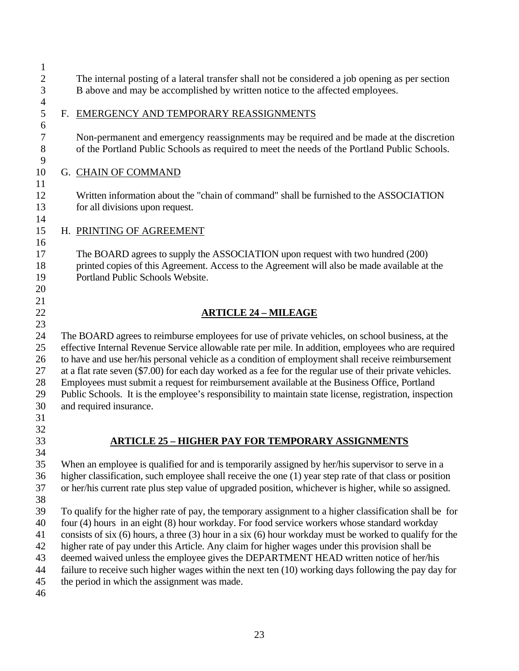1 2 The internal posting of a lateral transfer shall not be considered a job opening as per section 3 B above and may be accomplished by written notice to the affected employees.

 $\frac{4}{5}$ 

6

9

11

14

16

20 21

## 5 F. EMERGENCY AND TEMPORARY REASSIGNMENTS

7 Non-permanent and emergency reassignments may be required and be made at the discretion 8 of the Portland Public Schools as required to meet the needs of the Portland Public Schools.

# 10 G. CHAIN OF COMMAND

12 Written information about the "chain of command" shall be furnished to the ASSOCIATION 13 for all divisions upon request.

## 15 H. PRINTING OF AGREEMENT

17 The BOARD agrees to supply the ASSOCIATION upon request with two hundred (200) 18 printed copies of this Agreement. Access to the Agreement will also be made available at the 19 Portland Public Schools Website.

# 22 **ARTICLE 24 – MILEAGE**

23 24 The BOARD agrees to reimburse employees for use of private vehicles, on school business, at the 25 effective Internal Revenue Service allowable rate per mile. In addition, employees who are required 26 to have and use her/his personal vehicle as a condition of employment shall receive reimbursement 27 at a flat rate seven (\$7.00) for each day worked as a fee for the regular use of their private vehicles. 28 Employees must submit a request for reimbursement available at the Business Office, Portland 29 Public Schools. It is the employee's responsibility to maintain state license, registration, inspection 30 and required insurance. 31

- 32
	-

# 33 **ARTICLE 25 – HIGHER PAY FOR TEMPORARY ASSIGNMENTS**

34 35 When an employee is qualified for and is temporarily assigned by her/his supervisor to serve in a 36 higher classification, such employee shall receive the one (1) year step rate of that class or position 37 or her/his current rate plus step value of upgraded position, whichever is higher, while so assigned. 38

- 39 To qualify for the higher rate of pay, the temporary assignment to a higher classification shall be for
- 40 four (4) hours in an eight (8) hour workday. For food service workers whose standard workday
- 41 consists of six (6) hours, a three (3) hour in a six (6) hour workday must be worked to qualify for the
- 42 higher rate of pay under this Article. Any claim for higher wages under this provision shall be 43 deemed waived unless the employee gives the DEPARTMENT HEAD written notice of her/his
- 44 failure to receive such higher wages within the next ten (10) working days following the pay day for
- 45 the period in which the assignment was made.

46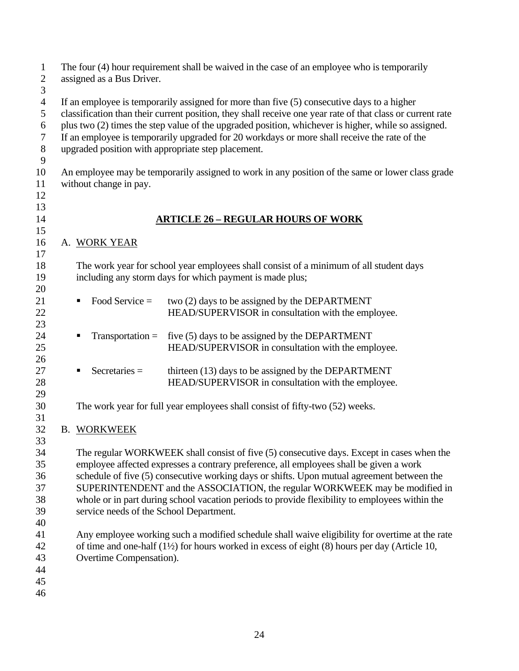| $\mathbf{1}$<br>$\overline{2}$ | The four (4) hour requirement shall be waived in the case of an employee who is temporarily<br>assigned as a Bus Driver.                                                                                 |                                                                                                            |  |  |  |  |  |  |  |  |
|--------------------------------|----------------------------------------------------------------------------------------------------------------------------------------------------------------------------------------------------------|------------------------------------------------------------------------------------------------------------|--|--|--|--|--|--|--|--|
| $\mathfrak{Z}$                 |                                                                                                                                                                                                          |                                                                                                            |  |  |  |  |  |  |  |  |
| $\overline{4}$<br>5            | If an employee is temporarily assigned for more than five (5) consecutive days to a higher<br>classification than their current position, they shall receive one year rate of that class or current rate |                                                                                                            |  |  |  |  |  |  |  |  |
| 6                              | plus two (2) times the step value of the upgraded position, whichever is higher, while so assigned.                                                                                                      |                                                                                                            |  |  |  |  |  |  |  |  |
| 7                              | If an employee is temporarily upgraded for 20 workdays or more shall receive the rate of the                                                                                                             |                                                                                                            |  |  |  |  |  |  |  |  |
| $8\,$                          | upgraded position with appropriate step placement.                                                                                                                                                       |                                                                                                            |  |  |  |  |  |  |  |  |
| 9                              |                                                                                                                                                                                                          |                                                                                                            |  |  |  |  |  |  |  |  |
| 10                             | An employee may be temporarily assigned to work in any position of the same or lower class grade                                                                                                         |                                                                                                            |  |  |  |  |  |  |  |  |
| 11<br>12                       | without change in pay.                                                                                                                                                                                   |                                                                                                            |  |  |  |  |  |  |  |  |
| 13                             |                                                                                                                                                                                                          |                                                                                                            |  |  |  |  |  |  |  |  |
| 14                             |                                                                                                                                                                                                          | <b>ARTICLE 26 - REGULAR HOURS OF WORK</b>                                                                  |  |  |  |  |  |  |  |  |
| 15                             |                                                                                                                                                                                                          |                                                                                                            |  |  |  |  |  |  |  |  |
| 16                             | A. WORK YEAR                                                                                                                                                                                             |                                                                                                            |  |  |  |  |  |  |  |  |
| 17<br>18                       |                                                                                                                                                                                                          | The work year for school year employees shall consist of a minimum of all student days                     |  |  |  |  |  |  |  |  |
| 19                             |                                                                                                                                                                                                          |                                                                                                            |  |  |  |  |  |  |  |  |
| 20                             | including any storm days for which payment is made plus;                                                                                                                                                 |                                                                                                            |  |  |  |  |  |  |  |  |
| 21                             | Food Service $=$<br>٠                                                                                                                                                                                    | two (2) days to be assigned by the DEPARTMENT                                                              |  |  |  |  |  |  |  |  |
| 22                             |                                                                                                                                                                                                          | HEAD/SUPERVISOR in consultation with the employee.                                                         |  |  |  |  |  |  |  |  |
| 23                             |                                                                                                                                                                                                          |                                                                                                            |  |  |  |  |  |  |  |  |
| 24                             | $Transportation =$                                                                                                                                                                                       | five (5) days to be assigned by the DEPARTMENT                                                             |  |  |  |  |  |  |  |  |
| 25                             |                                                                                                                                                                                                          | HEAD/SUPERVISOR in consultation with the employee.                                                         |  |  |  |  |  |  |  |  |
| 26                             |                                                                                                                                                                                                          |                                                                                                            |  |  |  |  |  |  |  |  |
| 27                             | $S$ ecretaries =<br>п                                                                                                                                                                                    | thirteen (13) days to be assigned by the DEPARTMENT                                                        |  |  |  |  |  |  |  |  |
| 28                             |                                                                                                                                                                                                          | HEAD/SUPERVISOR in consultation with the employee.                                                         |  |  |  |  |  |  |  |  |
| 29                             |                                                                                                                                                                                                          |                                                                                                            |  |  |  |  |  |  |  |  |
| 30                             |                                                                                                                                                                                                          | The work year for full year employees shall consist of fifty-two (52) weeks.                               |  |  |  |  |  |  |  |  |
| 31                             |                                                                                                                                                                                                          |                                                                                                            |  |  |  |  |  |  |  |  |
| 32<br>33                       | <b>B. WORKWEEK</b>                                                                                                                                                                                       |                                                                                                            |  |  |  |  |  |  |  |  |
| 34                             |                                                                                                                                                                                                          | The regular WORKWEEK shall consist of five (5) consecutive days. Except in cases when the                  |  |  |  |  |  |  |  |  |
| 35                             |                                                                                                                                                                                                          | employee affected expresses a contrary preference, all employees shall be given a work                     |  |  |  |  |  |  |  |  |
| 36                             |                                                                                                                                                                                                          | schedule of five (5) consecutive working days or shifts. Upon mutual agreement between the                 |  |  |  |  |  |  |  |  |
| 37                             |                                                                                                                                                                                                          | SUPERINTENDENT and the ASSOCIATION, the regular WORKWEEK may be modified in                                |  |  |  |  |  |  |  |  |
| 38                             |                                                                                                                                                                                                          | whole or in part during school vacation periods to provide flexibility to employees within the             |  |  |  |  |  |  |  |  |
| 39                             | service needs of the School Department.                                                                                                                                                                  |                                                                                                            |  |  |  |  |  |  |  |  |
| 40                             |                                                                                                                                                                                                          |                                                                                                            |  |  |  |  |  |  |  |  |
| 41                             |                                                                                                                                                                                                          | Any employee working such a modified schedule shall waive eligibility for overtime at the rate             |  |  |  |  |  |  |  |  |
| 42                             |                                                                                                                                                                                                          | of time and one-half $(1\frac{1}{2})$ for hours worked in excess of eight $(8)$ hours per day (Article 10, |  |  |  |  |  |  |  |  |
| 43                             | Overtime Compensation).                                                                                                                                                                                  |                                                                                                            |  |  |  |  |  |  |  |  |
| 44                             |                                                                                                                                                                                                          |                                                                                                            |  |  |  |  |  |  |  |  |
| 45                             |                                                                                                                                                                                                          |                                                                                                            |  |  |  |  |  |  |  |  |
| 46                             |                                                                                                                                                                                                          |                                                                                                            |  |  |  |  |  |  |  |  |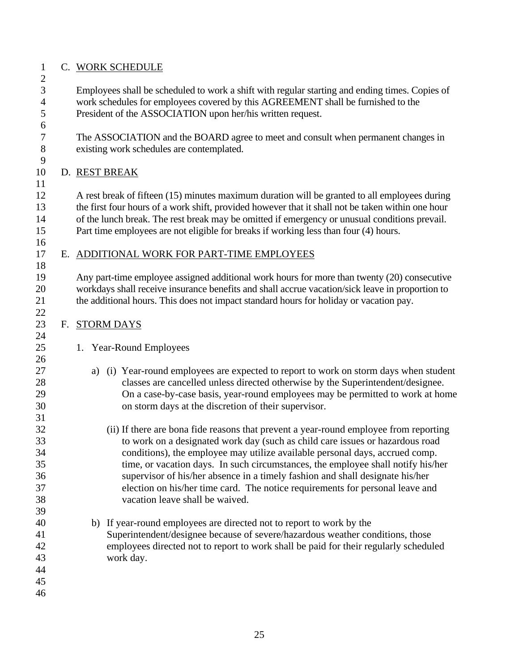#### 1 C. WORK SCHEDULE

2

6

9

11

16

18

22

24

26

31

3 Employees shall be scheduled to work a shift with regular starting and ending times. Copies of 4 work schedules for employees covered by this AGREEMENT shall be furnished to the 5 President of the ASSOCIATION upon her/his written request.

7 The ASSOCIATION and the BOARD agree to meet and consult when permanent changes in 8 existing work schedules are contemplated.

## 10 D. REST BREAK

12 A rest break of fifteen (15) minutes maximum duration will be granted to all employees during 13 the first four hours of a work shift, provided however that it shall not be taken within one hour 14 of the lunch break. The rest break may be omitted if emergency or unusual conditions prevail. 15 Part time employees are not eligible for breaks if working less than four (4) hours.

### 17 E. ADDITIONAL WORK FOR PART-TIME EMPLOYEES

19 Any part-time employee assigned additional work hours for more than twenty (20) consecutive 20 workdays shall receive insurance benefits and shall accrue vacation/sick leave in proportion to 21 the additional hours. This does not impact standard hours for holiday or vacation pay.

#### 23 F. STORM DAYS

- 25 1. Year-Round Employees
- 27 a) (i) Year-round employees are expected to report to work on storm days when student 28 classes are cancelled unless directed otherwise by the Superintendent/designee. 29 On a case-by-case basis, year-round employees may be permitted to work at home 30 on storm days at the discretion of their supervisor.
- 32 (ii) If there are bona fide reasons that prevent a year-round employee from reporting 33 to work on a designated work day (such as child care issues or hazardous road 34 conditions), the employee may utilize available personal days, accrued comp. 35 time, or vacation days. In such circumstances, the employee shall notify his/her 36 supervisor of his/her absence in a timely fashion and shall designate his/her 37 election on his/her time card. The notice requirements for personal leave and 38 vacation leave shall be waived.
- 40 b) If year-round employees are directed not to report to work by the 41 Superintendent/designee because of severe/hazardous weather conditions, those 42 employees directed not to report to work shall be paid for their regularly scheduled 43 work day.
- 44 45
- 46

39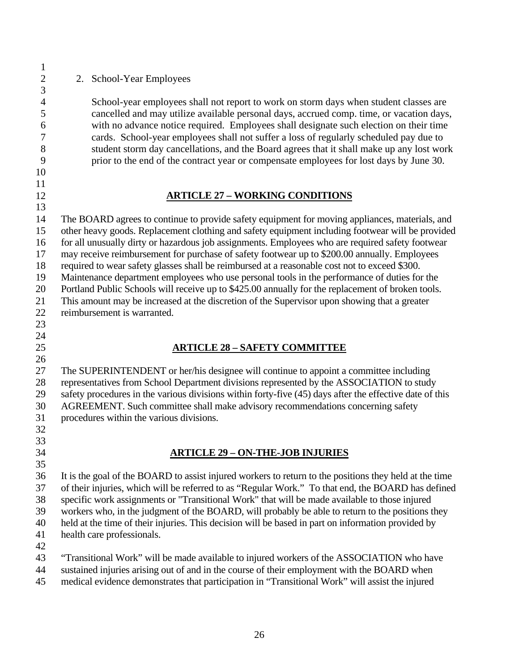2 2. School-Year Employees

4 School-year employees shall not report to work on storm days when student classes are 5 cancelled and may utilize available personal days, accrued comp. time, or vacation days, 6 with no advance notice required. Employees shall designate such election on their time 7 cards. School-year employees shall not suffer a loss of regularly scheduled pay due to 8 student storm day cancellations, and the Board agrees that it shall make up any lost work 9 prior to the end of the contract year or compensate employees for lost days by June 30.

10 11

1

3

- 12 **ARTICLE 27 WORKING CONDITIONS**
- 13

14 The BOARD agrees to continue to provide safety equipment for moving appliances, materials, and 15 other heavy goods. Replacement clothing and safety equipment including footwear will be provided 16 for all unusually dirty or hazardous job assignments. Employees who are required safety footwear 17 may receive reimbursement for purchase of safety footwear up to \$200.00 annually. Employees 18 required to wear safety glasses shall be reimbursed at a reasonable cost not to exceed \$300. 19 Maintenance department employees who use personal tools in the performance of duties for the 20 Portland Public Schools will receive up to \$425.00 annually for the replacement of broken tools. 21 This amount may be increased at the discretion of the Supervisor upon showing that a greater 22 reimbursement is warranted.

23

### 24

26

33

## 25 **ARTICLE 28 – SAFETY COMMITTEE**

27 The SUPERINTENDENT or her/his designee will continue to appoint a committee including 28 representatives from School Department divisions represented by the ASSOCIATION to study 29 safety procedures in the various divisions within forty-five (45) days after the effective date of this 30 AGREEMENT. Such committee shall make advisory recommendations concerning safety 31 procedures within the various divisions. 32

34 **ARTICLE 29 – ON-THE-JOB INJURIES** 

35 36 It is the goal of the BOARD to assist injured workers to return to the positions they held at the time 37 of their injuries, which will be referred to as "Regular Work." To that end, the BOARD has defined 38 specific work assignments or "Transitional Work" that will be made available to those injured 39 workers who, in the judgment of the BOARD, will probably be able to return to the positions they 40 held at the time of their injuries. This decision will be based in part on information provided by 41 health care professionals.

42

43 "Transitional Work" will be made available to injured workers of the ASSOCIATION who have

44 sustained injuries arising out of and in the course of their employment with the BOARD when

45 medical evidence demonstrates that participation in "Transitional Work" will assist the injured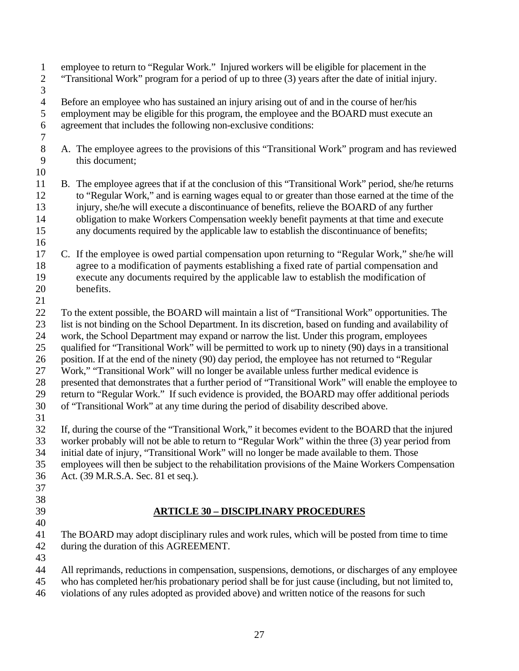1 employee to return to "Regular Work." Injured workers will be eligible for placement in the 2 "Transitional Work" program for a period of up to three (3) years after the date of initial injury. 3 4 Before an employee who has sustained an injury arising out of and in the course of her/his 5 employment may be eligible for this program, the employee and the BOARD must execute an 6 agreement that includes the following non-exclusive conditions: 7 8 A. The employee agrees to the provisions of this "Transitional Work" program and has reviewed 9 this document; 10 11 B. The employee agrees that if at the conclusion of this "Transitional Work" period, she/he returns 12 to "Regular Work," and is earning wages equal to or greater than those earned at the time of the 13 injury, she/he will execute a discontinuance of benefits, relieve the BOARD of any further 14 obligation to make Workers Compensation weekly benefit payments at that time and execute 15 any documents required by the applicable law to establish the discontinuance of benefits; 16 17 C. If the employee is owed partial compensation upon returning to "Regular Work," she/he will 18 agree to a modification of payments establishing a fixed rate of partial compensation and 19 execute any documents required by the applicable law to establish the modification of 20 benefits. 21 22 To the extent possible, the BOARD will maintain a list of "Transitional Work" opportunities. The 23 list is not binding on the School Department. In its discretion, based on funding and availability of 24 work, the School Department may expand or narrow the list. Under this program, employees 25 qualified for "Transitional Work" will be permitted to work up to ninety (90) days in a transitional 26 position. If at the end of the ninety (90) day period, the employee has not returned to "Regular 27 Work," "Transitional Work" will no longer be available unless further medical evidence is 28 presented that demonstrates that a further period of "Transitional Work" will enable the employee to 29 return to "Regular Work." If such evidence is provided, the BOARD may offer additional periods 30 of "Transitional Work" at any time during the period of disability described above. 31 32 If, during the course of the "Transitional Work," it becomes evident to the BOARD that the injured 33 worker probably will not be able to return to "Regular Work" within the three (3) year period from 34 initial date of injury, "Transitional Work" will no longer be made available to them. Those 35 employees will then be subject to the rehabilitation provisions of the Maine Workers Compensation 36 Act. (39 M.R.S.A. Sec. 81 et seq.). 37 38 39 **ARTICLE 30 – DISCIPLINARY PROCEDURES**  40 41 The BOARD may adopt disciplinary rules and work rules, which will be posted from time to time 42 during the duration of this AGREEMENT. 43 44 All reprimands, reductions in compensation, suspensions, demotions, or discharges of any employee 45 who has completed her/his probationary period shall be for just cause (including, but not limited to, 46 violations of any rules adopted as provided above) and written notice of the reasons for such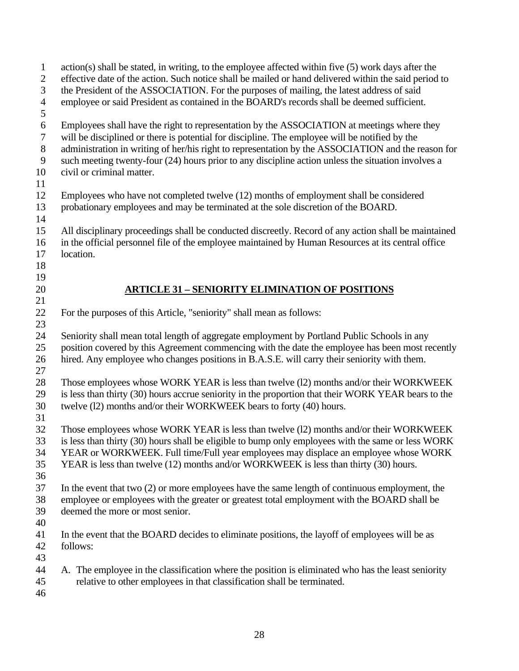| $\mathbf{1}$   | action(s) shall be stated, in writing, to the employee affected within five (5) work days after the   |
|----------------|-------------------------------------------------------------------------------------------------------|
| $\overline{c}$ | effective date of the action. Such notice shall be mailed or hand delivered within the said period to |
| 3              | the President of the ASSOCIATION. For the purposes of mailing, the latest address of said             |
| $\overline{4}$ | employee or said President as contained in the BOARD's records shall be deemed sufficient.            |
| 5              |                                                                                                       |
| 6              | Employees shall have the right to representation by the ASSOCIATION at meetings where they            |
| $\tau$         | will be disciplined or there is potential for discipline. The employee will be notified by the        |
| $8\,$          | administration in writing of her/his right to representation by the ASSOCIATION and the reason for    |
| 9              | such meeting twenty-four (24) hours prior to any discipline action unless the situation involves a    |
| 10             | civil or criminal matter.                                                                             |
| 11             |                                                                                                       |
| 12             | Employees who have not completed twelve (12) months of employment shall be considered                 |
| 13             | probationary employees and may be terminated at the sole discretion of the BOARD.                     |
| 14             |                                                                                                       |
| 15             | All disciplinary proceedings shall be conducted discreetly. Record of any action shall be maintained  |
| 16             | in the official personnel file of the employee maintained by Human Resources at its central office    |
| 17             | location.                                                                                             |
| 18             |                                                                                                       |
| 19             |                                                                                                       |
| 20             | <b>ARTICLE 31 - SENIORITY ELIMINATION OF POSITIONS</b>                                                |
| 21             |                                                                                                       |
| 22             | For the purposes of this Article, "seniority" shall mean as follows:                                  |
| 23             |                                                                                                       |
| 24             | Seniority shall mean total length of aggregate employment by Portland Public Schools in any           |
| 25             | position covered by this Agreement commencing with the date the employee has been most recently       |
| 26             | hired. Any employee who changes positions in B.A.S.E. will carry their seniority with them.           |
| 27             |                                                                                                       |
| 28             | Those employees whose WORK YEAR is less than twelve (12) months and/or their WORKWEEK                 |
| 29             | is less than thirty (30) hours accrue seniority in the proportion that their WORK YEAR bears to the   |
| 30             | twelve (12) months and/or their WORKWEEK bears to forty (40) hours.                                   |
| 31             |                                                                                                       |
| 32             | Those employees whose WORK YEAR is less than twelve (12) months and/or their WORKWEEK                 |
| 33             | is less than thirty (30) hours shall be eligible to bump only employees with the same or less WORK    |
| 34             | YEAR or WORKWEEK. Full time/Full year employees may displace an employee whose WORK                   |
| 35             | YEAR is less than twelve (12) months and/or WORKWEEK is less than thirty (30) hours.                  |
| 36             |                                                                                                       |
| 37             | In the event that two $(2)$ or more employees have the same length of continuous employment, the      |
| 38             | employee or employees with the greater or greatest total employment with the BOARD shall be           |
| 39             | deemed the more or most senior.                                                                       |
| 40             |                                                                                                       |
| 41             | In the event that the BOARD decides to eliminate positions, the layoff of employees will be as        |
| 42             | follows:                                                                                              |
| 43             |                                                                                                       |
| 44             | A. The employee in the classification where the position is eliminated who has the least seniority    |
| 45             | relative to other employees in that classification shall be terminated.                               |
| 46             |                                                                                                       |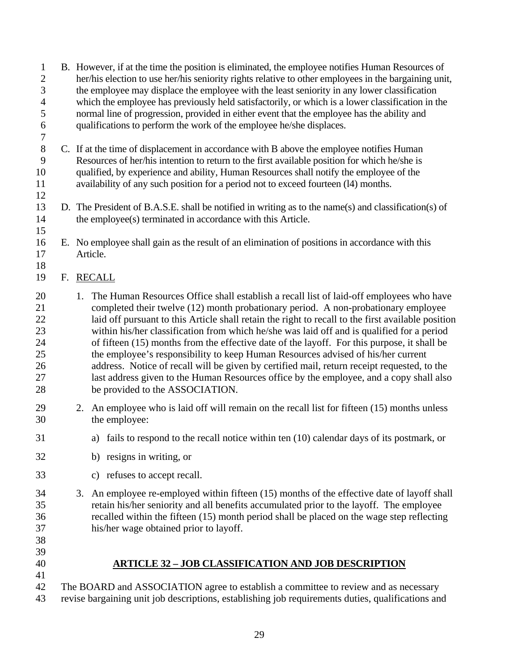- 1 B. However, if at the time the position is eliminated, the employee notifies Human Resources of 2 her/his election to use her/his seniority rights relative to other employees in the bargaining unit, 3 the employee may displace the employee with the least seniority in any lower classification 4 which the employee has previously held satisfactorily, or which is a lower classification in the 5 normal line of progression, provided in either event that the employee has the ability and 6 qualifications to perform the work of the employee he/she displaces. 7
- 8 C. If at the time of displacement in accordance with B above the employee notifies Human 9 Resources of her/his intention to return to the first available position for which he/she is 10 qualified, by experience and ability, Human Resources shall notify the employee of the 11 availability of any such position for a period not to exceed fourteen (l4) months.
- 13 D. The President of B.A.S.E. shall be notified in writing as to the name(s) and classification(s) of 14 the employee(s) terminated in accordance with this Article.
- 16 E. No employee shall gain as the result of an elimination of positions in accordance with this 17 Article.
- 19 F. RECALL

12

15

18

- 20 1. The Human Resources Office shall establish a recall list of laid-off employees who have 21 completed their twelve (12) month probationary period. A non-probationary employee 22 laid off pursuant to this Article shall retain the right to recall to the first available position 23 within his/her classification from which he/she was laid off and is qualified for a period 24 of fifteen (15) months from the effective date of the layoff. For this purpose, it shall be 25 the employee's responsibility to keep Human Resources advised of his/her current 26 address. Notice of recall will be given by certified mail, return receipt requested, to the 27 last address given to the Human Resources office by the employee, and a copy shall also 28 be provided to the ASSOCIATION.
- 29 2. An employee who is laid off will remain on the recall list for fifteen (15) months unless 30 the employee:
- 31 a) fails to respond to the recall notice within ten (10) calendar days of its postmark, or
- 32 b) resigns in writing, or
- 33 c) refuses to accept recall.
- 34 3. An employee re-employed within fifteen (15) months of the effective date of layoff shall 35 retain his/her seniority and all benefits accumulated prior to the layoff. The employee 36 recalled within the fifteen (15) month period shall be placed on the wage step reflecting 37 his/her wage obtained prior to layoff.
- 38 39

41

- 40 **ARTICLE 32 JOB CLASSIFICATION AND JOB DESCRIPTION**
- 42 The BOARD and ASSOCIATION agree to establish a committee to review and as necessary 43 revise bargaining unit job descriptions, establishing job requirements duties, qualifications and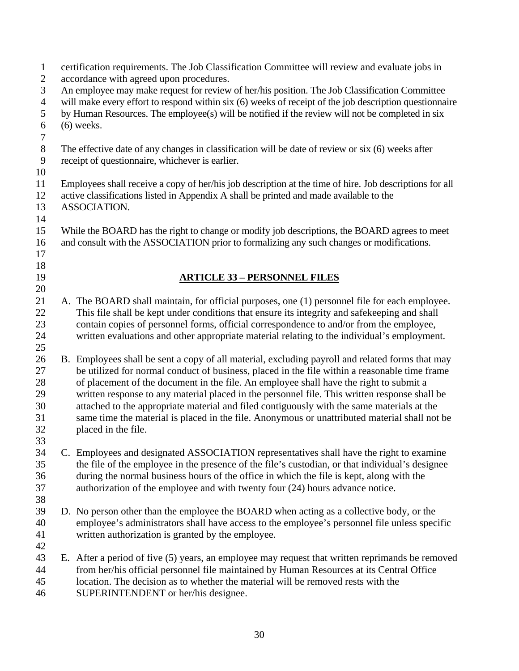| $\mathbf{1}$     |                                                                                                        | certification requirements. The Job Classification Committee will review and evaluate jobs in           |  |  |  |  |  |  |  |  |  |  |
|------------------|--------------------------------------------------------------------------------------------------------|---------------------------------------------------------------------------------------------------------|--|--|--|--|--|--|--|--|--|--|
| $\overline{2}$   |                                                                                                        | accordance with agreed upon procedures.                                                                 |  |  |  |  |  |  |  |  |  |  |
| $\mathfrak{Z}$   |                                                                                                        | An employee may make request for review of her/his position. The Job Classification Committee           |  |  |  |  |  |  |  |  |  |  |
| $\overline{4}$   | will make every effort to respond within six (6) weeks of receipt of the job description questionnaire |                                                                                                         |  |  |  |  |  |  |  |  |  |  |
| $\mathfrak s$    | by Human Resources. The employee(s) will be notified if the review will not be completed in six        |                                                                                                         |  |  |  |  |  |  |  |  |  |  |
| 6                | $(6)$ weeks.                                                                                           |                                                                                                         |  |  |  |  |  |  |  |  |  |  |
| $\boldsymbol{7}$ |                                                                                                        |                                                                                                         |  |  |  |  |  |  |  |  |  |  |
| $8\,$            |                                                                                                        | The effective date of any changes in classification will be date of review or six (6) weeks after       |  |  |  |  |  |  |  |  |  |  |
| $\overline{9}$   |                                                                                                        | receipt of questionnaire, whichever is earlier.                                                         |  |  |  |  |  |  |  |  |  |  |
| 10               |                                                                                                        |                                                                                                         |  |  |  |  |  |  |  |  |  |  |
| 11               |                                                                                                        | Employees shall receive a copy of her/his job description at the time of hire. Job descriptions for all |  |  |  |  |  |  |  |  |  |  |
| 12               | active classifications listed in Appendix A shall be printed and made available to the                 |                                                                                                         |  |  |  |  |  |  |  |  |  |  |
| 13               |                                                                                                        | ASSOCIATION.                                                                                            |  |  |  |  |  |  |  |  |  |  |
| 14               |                                                                                                        |                                                                                                         |  |  |  |  |  |  |  |  |  |  |
| 15               |                                                                                                        | While the BOARD has the right to change or modify job descriptions, the BOARD agrees to meet            |  |  |  |  |  |  |  |  |  |  |
| 16               |                                                                                                        | and consult with the ASSOCIATION prior to formalizing any such changes or modifications.                |  |  |  |  |  |  |  |  |  |  |
| 17               |                                                                                                        |                                                                                                         |  |  |  |  |  |  |  |  |  |  |
| 18               |                                                                                                        |                                                                                                         |  |  |  |  |  |  |  |  |  |  |
| 19               |                                                                                                        | <b>ARTICLE 33 - PERSONNEL FILES</b>                                                                     |  |  |  |  |  |  |  |  |  |  |
| 20               |                                                                                                        |                                                                                                         |  |  |  |  |  |  |  |  |  |  |
| 21               |                                                                                                        | A. The BOARD shall maintain, for official purposes, one (1) personnel file for each employee.           |  |  |  |  |  |  |  |  |  |  |
| 22               |                                                                                                        | This file shall be kept under conditions that ensure its integrity and safekeeping and shall            |  |  |  |  |  |  |  |  |  |  |
| 23               |                                                                                                        | contain copies of personnel forms, official correspondence to and/or from the employee,                 |  |  |  |  |  |  |  |  |  |  |
| 24               |                                                                                                        | written evaluations and other appropriate material relating to the individual's employment.             |  |  |  |  |  |  |  |  |  |  |
| 25               |                                                                                                        |                                                                                                         |  |  |  |  |  |  |  |  |  |  |
| 26               |                                                                                                        | B. Employees shall be sent a copy of all material, excluding payroll and related forms that may         |  |  |  |  |  |  |  |  |  |  |
| 27               |                                                                                                        | be utilized for normal conduct of business, placed in the file within a reasonable time frame           |  |  |  |  |  |  |  |  |  |  |
| 28               |                                                                                                        | of placement of the document in the file. An employee shall have the right to submit a                  |  |  |  |  |  |  |  |  |  |  |
| 29               |                                                                                                        | written response to any material placed in the personnel file. This written response shall be           |  |  |  |  |  |  |  |  |  |  |
| $30\,$           |                                                                                                        |                                                                                                         |  |  |  |  |  |  |  |  |  |  |
|                  |                                                                                                        | attached to the appropriate material and filed contiguously with the same materials at the              |  |  |  |  |  |  |  |  |  |  |
| 31               |                                                                                                        | same time the material is placed in the file. Anonymous or unattributed material shall not be           |  |  |  |  |  |  |  |  |  |  |
| 32               |                                                                                                        | placed in the file.                                                                                     |  |  |  |  |  |  |  |  |  |  |
| 33               |                                                                                                        |                                                                                                         |  |  |  |  |  |  |  |  |  |  |
| 34               |                                                                                                        | C. Employees and designated ASSOCIATION representatives shall have the right to examine                 |  |  |  |  |  |  |  |  |  |  |
| 35               |                                                                                                        | the file of the employee in the presence of the file's custodian, or that individual's designee         |  |  |  |  |  |  |  |  |  |  |
| 36               |                                                                                                        | during the normal business hours of the office in which the file is kept, along with the                |  |  |  |  |  |  |  |  |  |  |
| 37               |                                                                                                        | authorization of the employee and with twenty four (24) hours advance notice.                           |  |  |  |  |  |  |  |  |  |  |
| 38               |                                                                                                        |                                                                                                         |  |  |  |  |  |  |  |  |  |  |
| 39               |                                                                                                        | D. No person other than the employee the BOARD when acting as a collective body, or the                 |  |  |  |  |  |  |  |  |  |  |
| 40               |                                                                                                        | employee's administrators shall have access to the employee's personnel file unless specific            |  |  |  |  |  |  |  |  |  |  |
| 41               |                                                                                                        | written authorization is granted by the employee.                                                       |  |  |  |  |  |  |  |  |  |  |
| 42               |                                                                                                        |                                                                                                         |  |  |  |  |  |  |  |  |  |  |
| 43               |                                                                                                        | E. After a period of five (5) years, an employee may request that written reprimands be removed         |  |  |  |  |  |  |  |  |  |  |
| 44               |                                                                                                        | from her/his official personnel file maintained by Human Resources at its Central Office                |  |  |  |  |  |  |  |  |  |  |
| 45               |                                                                                                        | location. The decision as to whether the material will be removed rests with the                        |  |  |  |  |  |  |  |  |  |  |
| 46               |                                                                                                        | SUPERINTENDENT or her/his designee.                                                                     |  |  |  |  |  |  |  |  |  |  |
|                  |                                                                                                        |                                                                                                         |  |  |  |  |  |  |  |  |  |  |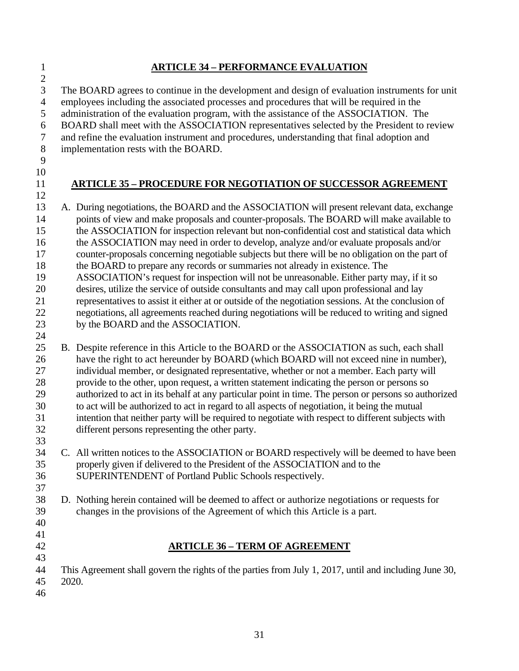| <b>ARTICLE 34 - PERFORMANCE EVALUATION</b>                                                            |
|-------------------------------------------------------------------------------------------------------|
|                                                                                                       |
| The BOARD agrees to continue in the development and design of evaluation instruments for unit         |
| employees including the associated processes and procedures that will be required in the              |
| administration of the evaluation program, with the assistance of the ASSOCIATION. The                 |
| BOARD shall meet with the ASSOCIATION representatives selected by the President to review             |
| and refine the evaluation instrument and procedures, understanding that final adoption and            |
| implementation rests with the BOARD.                                                                  |
|                                                                                                       |
|                                                                                                       |
| <b>ARTICLE 35 - PROCEDURE FOR NEGOTIATION OF SUCCESSOR AGREEMENT</b>                                  |
|                                                                                                       |
| A. During negotiations, the BOARD and the ASSOCIATION will present relevant data, exchange            |
| points of view and make proposals and counter-proposals. The BOARD will make available to             |
| the ASSOCIATION for inspection relevant but non-confidential cost and statistical data which          |
| the ASSOCIATION may need in order to develop, analyze and/or evaluate proposals and/or                |
| counter-proposals concerning negotiable subjects but there will be no obligation on the part of       |
| the BOARD to prepare any records or summaries not already in existence. The                           |
| ASSOCIATION's request for inspection will not be unreasonable. Either party may, if it so             |
| desires, utilize the service of outside consultants and may call upon professional and lay            |
| representatives to assist it either at or outside of the negotiation sessions. At the conclusion of   |
| negotiations, all agreements reached during negotiations will be reduced to writing and signed        |
| by the BOARD and the ASSOCIATION.                                                                     |
|                                                                                                       |
| B. Despite reference in this Article to the BOARD or the ASSOCIATION as such, each shall              |
| have the right to act hereunder by BOARD (which BOARD will not exceed nine in number),                |
| individual member, or designated representative, whether or not a member. Each party will             |
| provide to the other, upon request, a written statement indicating the person or persons so           |
| authorized to act in its behalf at any particular point in time. The person or persons so authorized  |
| to act will be authorized to act in regard to all aspects of negotiation, it being the mutual         |
| intention that neither party will be required to negotiate with respect to different subjects with    |
| different persons representing the other party.                                                       |
|                                                                                                       |
| C. All written notices to the ASSOCIATION or BOARD respectively will be deemed to have been           |
| properly given if delivered to the President of the ASSOCIATION and to the                            |
| SUPERINTENDENT of Portland Public Schools respectively.                                               |
|                                                                                                       |
| D. Nothing herein contained will be deemed to affect or authorize negotiations or requests for        |
| changes in the provisions of the Agreement of which this Article is a part.                           |
|                                                                                                       |
|                                                                                                       |
| <b>ARTICLE 36 - TERM OF AGREEMENT</b>                                                                 |
|                                                                                                       |
| This Agreement shall govern the rights of the parties from July 1, 2017, until and including June 30, |
| 2020.                                                                                                 |
|                                                                                                       |
|                                                                                                       |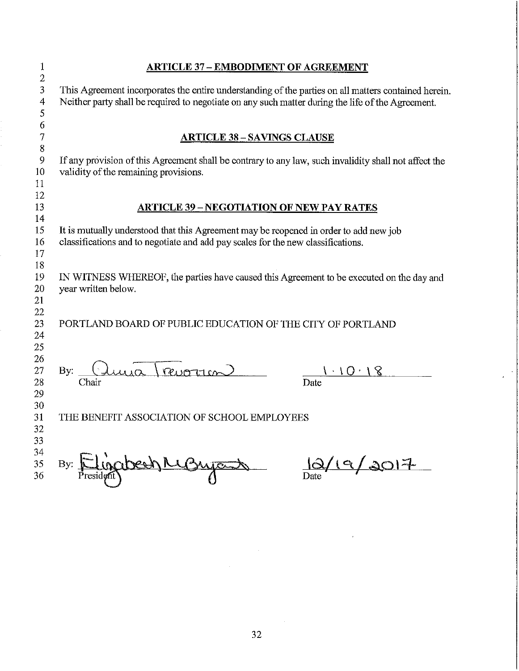| 1                | <b>ARTICLE 37 - EMBODIMENT OF AGREEMENT</b>                                                                                                                                                               |  |  |  |  |  |  |  |  |  |  |  |
|------------------|-----------------------------------------------------------------------------------------------------------------------------------------------------------------------------------------------------------|--|--|--|--|--|--|--|--|--|--|--|
| 2<br>3<br>4<br>5 | This Agreement incorporates the entire understanding of the parties on all matters contained herein.<br>Neither party shall be required to negotiate on any such matter during the life of the Agreement. |  |  |  |  |  |  |  |  |  |  |  |
| 6                |                                                                                                                                                                                                           |  |  |  |  |  |  |  |  |  |  |  |
| 7                | <b>ARTICLE 38 – SAVINGS CLAUSE</b>                                                                                                                                                                        |  |  |  |  |  |  |  |  |  |  |  |
| $8\,$            | If any provision of this Agreement shall be contrary to any law, such invalidity shall not affect the                                                                                                     |  |  |  |  |  |  |  |  |  |  |  |
| 9<br>10          | validity of the remaining provisions.                                                                                                                                                                     |  |  |  |  |  |  |  |  |  |  |  |
| 11               |                                                                                                                                                                                                           |  |  |  |  |  |  |  |  |  |  |  |
| 12               |                                                                                                                                                                                                           |  |  |  |  |  |  |  |  |  |  |  |
| 13               | <b>ARTICLE 39 – NEGOTIATION OF NEW PAY RATES</b>                                                                                                                                                          |  |  |  |  |  |  |  |  |  |  |  |
| 14               |                                                                                                                                                                                                           |  |  |  |  |  |  |  |  |  |  |  |
| 15               | It is mutually understood that this Agreement may be reopened in order to add new job                                                                                                                     |  |  |  |  |  |  |  |  |  |  |  |
| 16               | classifications and to negotiate and add pay scales for the new classifications.                                                                                                                          |  |  |  |  |  |  |  |  |  |  |  |
| 17               |                                                                                                                                                                                                           |  |  |  |  |  |  |  |  |  |  |  |
| 18<br>19         | IN WITNESS WHEREOF, the parties have caused this Agreement to be executed on the day and                                                                                                                  |  |  |  |  |  |  |  |  |  |  |  |
| 20               | year written below.                                                                                                                                                                                       |  |  |  |  |  |  |  |  |  |  |  |
| 21               |                                                                                                                                                                                                           |  |  |  |  |  |  |  |  |  |  |  |
| 22               |                                                                                                                                                                                                           |  |  |  |  |  |  |  |  |  |  |  |
| 23               | PORTLAND BOARD OF PUBLIC EDUCATION OF THE CITY OF PORTLAND                                                                                                                                                |  |  |  |  |  |  |  |  |  |  |  |
| 24               |                                                                                                                                                                                                           |  |  |  |  |  |  |  |  |  |  |  |
| 25               |                                                                                                                                                                                                           |  |  |  |  |  |  |  |  |  |  |  |
| 26               |                                                                                                                                                                                                           |  |  |  |  |  |  |  |  |  |  |  |
| 27               | By: $\frac{(\lambda u)}{\text{Chair}}$ revorter<br>$1 \cdot 10 \cdot$<br>Date                                                                                                                             |  |  |  |  |  |  |  |  |  |  |  |
| 28<br>29         |                                                                                                                                                                                                           |  |  |  |  |  |  |  |  |  |  |  |
| 30               |                                                                                                                                                                                                           |  |  |  |  |  |  |  |  |  |  |  |
| 31               | THE BENEFIT ASSOCIATION OF SCHOOL EMPLOYEES                                                                                                                                                               |  |  |  |  |  |  |  |  |  |  |  |
| 32               |                                                                                                                                                                                                           |  |  |  |  |  |  |  |  |  |  |  |
| 33               |                                                                                                                                                                                                           |  |  |  |  |  |  |  |  |  |  |  |
| 34               |                                                                                                                                                                                                           |  |  |  |  |  |  |  |  |  |  |  |
| 35               | By: Eliocidesh Magnyant                                                                                                                                                                                   |  |  |  |  |  |  |  |  |  |  |  |
| 36               |                                                                                                                                                                                                           |  |  |  |  |  |  |  |  |  |  |  |
|                  |                                                                                                                                                                                                           |  |  |  |  |  |  |  |  |  |  |  |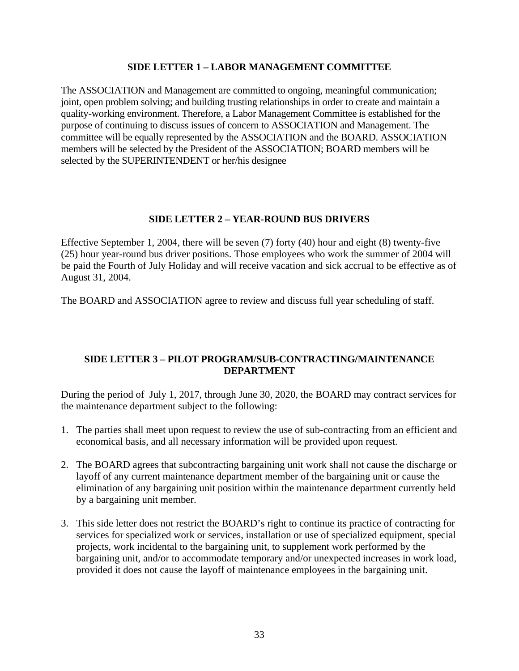#### **SIDE LETTER 1 – LABOR MANAGEMENT COMMITTEE**

The ASSOCIATION and Management are committed to ongoing, meaningful communication; joint, open problem solving; and building trusting relationships in order to create and maintain a quality-working environment. Therefore, a Labor Management Committee is established for the purpose of continuing to discuss issues of concern to ASSOCIATION and Management. The committee will be equally represented by the ASSOCIATION and the BOARD. ASSOCIATION members will be selected by the President of the ASSOCIATION; BOARD members will be selected by the SUPERINTENDENT or her/his designee

#### **SIDE LETTER 2 – YEAR-ROUND BUS DRIVERS**

Effective September 1, 2004, there will be seven (7) forty (40) hour and eight (8) twenty-five (25) hour year-round bus driver positions. Those employees who work the summer of 2004 will be paid the Fourth of July Holiday and will receive vacation and sick accrual to be effective as of August 31, 2004.

The BOARD and ASSOCIATION agree to review and discuss full year scheduling of staff.

#### **SIDE LETTER 3 – PILOT PROGRAM/SUB-CONTRACTING/MAINTENANCE DEPARTMENT**

During the period of July 1, 2017, through June 30, 2020, the BOARD may contract services for the maintenance department subject to the following:

- 1. The parties shall meet upon request to review the use of sub-contracting from an efficient and economical basis, and all necessary information will be provided upon request.
- 2. The BOARD agrees that subcontracting bargaining unit work shall not cause the discharge or layoff of any current maintenance department member of the bargaining unit or cause the elimination of any bargaining unit position within the maintenance department currently held by a bargaining unit member.
- 3. This side letter does not restrict the BOARD's right to continue its practice of contracting for services for specialized work or services, installation or use of specialized equipment, special projects, work incidental to the bargaining unit, to supplement work performed by the bargaining unit, and/or to accommodate temporary and/or unexpected increases in work load, provided it does not cause the layoff of maintenance employees in the bargaining unit.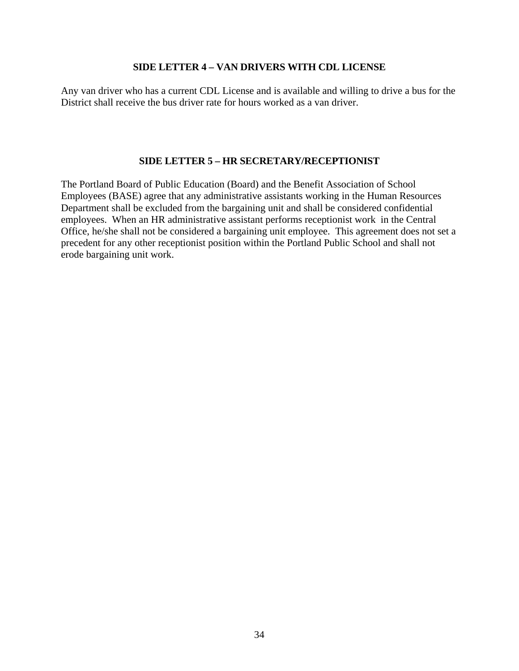#### **SIDE LETTER 4 – VAN DRIVERS WITH CDL LICENSE**

Any van driver who has a current CDL License and is available and willing to drive a bus for the District shall receive the bus driver rate for hours worked as a van driver.

#### **SIDE LETTER 5 – HR SECRETARY/RECEPTIONIST**

The Portland Board of Public Education (Board) and the Benefit Association of School Employees (BASE) agree that any administrative assistants working in the Human Resources Department shall be excluded from the bargaining unit and shall be considered confidential employees. When an HR administrative assistant performs receptionist work in the Central Office, he/she shall not be considered a bargaining unit employee. This agreement does not set a precedent for any other receptionist position within the Portland Public School and shall not erode bargaining unit work.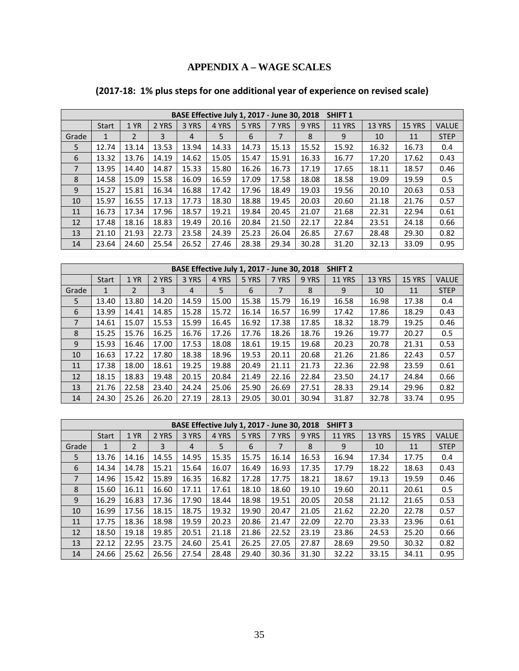## **APPENDIX A – WAGE SCALES**

|                | BASE Effective July 1, 2017 - June 30, 2018<br><b>SHIFT 1</b> |                |       |       |       |       |       |       |               |               |               |              |
|----------------|---------------------------------------------------------------|----------------|-------|-------|-------|-------|-------|-------|---------------|---------------|---------------|--------------|
|                | <b>Start</b>                                                  | 1 YR           | 2 YRS | 3 YRS | 4 YRS | 5 YRS | 7 YRS | 9 YRS | <b>11 YRS</b> | <b>13 YRS</b> | <b>15 YRS</b> | <b>VALUE</b> |
| Grade          | $\mathbf{1}$                                                  | $\overline{2}$ | 3     | 4     | 5     | 6     |       | 8     | 9             | 10            | 11            | <b>STEP</b>  |
| 5              | 12.74                                                         | 13.14          | 13.53 | 13.94 | 14.33 | 14.73 | 15.13 | 15.52 | 15.92         | 16.32         | 16.73         | 0.4          |
| 6              | 13.32                                                         | 13.76          | 14.19 | 14.62 | 15.05 | 15.47 | 15.91 | 16.33 | 16.77         | 17.20         | 17.62         | 0.43         |
| $\overline{7}$ | 13.95                                                         | 14.40          | 14.87 | 15.33 | 15.80 | 16.26 | 16.73 | 17.19 | 17.65         | 18.11         | 18.57         | 0.46         |
| 8              | 14.58                                                         | 15.09          | 15.58 | 16.09 | 16.59 | 17.09 | 17.58 | 18.08 | 18.58         | 19.09         | 19.59         | 0.5          |
| 9              | 15.27                                                         | 15.81          | 16.34 | 16.88 | 17.42 | 17.96 | 18.49 | 19.03 | 19.56         | 20.10         | 20.63         | 0.53         |
| 10             | 15.97                                                         | 16.55          | 17.13 | 17.73 | 18.30 | 18.88 | 19.45 | 20.03 | 20.60         | 21.18         | 21.76         | 0.57         |
| 11             | 16.73                                                         | 17.34          | 17.96 | 18.57 | 19.21 | 19.84 | 20.45 | 21.07 | 21.68         | 22.31         | 22.94         | 0.61         |
| 12             | 17.48                                                         | 18.16          | 18.83 | 19.49 | 20.16 | 20.84 | 21.50 | 22.17 | 22.84         | 23.51         | 24.18         | 0.66         |
| 13             | 21.10                                                         | 21.93          | 22.73 | 23.58 | 24.39 | 25.23 | 26.04 | 26.85 | 27.67         | 28.48         | 29.30         | 0.82         |
| 14             | 23.64                                                         | 24.60          | 25.54 | 26.52 | 27.46 | 28.38 | 29.34 | 30.28 | 31.20         | 32.13         | 33.09         | 0.95         |

# **(2017‐18: 1% plus steps for one additional year of experience on revised scale)**

| BASE Effective July 1, 2017 - June 30, 2018<br>SHIFT <sub>2</sub> |              |       |       |       |       |       |       |       |               |               |               |              |
|-------------------------------------------------------------------|--------------|-------|-------|-------|-------|-------|-------|-------|---------------|---------------|---------------|--------------|
|                                                                   | <b>Start</b> | 1 YR  | 2 YRS | 3 YRS | 4 YRS | 5 YRS | 7 YRS | 9 YRS | <b>11 YRS</b> | <b>13 YRS</b> | <b>15 YRS</b> | <b>VALUE</b> |
| Grade                                                             | 1            | 2     | 3     | 4     | 5     | 6     |       | 8     | 9             | 10            | 11            | <b>STEP</b>  |
| 5                                                                 | 13.40        | 13.80 | 14.20 | 14.59 | 15.00 | 15.38 | 15.79 | 16.19 | 16.58         | 16.98         | 17.38         | 0.4          |
| 6                                                                 | 13.99        | 14.41 | 14.85 | 15.28 | 15.72 | 16.14 | 16.57 | 16.99 | 17.42         | 17.86         | 18.29         | 0.43         |
| 7                                                                 | 14.61        | 15.07 | 15.53 | 15.99 | 16.45 | 16.92 | 17.38 | 17.85 | 18.32         | 18.79         | 19.25         | 0.46         |
| 8                                                                 | 15.25        | 15.76 | 16.25 | 16.76 | 17.26 | 17.76 | 18.26 | 18.76 | 19.26         | 19.77         | 20.27         | 0.5          |
| 9                                                                 | 15.93        | 16.46 | 17.00 | 17.53 | 18.08 | 18.61 | 19.15 | 19.68 | 20.23         | 20.78         | 21.31         | 0.53         |
| 10                                                                | 16.63        | 17.22 | 17.80 | 18.38 | 18.96 | 19.53 | 20.11 | 20.68 | 21.26         | 21.86         | 22.43         | 0.57         |
| 11                                                                | 17.38        | 18.00 | 18.61 | 19.25 | 19.88 | 20.49 | 21.11 | 21.73 | 22.36         | 22.98         | 23.59         | 0.61         |
| 12                                                                | 18.15        | 18.83 | 19.48 | 20.15 | 20.84 | 21.49 | 22.16 | 22.84 | 23.50         | 24.17         | 24.84         | 0.66         |
| 13                                                                | 21.76        | 22.58 | 23.40 | 24.24 | 25.06 | 25.90 | 26.69 | 27.51 | 28.33         | 29.14         | 29.96         | 0.82         |
| 14                                                                | 24.30        | 25.26 | 26.20 | 27.19 | 28.13 | 29.05 | 30.01 | 30.94 | 31.87         | 32.78         | 33.74         | 0.95         |

|                | BASE Effective July 1, 2017 - June 30, 2018<br><b>SHIFT 3</b> |       |       |       |       |       |       |       |               |               |               |              |
|----------------|---------------------------------------------------------------|-------|-------|-------|-------|-------|-------|-------|---------------|---------------|---------------|--------------|
|                | <b>Start</b>                                                  | 1 YR  | 2 YRS | 3 YRS | 4 YRS | 5 YRS | 7 YRS | 9 YRS | <b>11 YRS</b> | <b>13 YRS</b> | <b>15 YRS</b> | <b>VALUE</b> |
| Grade          | 1                                                             | 2     | 3     | 4     | 5     | 6     | 7     | 8     | 9             | 10            | 11            | <b>STEP</b>  |
| 5              | 13.76                                                         | 14.16 | 14.55 | 14.95 | 15.35 | 15.75 | 16.14 | 16.53 | 16.94         | 17.34         | 17.75         | 0.4          |
| 6              | 14.34                                                         | 14.78 | 15.21 | 15.64 | 16.07 | 16.49 | 16.93 | 17.35 | 17.79         | 18.22         | 18.63         | 0.43         |
| $\overline{7}$ | 14.96                                                         | 15.42 | 15.89 | 16.35 | 16.82 | 17.28 | 17.75 | 18.21 | 18.67         | 19.13         | 19.59         | 0.46         |
| 8              | 15.60                                                         | 16.11 | 16.60 | 17.11 | 17.61 | 18.10 | 18.60 | 19.10 | 19.60         | 20.11         | 20.61         | 0.5          |
| 9              | 16.29                                                         | 16.83 | 17.36 | 17.90 | 18.44 | 18.98 | 19.51 | 20.05 | 20.58         | 21.12         | 21.65         | 0.53         |
| 10             | 16.99                                                         | 17.56 | 18.15 | 18.75 | 19.32 | 19.90 | 20.47 | 21.05 | 21.62         | 22.20         | 22.78         | 0.57         |
| 11             | 17.75                                                         | 18.36 | 18.98 | 19.59 | 20.23 | 20.86 | 21.47 | 22.09 | 22.70         | 23.33         | 23.96         | 0.61         |
| 12             | 18.50                                                         | 19.18 | 19.85 | 20.51 | 21.18 | 21.86 | 22.52 | 23.19 | 23.86         | 24.53         | 25.20         | 0.66         |
| 13             | 22.12                                                         | 22.95 | 23.75 | 24.60 | 25.41 | 26.25 | 27.05 | 27.87 | 28.69         | 29.50         | 30.32         | 0.82         |
| 14             | 24.66                                                         | 25.62 | 26.56 | 27.54 | 28.48 | 29.40 | 30.36 | 31.30 | 32.22         | 33.15         | 34.11         | 0.95         |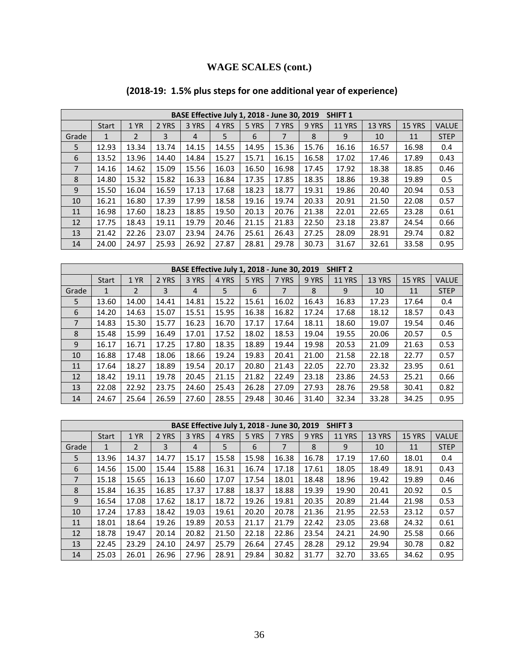# **WAGE SCALES (cont.)**

# **(2018‐19: 1.5% plus steps for one additional year of experience)**

|       | BASE Effective July 1, 2018 - June 30, 2019<br><b>SHIFT 1</b> |                |       |       |       |       |       |       |               |        |               |              |
|-------|---------------------------------------------------------------|----------------|-------|-------|-------|-------|-------|-------|---------------|--------|---------------|--------------|
|       | <b>Start</b>                                                  | 1 YR           | 2 YRS | 3 YRS | 4 YRS | 5 YRS | 7 YRS | 9 YRS | <b>11 YRS</b> | 13 YRS | <b>15 YRS</b> | <b>VALUE</b> |
| Grade | $\mathbf{1}$                                                  | $\overline{2}$ | 3     | 4     | 5     | 6     | 7     | 8     | 9             | 10     | 11            | <b>STEP</b>  |
| 5     | 12.93                                                         | 13.34          | 13.74 | 14.15 | 14.55 | 14.95 | 15.36 | 15.76 | 16.16         | 16.57  | 16.98         | 0.4          |
| 6     | 13.52                                                         | 13.96          | 14.40 | 14.84 | 15.27 | 15.71 | 16.15 | 16.58 | 17.02         | 17.46  | 17.89         | 0.43         |
| 7     | 14.16                                                         | 14.62          | 15.09 | 15.56 | 16.03 | 16.50 | 16.98 | 17.45 | 17.92         | 18.38  | 18.85         | 0.46         |
| 8     | 14.80                                                         | 15.32          | 15.82 | 16.33 | 16.84 | 17.35 | 17.85 | 18.35 | 18.86         | 19.38  | 19.89         | 0.5          |
| 9     | 15.50                                                         | 16.04          | 16.59 | 17.13 | 17.68 | 18.23 | 18.77 | 19.31 | 19.86         | 20.40  | 20.94         | 0.53         |
| 10    | 16.21                                                         | 16.80          | 17.39 | 17.99 | 18.58 | 19.16 | 19.74 | 20.33 | 20.91         | 21.50  | 22.08         | 0.57         |
| 11    | 16.98                                                         | 17.60          | 18.23 | 18.85 | 19.50 | 20.13 | 20.76 | 21.38 | 22.01         | 22.65  | 23.28         | 0.61         |
| 12    | 17.75                                                         | 18.43          | 19.11 | 19.79 | 20.46 | 21.15 | 21.83 | 22.50 | 23.18         | 23.87  | 24.54         | 0.66         |
| 13    | 21.42                                                         | 22.26          | 23.07 | 23.94 | 24.76 | 25.61 | 26.43 | 27.25 | 28.09         | 28.91  | 29.74         | 0.82         |
| 14    | 24.00                                                         | 24.97          | 25.93 | 26.92 | 27.87 | 28.81 | 29.78 | 30.73 | 31.67         | 32.61  | 33.58         | 0.95         |

|       | BASE Effective July 1, 2018 - June 30, 2019<br>SHIFT <sub>2</sub> |                |       |       |       |       |       |       |               |               |               |              |
|-------|-------------------------------------------------------------------|----------------|-------|-------|-------|-------|-------|-------|---------------|---------------|---------------|--------------|
|       | <b>Start</b>                                                      | 1 YR           | 2 YRS | 3 YRS | 4 YRS | 5 YRS | 7 YRS | 9 YRS | <b>11 YRS</b> | <b>13 YRS</b> | <b>15 YRS</b> | <b>VALUE</b> |
| Grade | $\mathbf{1}$                                                      | $\overline{2}$ | 3     | 4     | 5     | 6     | 7     | 8     | 9             | 10            | 11            | <b>STEP</b>  |
| 5     | 13.60                                                             | 14.00          | 14.41 | 14.81 | 15.22 | 15.61 | 16.02 | 16.43 | 16.83         | 17.23         | 17.64         | 0.4          |
| 6     | 14.20                                                             | 14.63          | 15.07 | 15.51 | 15.95 | 16.38 | 16.82 | 17.24 | 17.68         | 18.12         | 18.57         | 0.43         |
| 7     | 14.83                                                             | 15.30          | 15.77 | 16.23 | 16.70 | 17.17 | 17.64 | 18.11 | 18.60         | 19.07         | 19.54         | 0.46         |
| 8     | 15.48                                                             | 15.99          | 16.49 | 17.01 | 17.52 | 18.02 | 18.53 | 19.04 | 19.55         | 20.06         | 20.57         | 0.5          |
| 9     | 16.17                                                             | 16.71          | 17.25 | 17.80 | 18.35 | 18.89 | 19.44 | 19.98 | 20.53         | 21.09         | 21.63         | 0.53         |
| 10    | 16.88                                                             | 17.48          | 18.06 | 18.66 | 19.24 | 19.83 | 20.41 | 21.00 | 21.58         | 22.18         | 22.77         | 0.57         |
| 11    | 17.64                                                             | 18.27          | 18.89 | 19.54 | 20.17 | 20.80 | 21.43 | 22.05 | 22.70         | 23.32         | 23.95         | 0.61         |
| 12    | 18.42                                                             | 19.11          | 19.78 | 20.45 | 21.15 | 21.82 | 22.49 | 23.18 | 23.86         | 24.53         | 25.21         | 0.66         |
| 13    | 22.08                                                             | 22.92          | 23.75 | 24.60 | 25.43 | 26.28 | 27.09 | 27.93 | 28.76         | 29.58         | 30.41         | 0.82         |
| 14    | 24.67                                                             | 25.64          | 26.59 | 27.60 | 28.55 | 29.48 | 30.46 | 31.40 | 32.34         | 33.28         | 34.25         | 0.95         |

|                | BASE Effective July 1, 2018 - June 30, 2019<br><b>SHIFT 3</b> |                |       |                |       |       |       |       |               |        |               |              |
|----------------|---------------------------------------------------------------|----------------|-------|----------------|-------|-------|-------|-------|---------------|--------|---------------|--------------|
|                | <b>Start</b>                                                  | 1 YR           | 2 YRS | 3 YRS          | 4 YRS | 5 YRS | 7 YRS | 9 YRS | <b>11 YRS</b> | 13 YRS | <b>15 YRS</b> | <b>VALUE</b> |
| Grade          | 1                                                             | $\overline{2}$ | 3     | $\overline{4}$ | 5     | 6     | 7     | 8     | 9             | 10     | 11            | <b>STEP</b>  |
| 5              | 13.96                                                         | 14.37          | 14.77 | 15.17          | 15.58 | 15.98 | 16.38 | 16.78 | 17.19         | 17.60  | 18.01         | 0.4          |
| 6              | 14.56                                                         | 15.00          | 15.44 | 15.88          | 16.31 | 16.74 | 17.18 | 17.61 | 18.05         | 18.49  | 18.91         | 0.43         |
| $\overline{7}$ | 15.18                                                         | 15.65          | 16.13 | 16.60          | 17.07 | 17.54 | 18.01 | 18.48 | 18.96         | 19.42  | 19.89         | 0.46         |
| 8              | 15.84                                                         | 16.35          | 16.85 | 17.37          | 17.88 | 18.37 | 18.88 | 19.39 | 19.90         | 20.41  | 20.92         | 0.5          |
| 9              | 16.54                                                         | 17.08          | 17.62 | 18.17          | 18.72 | 19.26 | 19.81 | 20.35 | 20.89         | 21.44  | 21.98         | 0.53         |
| 10             | 17.24                                                         | 17.83          | 18.42 | 19.03          | 19.61 | 20.20 | 20.78 | 21.36 | 21.95         | 22.53  | 23.12         | 0.57         |
| 11             | 18.01                                                         | 18.64          | 19.26 | 19.89          | 20.53 | 21.17 | 21.79 | 22.42 | 23.05         | 23.68  | 24.32         | 0.61         |
| 12             | 18.78                                                         | 19.47          | 20.14 | 20.82          | 21.50 | 22.18 | 22.86 | 23.54 | 24.21         | 24.90  | 25.58         | 0.66         |
| 13             | 22.45                                                         | 23.29          | 24.10 | 24.97          | 25.79 | 26.64 | 27.45 | 28.28 | 29.12         | 29.94  | 30.78         | 0.82         |
| 14             | 25.03                                                         | 26.01          | 26.96 | 27.96          | 28.91 | 29.84 | 30.82 | 31.77 | 32.70         | 33.65  | 34.62         | 0.95         |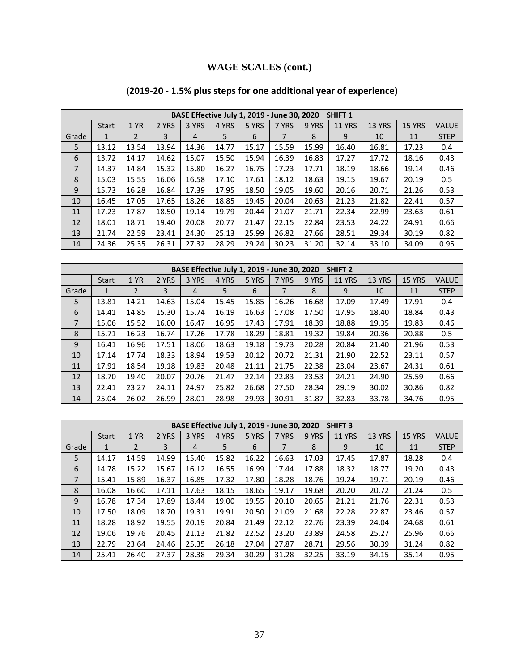# **WAGE SCALES (cont.)**

# **(2019‐20 ‐ 1.5% plus steps for one additional year of experience)**

|       | BASE Effective July 1, 2019 - June 30, 2020<br><b>SHIFT 1</b> |                |       |       |       |       |       |       |               |        |               |              |
|-------|---------------------------------------------------------------|----------------|-------|-------|-------|-------|-------|-------|---------------|--------|---------------|--------------|
|       | <b>Start</b>                                                  | 1 YR           | 2 YRS | 3 YRS | 4 YRS | 5 YRS | 7 YRS | 9 YRS | <b>11 YRS</b> | 13 YRS | <b>15 YRS</b> | <b>VALUE</b> |
| Grade | $\mathbf{1}$                                                  | $\overline{2}$ | 3     | 4     | 5     | 6     | 7     | 8     | 9             | 10     | 11            | <b>STEP</b>  |
| 5     | 13.12                                                         | 13.54          | 13.94 | 14.36 | 14.77 | 15.17 | 15.59 | 15.99 | 16.40         | 16.81  | 17.23         | 0.4          |
| 6     | 13.72                                                         | 14.17          | 14.62 | 15.07 | 15.50 | 15.94 | 16.39 | 16.83 | 17.27         | 17.72  | 18.16         | 0.43         |
| 7     | 14.37                                                         | 14.84          | 15.32 | 15.80 | 16.27 | 16.75 | 17.23 | 17.71 | 18.19         | 18.66  | 19.14         | 0.46         |
| 8     | 15.03                                                         | 15.55          | 16.06 | 16.58 | 17.10 | 17.61 | 18.12 | 18.63 | 19.15         | 19.67  | 20.19         | 0.5          |
| 9     | 15.73                                                         | 16.28          | 16.84 | 17.39 | 17.95 | 18.50 | 19.05 | 19.60 | 20.16         | 20.71  | 21.26         | 0.53         |
| 10    | 16.45                                                         | 17.05          | 17.65 | 18.26 | 18.85 | 19.45 | 20.04 | 20.63 | 21.23         | 21.82  | 22.41         | 0.57         |
| 11    | 17.23                                                         | 17.87          | 18.50 | 19.14 | 19.79 | 20.44 | 21.07 | 21.71 | 22.34         | 22.99  | 23.63         | 0.61         |
| 12    | 18.01                                                         | 18.71          | 19.40 | 20.08 | 20.77 | 21.47 | 22.15 | 22.84 | 23.53         | 24.22  | 24.91         | 0.66         |
| 13    | 21.74                                                         | 22.59          | 23.41 | 24.30 | 25.13 | 25.99 | 26.82 | 27.66 | 28.51         | 29.34  | 30.19         | 0.82         |
| 14    | 24.36                                                         | 25.35          | 26.31 | 27.32 | 28.29 | 29.24 | 30.23 | 31.20 | 32.14         | 33.10  | 34.09         | 0.95         |

|       | BASE Effective July 1, 2019 - June 30, 2020<br>SHIFT <sub>2</sub> |       |       |       |       |       |       |       |               |               |               |              |
|-------|-------------------------------------------------------------------|-------|-------|-------|-------|-------|-------|-------|---------------|---------------|---------------|--------------|
|       | <b>Start</b>                                                      | 1 YR  | 2 YRS | 3 YRS | 4 YRS | 5 YRS | 7 YRS | 9 YRS | <b>11 YRS</b> | <b>13 YRS</b> | <b>15 YRS</b> | <b>VALUE</b> |
| Grade | 1                                                                 | 2     | 3     | 4     | 5     | 6     | 7     | 8     | 9             | 10            | 11            | <b>STEP</b>  |
| 5     | 13.81                                                             | 14.21 | 14.63 | 15.04 | 15.45 | 15.85 | 16.26 | 16.68 | 17.09         | 17.49         | 17.91         | 0.4          |
| 6     | 14.41                                                             | 14.85 | 15.30 | 15.74 | 16.19 | 16.63 | 17.08 | 17.50 | 17.95         | 18.40         | 18.84         | 0.43         |
| 7     | 15.06                                                             | 15.52 | 16.00 | 16.47 | 16.95 | 17.43 | 17.91 | 18.39 | 18.88         | 19.35         | 19.83         | 0.46         |
| 8     | 15.71                                                             | 16.23 | 16.74 | 17.26 | 17.78 | 18.29 | 18.81 | 19.32 | 19.84         | 20.36         | 20.88         | 0.5          |
| 9     | 16.41                                                             | 16.96 | 17.51 | 18.06 | 18.63 | 19.18 | 19.73 | 20.28 | 20.84         | 21.40         | 21.96         | 0.53         |
| 10    | 17.14                                                             | 17.74 | 18.33 | 18.94 | 19.53 | 20.12 | 20.72 | 21.31 | 21.90         | 22.52         | 23.11         | 0.57         |
| 11    | 17.91                                                             | 18.54 | 19.18 | 19.83 | 20.48 | 21.11 | 21.75 | 22.38 | 23.04         | 23.67         | 24.31         | 0.61         |
| 12    | 18.70                                                             | 19.40 | 20.07 | 20.76 | 21.47 | 22.14 | 22.83 | 23.53 | 24.21         | 24.90         | 25.59         | 0.66         |
| 13    | 22.41                                                             | 23.27 | 24.11 | 24.97 | 25.82 | 26.68 | 27.50 | 28.34 | 29.19         | 30.02         | 30.86         | 0.82         |
| 14    | 25.04                                                             | 26.02 | 26.99 | 28.01 | 28.98 | 29.93 | 30.91 | 31.87 | 32.83         | 33.78         | 34.76         | 0.95         |

|       | BASE Effective July 1, 2019 - June 30, 2020<br><b>SHIFT 3</b> |                |       |                |       |       |       |       |               |               |               |              |
|-------|---------------------------------------------------------------|----------------|-------|----------------|-------|-------|-------|-------|---------------|---------------|---------------|--------------|
|       | <b>Start</b>                                                  | 1 YR           | 2 YRS | 3 YRS          | 4 YRS | 5 YRS | 7 YRS | 9 YRS | <b>11 YRS</b> | <b>13 YRS</b> | <b>15 YRS</b> | <b>VALUE</b> |
| Grade | 1                                                             | $\overline{2}$ | 3     | $\overline{4}$ | 5     | 6     | 7     | 8     | 9             | 10            | 11            | <b>STEP</b>  |
| 5     | 14.17                                                         | 14.59          | 14.99 | 15.40          | 15.82 | 16.22 | 16.63 | 17.03 | 17.45         | 17.87         | 18.28         | 0.4          |
| 6     | 14.78                                                         | 15.22          | 15.67 | 16.12          | 16.55 | 16.99 | 17.44 | 17.88 | 18.32         | 18.77         | 19.20         | 0.43         |
| 7     | 15.41                                                         | 15.89          | 16.37 | 16.85          | 17.32 | 17.80 | 18.28 | 18.76 | 19.24         | 19.71         | 20.19         | 0.46         |
| 8     | 16.08                                                         | 16.60          | 17.11 | 17.63          | 18.15 | 18.65 | 19.17 | 19.68 | 20.20         | 20.72         | 21.24         | 0.5          |
| 9     | 16.78                                                         | 17.34          | 17.89 | 18.44          | 19.00 | 19.55 | 20.10 | 20.65 | 21.21         | 21.76         | 22.31         | 0.53         |
| 10    | 17.50                                                         | 18.09          | 18.70 | 19.31          | 19.91 | 20.50 | 21.09 | 21.68 | 22.28         | 22.87         | 23.46         | 0.57         |
| 11    | 18.28                                                         | 18.92          | 19.55 | 20.19          | 20.84 | 21.49 | 22.12 | 22.76 | 23.39         | 24.04         | 24.68         | 0.61         |
| 12    | 19.06                                                         | 19.76          | 20.45 | 21.13          | 21.82 | 22.52 | 23.20 | 23.89 | 24.58         | 25.27         | 25.96         | 0.66         |
| 13    | 22.79                                                         | 23.64          | 24.46 | 25.35          | 26.18 | 27.04 | 27.87 | 28.71 | 29.56         | 30.39         | 31.24         | 0.82         |
| 14    | 25.41                                                         | 26.40          | 27.37 | 28.38          | 29.34 | 30.29 | 31.28 | 32.25 | 33.19         | 34.15         | 35.14         | 0.95         |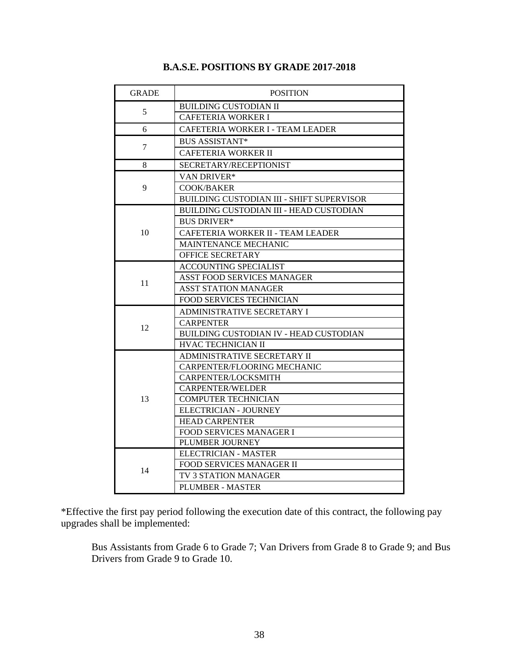| <b>GRADE</b> | <b>POSITION</b>                                  |
|--------------|--------------------------------------------------|
|              | <b>BUILDING CUSTODIAN II</b>                     |
| 5            | <b>CAFETERIA WORKER I</b>                        |
| 6            | CAFETERIA WORKER I - TEAM LEADER                 |
|              | <b>BUS ASSISTANT*</b>                            |
| 7            | <b>CAFETERIA WORKER II</b>                       |
| 8            | SECRETARY/RECEPTIONIST                           |
|              | VAN DRIVER*                                      |
| 9            | <b>COOK/BAKER</b>                                |
|              | <b>BUILDING CUSTODIAN III - SHIFT SUPERVISOR</b> |
|              | BUILDING CUSTODIAN III - HEAD CUSTODIAN          |
|              | <b>BUS DRIVER*</b>                               |
| 10           | CAFETERIA WORKER II - TEAM LEADER                |
|              | MAINTENANCE MECHANIC                             |
|              | <b>OFFICE SECRETARY</b>                          |
|              | <b>ACCOUNTING SPECIALIST</b>                     |
|              | <b>ASST FOOD SERVICES MANAGER</b>                |
| 11           | ASST STATION MANAGER                             |
|              | FOOD SERVICES TECHNICIAN                         |
|              | ADMINISTRATIVE SECRETARY I                       |
| 12           | <b>CARPENTER</b>                                 |
|              | BUILDING CUSTODIAN IV - HEAD CUSTODIAN           |
|              | HVAC TECHNICIAN II                               |
|              | ADMINISTRATIVE SECRETARY II                      |
|              | CARPENTER/FLOORING MECHANIC                      |
|              | CARPENTER/LOCKSMITH                              |
|              | <b>CARPENTER/WELDER</b>                          |
| 13           | <b>COMPUTER TECHNICIAN</b>                       |
|              | ELECTRICIAN - JOURNEY                            |
|              | <b>HEAD CARPENTER</b>                            |
|              | FOOD SERVICES MANAGER I                          |
|              | PLUMBER JOURNEY                                  |
|              | <b>ELECTRICIAN - MASTER</b>                      |
| 14           | <b>FOOD SERVICES MANAGER II</b>                  |
|              | TV 3 STATION MANAGER                             |
|              | <b>PLUMBER - MASTER</b>                          |

### **B.A.S.E. POSITIONS BY GRADE 2017-2018**

\*Effective the first pay period following the execution date of this contract, the following pay upgrades shall be implemented:

Bus Assistants from Grade 6 to Grade 7; Van Drivers from Grade 8 to Grade 9; and Bus Drivers from Grade 9 to Grade 10.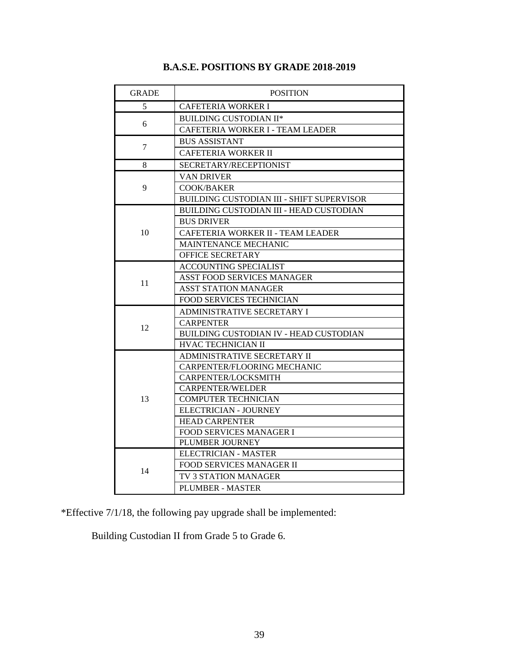| <b>GRADE</b> | <b>POSITION</b>                                  |
|--------------|--------------------------------------------------|
| 5            | <b>CAFETERIA WORKER I</b>                        |
|              | <b>BUILDING CUSTODIAN II*</b>                    |
| 6            | CAFETERIA WORKER I - TEAM LEADER                 |
|              | <b>BUS ASSISTANT</b>                             |
| 7            | <b>CAFETERIA WORKER II</b>                       |
| 8            | SECRETARY/RECEPTIONIST                           |
|              | <b>VAN DRIVER</b>                                |
| 9            | <b>COOK/BAKER</b>                                |
|              | <b>BUILDING CUSTODIAN III - SHIFT SUPERVISOR</b> |
|              | <b>BUILDING CUSTODIAN III - HEAD CUSTODIAN</b>   |
|              | <b>BUS DRIVER</b>                                |
| 10           | CAFETERIA WORKER II - TEAM LEADER                |
|              | <b>MAINTENANCE MECHANIC</b>                      |
|              | OFFICE SECRETARY                                 |
|              | <b>ACCOUNTING SPECIALIST</b>                     |
| 11           | <b>ASST FOOD SERVICES MANAGER</b>                |
|              | <b>ASST STATION MANAGER</b>                      |
|              | FOOD SERVICES TECHNICIAN                         |
|              | ADMINISTRATIVE SECRETARY I                       |
| 12           | <b>CARPENTER</b>                                 |
|              | BUILDING CUSTODIAN IV - HEAD CUSTODIAN           |
|              | HVAC TECHNICIAN II                               |
|              | ADMINISTRATIVE SECRETARY II                      |
|              | CARPENTER/FLOORING MECHANIC                      |
|              | CARPENTER/LOCKSMITH                              |
|              | <b>CARPENTER/WELDER</b>                          |
| 13           | <b>COMPUTER TECHNICIAN</b>                       |
|              | <b>ELECTRICIAN - JOURNEY</b>                     |
|              | <b>HEAD CARPENTER</b>                            |
|              | FOOD SERVICES MANAGER I                          |
|              | PLUMBER JOURNEY                                  |
|              | <b>ELECTRICIAN - MASTER</b>                      |
| 14           | FOOD SERVICES MANAGER II                         |
|              | TV 3 STATION MANAGER                             |
|              | <b>PLUMBER - MASTER</b>                          |

### **B.A.S.E. POSITIONS BY GRADE 2018-2019**

\*Effective 7/1/18, the following pay upgrade shall be implemented:

Building Custodian II from Grade 5 to Grade 6.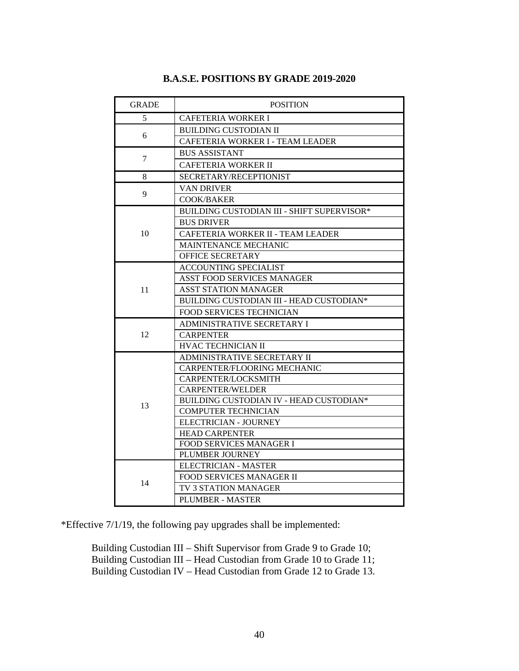| <b>GRADE</b> | <b>POSITION</b>                                   |
|--------------|---------------------------------------------------|
| 5            | <b>CAFETERIA WORKER I</b>                         |
|              | <b>BUILDING CUSTODIAN II</b>                      |
| 6            | CAFETERIA WORKER I - TEAM LEADER                  |
|              | <b>BUS ASSISTANT</b>                              |
| $\tau$       | <b>CAFETERIA WORKER II</b>                        |
| 8            | SECRETARY/RECEPTIONIST                            |
|              | <b>VAN DRIVER</b>                                 |
| 9            | <b>COOK/BAKER</b>                                 |
|              | <b>BUILDING CUSTODIAN III - SHIFT SUPERVISOR*</b> |
|              | <b>BUS DRIVER</b>                                 |
| 10           | CAFETERIA WORKER II - TEAM LEADER                 |
|              | MAINTENANCE MECHANIC                              |
|              | OFFICE SECRETARY                                  |
|              | <b>ACCOUNTING SPECIALIST</b>                      |
|              | ASST FOOD SERVICES MANAGER                        |
| 11           | <b>ASST STATION MANAGER</b>                       |
|              | BUILDING CUSTODIAN III - HEAD CUSTODIAN*          |
|              | <b>FOOD SERVICES TECHNICIAN</b>                   |
|              | ADMINISTRATIVE SECRETARY I                        |
| 12           | <b>CARPENTER</b>                                  |
|              | <b>HVAC TECHNICIAN II</b>                         |
|              | ADMINISTRATIVE SECRETARY II                       |
|              | CARPENTER/FLOORING MECHANIC                       |
|              | CARPENTER/LOCKSMITH                               |
|              | <b>CARPENTER/WELDER</b>                           |
| 13           | BUILDING CUSTODIAN IV - HEAD CUSTODIAN*           |
|              | <b>COMPUTER TECHNICIAN</b>                        |
|              | ELECTRICIAN - JOURNEY                             |
|              | <b>HEAD CARPENTER</b>                             |
|              | <b>FOOD SERVICES MANAGER I</b>                    |
|              | PLUMBER JOURNEY                                   |
|              | ELECTRICIAN - MASTER                              |
| 14           | <b>FOOD SERVICES MANAGER II</b>                   |
|              | TV 3 STATION MANAGER                              |
|              | <b>PLUMBER - MASTER</b>                           |

#### **B.A.S.E. POSITIONS BY GRADE 2019-2020**

\*Effective 7/1/19, the following pay upgrades shall be implemented:

Building Custodian III – Shift Supervisor from Grade 9 to Grade 10; Building Custodian III – Head Custodian from Grade 10 to Grade 11; Building Custodian IV – Head Custodian from Grade 12 to Grade 13.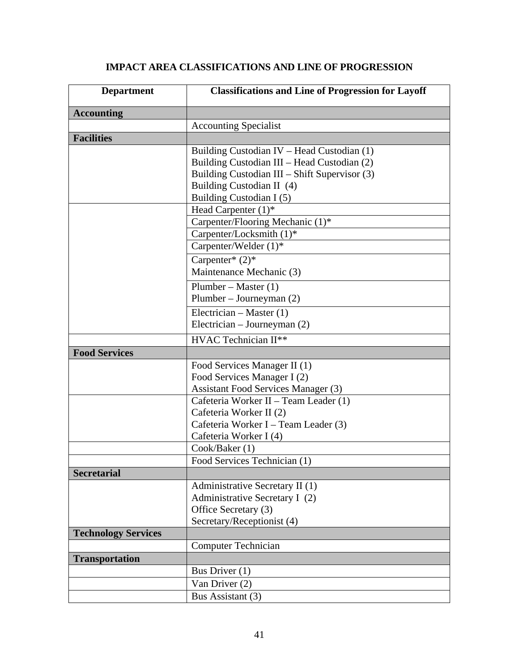## **IMPACT AREA CLASSIFICATIONS AND LINE OF PROGRESSION**

| <b>Department</b>          | <b>Classifications and Line of Progression for Layoff</b> |
|----------------------------|-----------------------------------------------------------|
| <b>Accounting</b>          |                                                           |
|                            | <b>Accounting Specialist</b>                              |
| <b>Facilities</b>          |                                                           |
|                            | Building Custodian IV - Head Custodian (1)                |
|                            | Building Custodian III – Head Custodian (2)               |
|                            | Building Custodian III - Shift Supervisor (3)             |
|                            | Building Custodian II (4)                                 |
|                            | Building Custodian I (5)                                  |
|                            | Head Carpenter $(1)^*$                                    |
|                            | Carpenter/Flooring Mechanic (1)*                          |
|                            | Carpenter/Locksmith (1)*                                  |
|                            | Carpenter/Welder $(1)^*$                                  |
|                            | Carpenter* $(2)$ *                                        |
|                            | Maintenance Mechanic (3)                                  |
|                            | Plumber – Master $(1)$                                    |
|                            | Plumber – Journeyman (2)                                  |
|                            | Electrician – Master $(1)$                                |
|                            | Electrician – Journeyman $(2)$                            |
|                            | HVAC Technician II**                                      |
| <b>Food Services</b>       |                                                           |
|                            | Food Services Manager II (1)                              |
|                            | Food Services Manager I (2)                               |
|                            | Assistant Food Services Manager (3)                       |
|                            | Cafeteria Worker II – Team Leader (1)                     |
|                            | Cafeteria Worker II (2)                                   |
|                            | Cafeteria Worker I – Team Leader (3)                      |
|                            | Cafeteria Worker I (4)                                    |
|                            | Cook/Baker (1)                                            |
|                            | Food Services Technician (1)                              |
| <b>Secretarial</b>         |                                                           |
|                            | Administrative Secretary II (1)                           |
|                            | Administrative Secretary I (2)                            |
|                            | Office Secretary (3)                                      |
|                            | Secretary/Receptionist (4)                                |
| <b>Technology Services</b> | <b>Computer Technician</b>                                |
|                            |                                                           |
| <b>Transportation</b>      |                                                           |
|                            | Bus Driver (1)                                            |
|                            | Van Driver (2)                                            |
|                            | Bus Assistant (3)                                         |